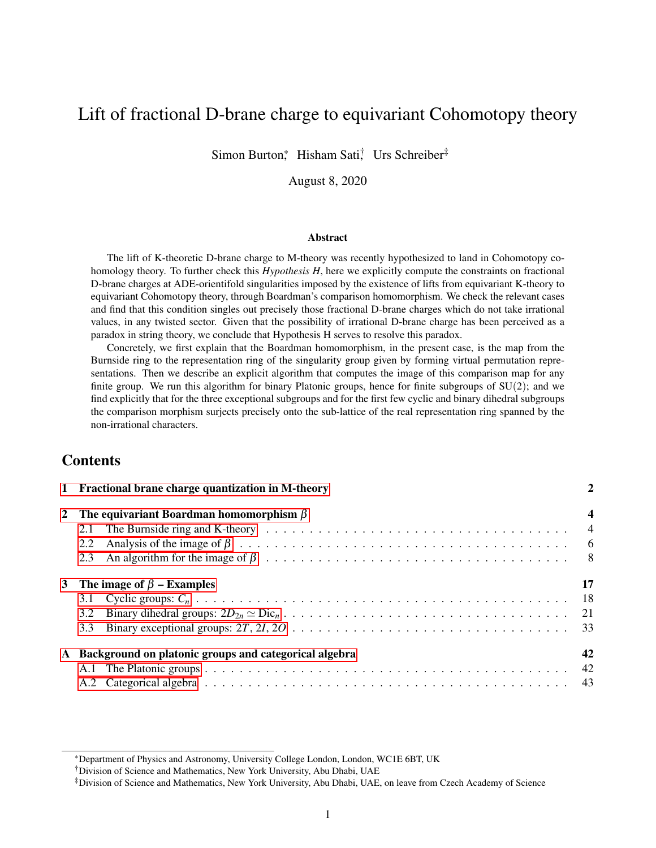# Lift of fractional D-brane charge to equivariant Cohomotopy theory

Simon Burton,\* Hisham Sati, Urs Schreiber<sup>‡</sup>

August 8, 2020

#### Abstract

The lift of K-theoretic D-brane charge to M-theory was recently hypothesized to land in Cohomotopy cohomology theory. To further check this *Hypothesis H*, here we explicitly compute the constraints on fractional D-brane charges at ADE-orientifold singularities imposed by the existence of lifts from equivariant K-theory to equivariant Cohomotopy theory, through Boardman's comparison homomorphism. We check the relevant cases and find that this condition singles out precisely those fractional D-brane charges which do not take irrational values, in any twisted sector. Given that the possibility of irrational D-brane charge has been perceived as a paradox in string theory, we conclude that Hypothesis H serves to resolve this paradox.

Concretely, we first explain that the Boardman homomorphism, in the present case, is the map from the Burnside ring to the representation ring of the singularity group given by forming virtual permutation representations. Then we describe an explicit algorithm that computes the image of this comparison map for any finite group. We run this algorithm for binary Platonic groups, hence for finite subgroups of  $SU(2)$ ; and we find explicitly that for the three exceptional subgroups and for the first few cyclic and binary dihedral subgroups the comparison morphism surjects precisely onto the sub-lattice of the real representation ring spanned by the non-irrational characters.

### **Contents**

|           | 1 Fractional brane charge quantization in M-theory    | $\mathbf{2}$            |
|-----------|-------------------------------------------------------|-------------------------|
|           | 2 The equivariant Boardman homomorphism $\beta$       | $\overline{\mathbf{4}}$ |
|           | 2.1                                                   | $\overline{4}$          |
|           | 2.2                                                   |                         |
|           | 2.3                                                   |                         |
|           | 3 The image of $\beta$ – Examples                     | 17                      |
|           |                                                       |                         |
|           | 3.2                                                   |                         |
|           | 3.3                                                   |                         |
| ${\bf A}$ | Background on platonic groups and categorical algebra | 42                      |
|           |                                                       |                         |
|           |                                                       |                         |

<sup>\*</sup>Department of Physics and Astronomy, University College London, London, WC1E 6BT, UK

<sup>†</sup>Division of Science and Mathematics, New York University, Abu Dhabi, UAE

<sup>‡</sup>Division of Science and Mathematics, New York University, Abu Dhabi, UAE, on leave from Czech Academy of Science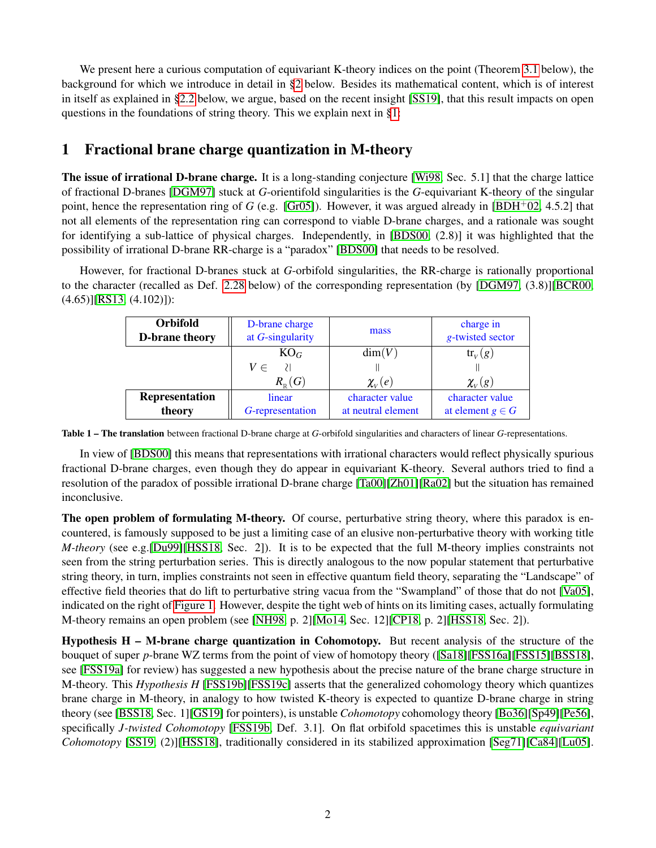We present here a curious computation of equivariant K-theory indices on the point (Theorem [3.1](#page-16-1) below), the background for which we introduce in detail in [§2](#page-3-0) below. Besides its mathematical content, which is of interest in itself as explained in [§2.2](#page-5-0) below, we argue, based on the recent insight [\[SS19\]](#page-45-0), that this result impacts on open questions in the foundations of string theory. This we explain next in [§1:](#page-1-0)

## <span id="page-1-0"></span>1 Fractional brane charge quantization in M-theory

The issue of irrational D-brane charge. It is a long-standing conjecture [\[Wi98,](#page-45-1) Sec. 5.1] that the charge lattice of fractional D-branes [\[DGM97\]](#page-43-0) stuck at *G*-orientifold singularities is the *G*-equivariant K-theory of the singular point, hence the representation ring of *G* (e.g. [\[Gr05\]](#page-44-0)). However, it was argued already in [\[BDH](#page-43-1)<sup>+</sup>02, 4.5.2] that not all elements of the representation ring can correspond to viable D-brane charges, and a rationale was sought for identifying a sub-lattice of physical charges. Independently, in [\[BDS00,](#page-43-2) (2.8)] it was highlighted that the possibility of irrational D-brane RR-charge is a "paradox" [\[BDS00\]](#page-43-2) that needs to be resolved.

<span id="page-1-2"></span>However, for fractional D-branes stuck at *G*-orbifold singularities, the RR-charge is rationally proportional to the character (recalled as Def. [2.28](#page-12-0) below) of the corresponding representation (by [\[DGM97,](#page-43-0) (3.8)][\[BCR00,](#page-43-3) (4.65)][\[RS13,](#page-45-2) (4.102)]):

| <b>Orbifold</b><br>D-brane theory | D-brane charge<br>at $G$ -singularity                              | mass               | charge in<br>g-twisted sector |
|-----------------------------------|--------------------------------------------------------------------|--------------------|-------------------------------|
|                                   | $KO_G$                                                             | dim(V)             | $\text{tr}_{V}(g)$            |
|                                   | $V \in$<br>- 21                                                    |                    |                               |
|                                   | $R_{\scriptscriptstyle \rm \scriptscriptstyle D} \left( G \right)$ | $\chi_{V}(e)$      | $\chi_{V}(g)$                 |
| Representation                    | linear                                                             | character value    | character value               |
| theory                            | G-representation                                                   | at neutral element | at element $g \in G$          |

Table 1 – The translation between fractional D-brane charge at *G*-orbifold singularities and characters of linear *G*-representations.

In view of [\[BDS00\]](#page-43-2) this means that representations with irrational characters would reflect physically spurious fractional D-brane charges, even though they do appear in equivariant K-theory. Several authors tried to find a resolution of the paradox of possible irrational D-brane charge [\[Ta00\]](#page-45-3)[\[Zh01\]](#page-45-4)[\[Ra02\]](#page-44-1) but the situation has remained inconclusive.

The open problem of formulating M-theory. Of course, perturbative string theory, where this paradox is encountered, is famously supposed to be just a limiting case of an elusive non-perturbative theory with working title *M-theory* (see e.g.[\[Du99\]](#page-43-4)[\[HSS18,](#page-44-2) Sec. 2]). It is to be expected that the full M-theory implies constraints not seen from the string perturbation series. This is directly analogous to the now popular statement that perturbative string theory, in turn, implies constraints not seen in effective quantum field theory, separating the "Landscape" of effective field theories that do lift to perturbative string vacua from the "Swampland" of those that do not [\[Va05\]](#page-45-5), indicated on the right of [Figure 1.](#page-2-0) However, despite the tight web of hints on its limiting cases, actually formulating M-theory remains an open problem (see [\[NH98,](#page-44-3) p. 2][\[Mo14,](#page-44-4) Sec. 12][\[CP18,](#page-43-5) p. 2][\[HSS18,](#page-44-2) Sec. 2]).

<span id="page-1-1"></span>Hypothesis H – M-brane charge quantization in Cohomotopy. But recent analysis of the structure of the bouquet of super *p*-brane WZ terms from the point of view of homotopy theory ([\[Sa18\]](#page-45-6)[\[FSS16a\]](#page-43-6)[\[FSS15\]](#page-43-7)[\[BSS18\]](#page-43-8), see [\[FSS19a\]](#page-43-9) for review) has suggested a new hypothesis about the precise nature of the brane charge structure in M-theory. This *Hypothesis H* [\[FSS19b\]](#page-43-10)[\[FSS19c\]](#page-43-11) asserts that the generalized cohomology theory which quantizes brane charge in M-theory, in analogy to how twisted K-theory is expected to quantize D-brane charge in string theory (see [\[BSS18,](#page-43-8) Sec. 1][\[GS19\]](#page-44-5) for pointers), is unstable *Cohomotopy* cohomology theory [\[Bo36\]](#page-43-12)[\[Sp49\]](#page-45-7)[\[Pe56\]](#page-44-6), specifically *J-twisted Cohomotopy* [\[FSS19b,](#page-43-10) Def. 3.1]. On flat orbifold spacetimes this is unstable *equivariant Cohomotopy* [\[SS19,](#page-45-0) (2)][\[HSS18\]](#page-44-2), traditionally considered in its stabilized approximation [\[Seg71\]](#page-45-8)[\[Ca84\]](#page-43-13)[\[Lu05\]](#page-44-7).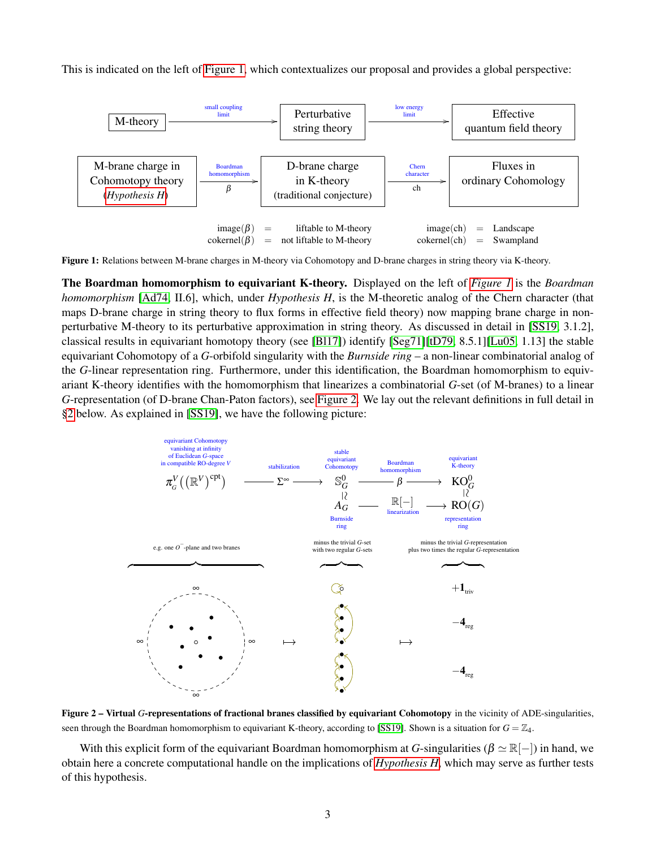<span id="page-2-0"></span>This is indicated on the left of [Figure 1,](#page-2-0) which contextualizes our proposal and provides a global perspective:



Figure 1: Relations between M-brane charges in M-theory via Cohomotopy and D-brane charges in string theory via K-theory.

The Boardman homomorphism to equivariant K-theory. Displayed on the left of *[Figure 1](#page-2-0)* is the *Boardman homomorphism* [\[Ad74,](#page-43-14) II.6], which, under *Hypothesis H*, is the M-theoretic analog of the Chern character (that maps D-brane charge in string theory to flux forms in effective field theory) now mapping brane charge in nonperturbative M-theory to its perturbative approximation in string theory. As discussed in detail in [\[SS19,](#page-45-0) 3.1.2], classical results in equivariant homotopy theory (see [\[Bl17\]](#page-43-15)) identify [\[Seg71\]](#page-45-8)[\[tD79,](#page-45-9) 8.5.1][\[Lu05,](#page-44-7) 1.13] the stable equivariant Cohomotopy of a *G*-orbifold singularity with the *Burnside ring* – a non-linear combinatorial analog of the *G*-linear representation ring. Furthermore, under this identification, the Boardman homomorphism to equivariant K-theory identifies with the homomorphism that linearizes a combinatorial *G*-set (of M-branes) to a linear *G*-representation (of D-brane Chan-Paton factors), see [Figure 2.](#page-2-1) We lay out the relevant definitions in full detail in [§2](#page-3-0) below. As explained in [\[SS19\]](#page-45-0), we have the following picture:

<span id="page-2-1"></span>

Figure 2 – Virtual G-representations of fractional branes classified by equivariant Cohomotopy in the vicinity of ADE-singularities, seen through the Boardman homomorphism to equivariant K-theory, according to [\[SS19\]](#page-45-0). Shown is a situation for  $G = \mathbb{Z}_4$ .

With this explicit form of the equivariant Boardman homomorphism at *G*-singularities ( $\beta \simeq \mathbb{R}[-1]$ ) in hand, we obtain here a concrete computational handle on the implications of *[Hypothesis H](#page-1-1)*, which may serve as further tests of this hypothesis.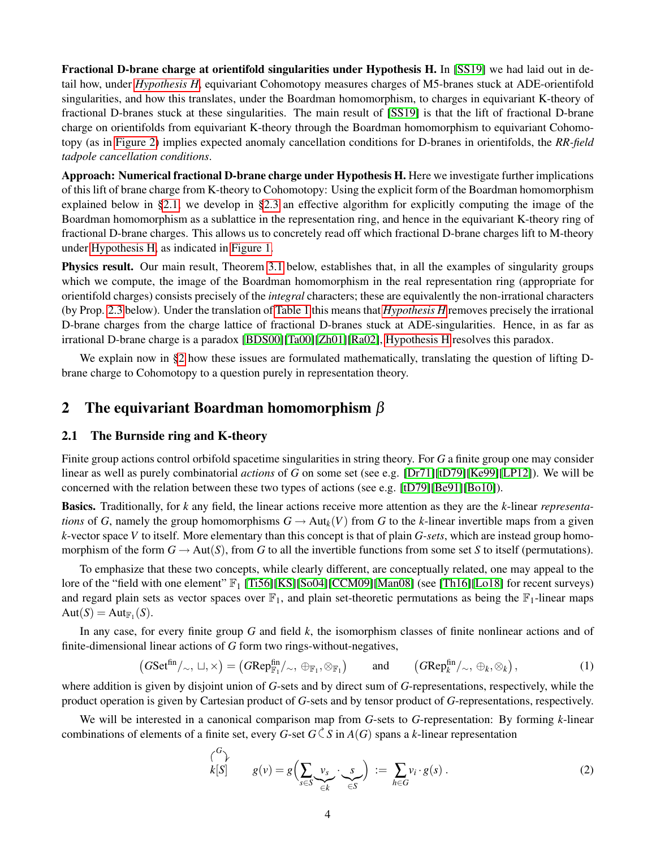Fractional D-brane charge at orientifold singularities under Hypothesis H. In [\[SS19\]](#page-45-0) we had laid out in detail how, under *[Hypothesis H](#page-1-1)*, equivariant Cohomotopy measures charges of M5-branes stuck at ADE-orientifold singularities, and how this translates, under the Boardman homomorphism, to charges in equivariant K-theory of fractional D-branes stuck at these singularities. The main result of [\[SS19\]](#page-45-0) is that the lift of fractional D-brane charge on orientifolds from equivariant K-theory through the Boardman homomorphism to equivariant Cohomotopy (as in [Figure 2\)](#page-2-1) implies expected anomaly cancellation conditions for D-branes in orientifolds, the *RR-field tadpole cancellation conditions*.

Approach: Numerical fractional D-brane charge under Hypothesis H. Here we investigate further implications of this lift of brane charge from K-theory to Cohomotopy: Using the explicit form of the Boardman homomorphism explained below in [§2.1,](#page-3-1) we develop in [§2.3](#page-7-0) an effective algorithm for explicitly computing the image of the Boardman homomorphism as a sublattice in the representation ring, and hence in the equivariant K-theory ring of fractional D-brane charges. This allows us to concretely read off which fractional D-brane charges lift to M-theory under [Hypothesis H,](#page-1-1) as indicated in [Figure 1.](#page-2-0)

Physics result. Our main result, Theorem [3.1](#page-16-1) below, establishes that, in all the examples of singularity groups which we compute, the image of the Boardman homomorphism in the real representation ring (appropriate for orientifold charges) consists precisely of the *integral* characters; these are equivalently the non-irrational characters (by Prop. [2.3](#page-6-0) below). Under the translation of [Table 1](#page-1-2) this means that *[Hypothesis H](#page-1-1)* removes precisely the irrational D-brane charges from the charge lattice of fractional D-branes stuck at ADE-singularities. Hence, in as far as irrational D-brane charge is a paradox [\[BDS00\]](#page-43-2)[\[Ta00\]](#page-45-3)[\[Zh01\]](#page-45-4)[\[Ra02\]](#page-44-1), [Hypothesis H](#page-1-1) resolves this paradox.

We explain now in [§2](#page-3-0) how these issues are formulated mathematically, translating the question of lifting Dbrane charge to Cohomotopy to a question purely in representation theory.

### <span id="page-3-0"></span>2 The equivariant Boardman homomorphism  $\beta$

#### <span id="page-3-1"></span>2.1 The Burnside ring and K-theory

Finite group actions control orbifold spacetime singularities in string theory. For *G* a finite group one may consider linear as well as purely combinatorial *actions* of *G* on some set (see e.g. [\[Dr71\]](#page-43-16)[\[tD79\]](#page-45-9)[\[Ke99\]](#page-44-8)[\[LP12\]](#page-44-9)). We will be concerned with the relation between these two types of actions (see e.g. [\[tD79\]](#page-45-9)[\[Be91\]](#page-43-17)[\[Bo10\]](#page-43-18)).

Basics. Traditionally, for *k* any field, the linear actions receive more attention as they are the *k*-linear *representations* of *G*, namely the group homomorphisms  $G \to Aut_k(V)$  from *G* to the *k*-linear invertible maps from a given *k*-vector space *V* to itself. More elementary than this concept is that of plain *G-sets*, which are instead group homomorphism of the form  $G \to Aut(S)$ , from G to all the invertible functions from some set S to itself (permutations).

To emphasize that these two concepts, while clearly different, are conceptually related, one may appeal to the lore of the "field with one element"  $\mathbb{F}_1$  [\[Ti56\]](#page-45-10)[\[KS\]](#page-44-10)[\[So04\]](#page-45-11)[\[CCM09\]](#page-43-19)[\[Man08\]](#page-44-11) (see [\[Th16\]](#page-45-12)[\[Lo18\]](#page-44-12) for recent surveys) and regard plain sets as vector spaces over  $\mathbb{F}_1$ , and plain set-theoretic permutations as being the  $\mathbb{F}_1$ -linear maps  $Aut(S) = Aut_{\mathbb{F}_1}(S).$ 

In any case, for every finite group *G* and field *k*, the isomorphism classes of finite nonlinear actions and of finite-dimensional linear actions of *G* form two rings-without-negatives,

<span id="page-3-3"></span>
$$
(GSet^{\text{fin}}/\sim, \sqcup, \times) = (GRep_{\mathbb{F}_1}^{\text{fin}}/\sim, \oplus_{\mathbb{F}_1}, \otimes_{\mathbb{F}_1}) \quad \text{and} \quad (GRep_k^{\text{fin}}/\sim, \oplus_k, \otimes_k), \tag{1}
$$

where addition is given by disjoint union of *G*-sets and by direct sum of *G*-representations, respectively, while the product operation is given by Cartesian product of *G*-sets and by tensor product of *G*-representations, respectively.

We will be interested in a canonical comparison map from *G*-sets to *G*-representation: By forming *k*-linear combinations of elements of a finite set, every *G*-set  $G \subset S$  in  $A(G)$  spans a *k*-linear representation

<span id="page-3-2"></span>
$$
\begin{pmatrix} G \\ k[S] \end{pmatrix} \qquad g(v) = g\left(\sum_{s \in S} \underbrace{v_s}_{\in k} \cdot \underbrace{s}_{\in S}\right) := \sum_{h \in G} v_i \cdot g(s) \,. \tag{2}
$$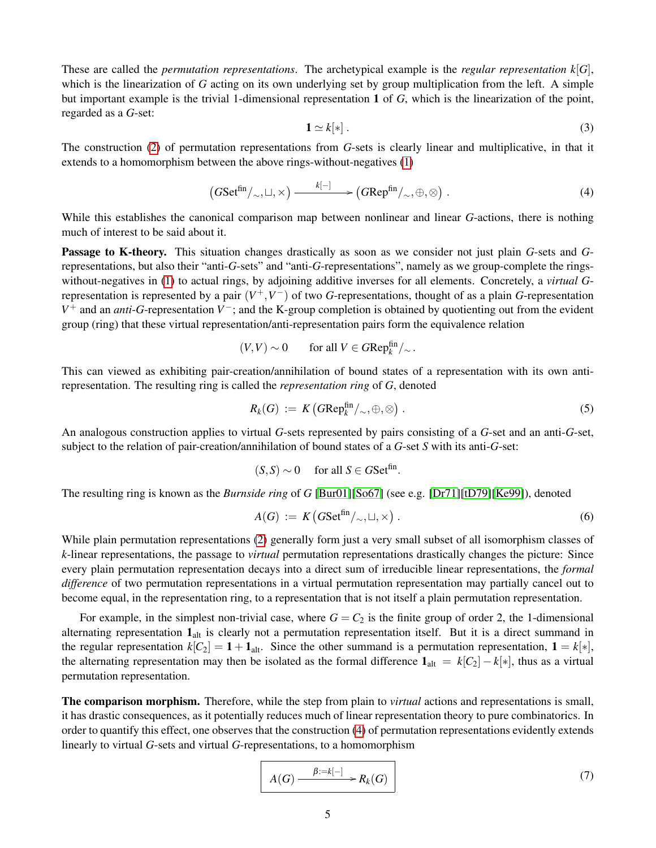These are called the *permutation representations*. The archetypical example is the *regular representation*  $k[G]$ , which is the linearization of *G* acting on its own underlying set by group multiplication from the left. A simple but important example is the trivial 1-dimensional representation 1 of *G*, which is the linearization of the point, regarded as a *G*-set:

<span id="page-4-4"></span>
$$
\mathbf{1} \simeq k[*]. \tag{3}
$$

The construction [\(2\)](#page-3-2) of permutation representations from *G*-sets is clearly linear and multiplicative, in that it extends to a homomorphism between the above rings-without-negatives [\(1\)](#page-3-3)

<span id="page-4-0"></span>
$$
(GSet^{\text{fin}}/\sim,\sqcup,\times) \xrightarrow{k[-]} (GRep^{\text{fin}}/\sim,\oplus,\otimes).
$$
 (4)

While this establishes the canonical comparison map between nonlinear and linear *G*-actions, there is nothing much of interest to be said about it.

Passage to K-theory. This situation changes drastically as soon as we consider not just plain *G*-sets and *G*representations, but also their "anti-*G*-sets" and "anti-*G*-representations", namely as we group-complete the ringswithout-negatives in [\(1\)](#page-3-3) to actual rings, by adjoining additive inverses for all elements. Concretely, a *virtual G*representation is represented by a pair (*V* <sup>+</sup>,*V* <sup>−</sup>) of two *G*-representations, thought of as a plain *G*-representation *V*<sup>+</sup> and an *anti*-*G*-representation *V*<sup>−</sup>; and the K-group completion is obtained by quotienting out from the evident group (ring) that these virtual representation/anti-representation pairs form the equivalence relation

$$
(V, V) \sim 0 \qquad \text{for all } V \in GRep_k^{\text{fin}}/_{\sim}.
$$

This can viewed as exhibiting pair-creation/annihilation of bound states of a representation with its own antirepresentation. The resulting ring is called the *representation ring* of *G*, denoted

<span id="page-4-2"></span>
$$
R_k(G) := K\left(G\mathrm{Rep}_k^{\mathrm{fin}}/\sim, \oplus, \otimes\right). \tag{5}
$$

An analogous construction applies to virtual *G*-sets represented by pairs consisting of a *G*-set and an anti-*G*-set, subject to the relation of pair-creation/annihilation of bound states of a *G*-set *S* with its anti-*G*-set:

$$
(S, S) \sim 0 \quad \text{ for all } S \in GSet^{\text{fin}}
$$

The resulting ring is known as the *Burnside ring* of *G* [\[Bur01\]](#page-43-20)[\[So67\]](#page-45-13) (see e.g. [\[Dr71\]](#page-43-16)[\[tD79\]](#page-45-9)[\[Ke99\]](#page-44-8)), denoted

<span id="page-4-1"></span>
$$
A(G) := K\left(GSet^{\text{fin}}/\sim, \sqcup, \times\right). \tag{6}
$$

.

While plain permutation representations [\(2\)](#page-3-2) generally form just a very small subset of all isomorphism classes of *k*-linear representations, the passage to *virtual* permutation representations drastically changes the picture: Since every plain permutation representation decays into a direct sum of irreducible linear representations, the *formal difference* of two permutation representations in a virtual permutation representation may partially cancel out to become equal, in the representation ring, to a representation that is not itself a plain permutation representation.

For example, in the simplest non-trivial case, where  $G = C_2$  is the finite group of order 2, the 1-dimensional alternating representation  $1_{alt}$  is clearly not a permutation representation itself. But it is a direct summand in the regular representation  $k[C_2] = 1 + \mathbf{1}_{alt}$ . Since the other summand is a permutation representation,  $\mathbf{1} = k[*]$ , the alternating representation may then be isolated as the formal difference  $\mathbf{1}_{alt} = k[C_2] - k[*]$ , thus as a virtual permutation representation.

The comparison morphism. Therefore, while the step from plain to *virtual* actions and representations is small, it has drastic consequences, as it potentially reduces much of linear representation theory to pure combinatorics. In order to quantify this effect, one observes that the construction [\(4\)](#page-4-0) of permutation representations evidently extends linearly to virtual *G*-sets and virtual *G*-representations, to a homomorphism

<span id="page-4-3"></span>
$$
A(G) \xrightarrow{\beta := k[-]} R_k(G) \tag{7}
$$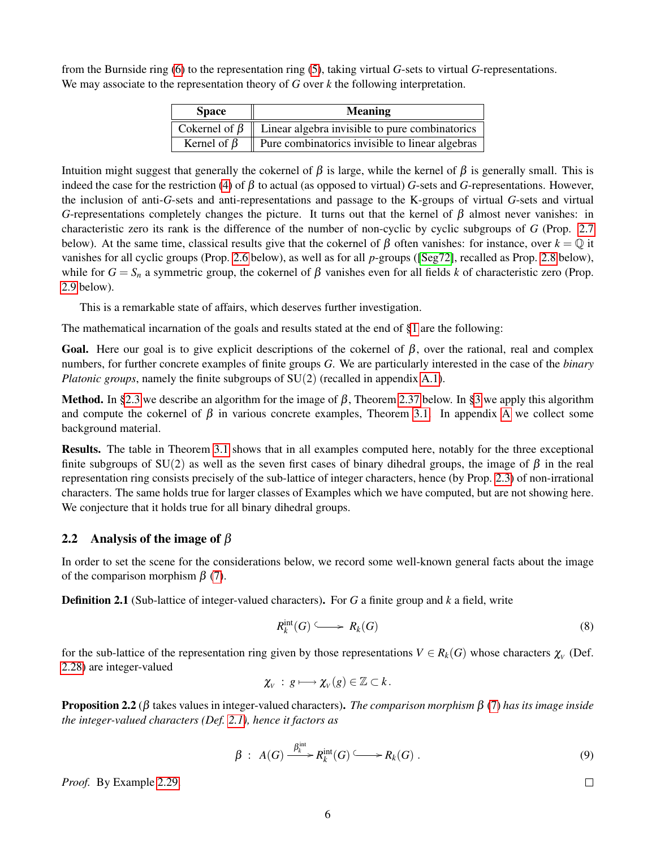from the Burnside ring [\(6\)](#page-4-1) to the representation ring [\(5\)](#page-4-2), taking virtual *G*-sets to virtual *G*-representations. We may associate to the representation theory of *G* over *k* the following interpretation.

| <b>Space</b>      | <b>Meaning</b>                                                                         |
|-------------------|----------------------------------------------------------------------------------------|
|                   | $\vert$ Cokernel of $\beta \vert \vert$ Linear algebra invisible to pure combinatorics |
| Kernel of $\beta$ | Pure combinatorics invisible to linear algebras                                        |

Intuition might suggest that generally the cokernel of β is large, while the kernel of β is generally small. This is indeed the case for the restriction [\(4\)](#page-4-0) of  $\beta$  to actual (as opposed to virtual) *G*-sets and *G*-representations. However, the inclusion of anti-*G*-sets and anti-representations and passage to the K-groups of virtual *G*-sets and virtual *G*-representations completely changes the picture. It turns out that the kernel of  $\beta$  almost never vanishes: in characteristic zero its rank is the difference of the number of non-cyclic by cyclic subgroups of *G* (Prop. [2.7](#page-6-1) below). At the same time, classical results give that the cokernel of  $\beta$  often vanishes: for instance, over  $k = \mathbb{Q}$  it vanishes for all cyclic groups (Prop. [2.6](#page-6-2) below), as well as for all *p*-groups ([\[Seg72\]](#page-45-14), recalled as Prop. [2.8](#page-7-1) below), while for *G* = *S<sub>n</sub>* a symmetric group, the cokernel of β vanishes even for all fields *k* of characteristic zero (Prop. [2.9](#page-7-2) below).

This is a remarkable state of affairs, which deserves further investigation.

The mathematical incarnation of the goals and results stated at the end of [§1](#page-1-0) are the following:

Goal. Here our goal is to give explicit descriptions of the cokernel of  $\beta$ , over the rational, real and complex numbers, for further concrete examples of finite groups *G*. We are particularly interested in the case of the *binary Platonic groups*, namely the finite subgroups of  $SU(2)$  (recalled in appendix [A.1\)](#page-41-1).

Method. In [§2.3](#page-7-0) we describe an algorithm for the image of  $\beta$ , Theorem [2.37](#page-15-0) below. In [§3](#page-16-0) we apply this algorithm and compute the cokernel of  $\beta$  in various concrete examples, Theorem [3.1.](#page-16-1) In appendix [A](#page-41-0) we collect some background material.

Results. The table in Theorem [3.1](#page-16-1) shows that in all examples computed here, notably for the three exceptional finite subgroups of  $SU(2)$  as well as the seven first cases of binary dihedral groups, the image of  $\beta$  in the real representation ring consists precisely of the sub-lattice of integer characters, hence (by Prop. [2.3\)](#page-6-0) of non-irrational characters. The same holds true for larger classes of Examples which we have computed, but are not showing here. We conjecture that it holds true for all binary dihedral groups.

#### <span id="page-5-0"></span>2.2 Analysis of the image of  $\beta$

In order to set the scene for the considerations below, we record some well-known general facts about the image of the comparison morphism  $\beta$  [\(7\)](#page-4-3).

<span id="page-5-1"></span>Definition 2.1 (Sub-lattice of integer-valued characters). For *G* a finite group and *k* a field, write

<span id="page-5-2"></span>
$$
R_k^{\rm int}(G) \longrightarrow R_k(G) \tag{8}
$$

for the sub-lattice of the representation ring given by those representations  $V \in R_k(G)$  whose characters  $\chi_V$  (Def. [2.28\)](#page-12-0) are integer-valued

$$
\chi_{V} \,:\, g \longmapsto \chi_{V}(g) \in \mathbb{Z} \subset k\,.
$$

<span id="page-5-3"></span>Proposition 2.2 (β takes values in integer-valued characters). *The comparison morphism* β [\(7\)](#page-4-3) *has its image inside the integer-valued characters (Def. [2.1\)](#page-5-1), hence it factors as*

$$
\beta : A(G) \xrightarrow{\beta_k^{\text{int}}} R_k^{\text{int}}(G) \longrightarrow R_k(G) . \tag{9}
$$

 $\Box$ 

*Proof.* By Example [2.29.](#page-13-0)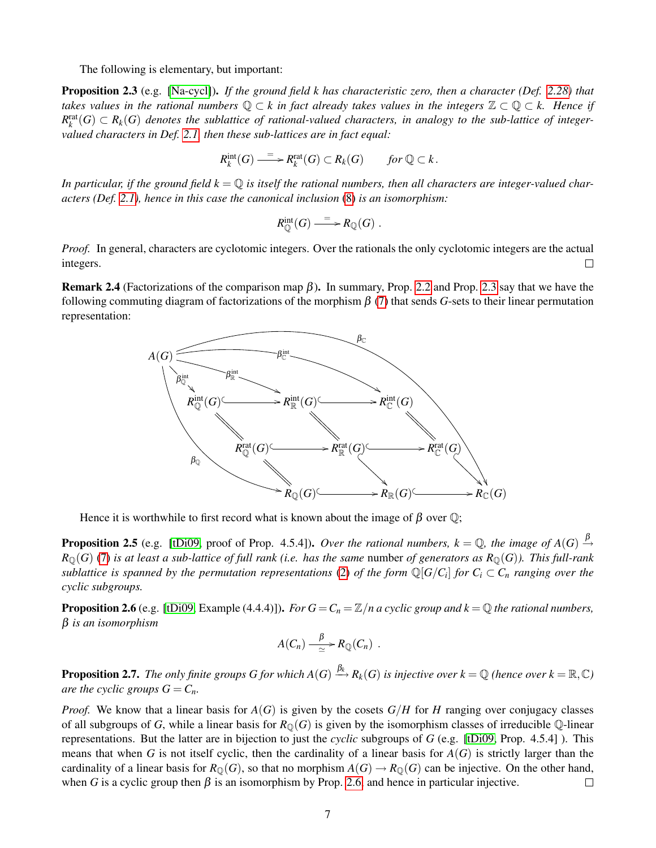The following is elementary, but important:

<span id="page-6-0"></span>Proposition 2.3 (e.g. [\[Na-cycl\]](#page-44-13)). *If the ground field k has characteristic zero, then a character (Def. [2.28\)](#page-12-0) that takes values in the rational numbers* Q ⊂ *k in fact already takes values in the integers* Z ⊂ Q ⊂ *k. Hence if*  $R_k^{\text{rat}}(G) \subset R_k(G)$  denotes the sublattice of rational-valued characters, in analogy to the sub-lattice of integer*valued characters in Def. [2.1,](#page-5-1) then these sub-lattices are in fact equal:*

$$
R_k^{\text{int}}(G) \xrightarrow{= \ } R_k^{\text{rat}}(G) \subset R_k(G) \qquad \text{for } \mathbb{Q} \subset k \, .
$$

In particular, if the ground field  $k = \mathbb{Q}$  is itself the rational numbers, then all characters are integer-valued char*acters (Def. [2.1\)](#page-5-1), hence in this case the canonical inclusion* [\(8\)](#page-5-2) *is an isomorphism:*

$$
R_{\mathbb{Q}}^{\mathrm{int}}(G) \xrightarrow{=} R_{\mathbb{Q}}(G) .
$$

*Proof.* In general, characters are cyclotomic integers. Over the rationals the only cyclotomic integers are the actual integers.  $\Box$ 

<span id="page-6-3"></span>Remark 2.4 (Factorizations of the comparison map β). In summary, Prop. [2.2](#page-5-3) and Prop. [2.3](#page-6-0) say that we have the following commuting diagram of factorizations of the morphism  $\beta$  [\(7\)](#page-4-3) that sends *G*-sets to their linear permutation representation:



Hence it is worthwhile to first record what is known about the image of  $\beta$  over  $\mathbb{Q}$ ;

**Proposition 2.5** (e.g. [\[tDi09,](#page-45-15) proof of Prop. 4.5.4]). *Over the rational numbers,*  $k = \mathbb{Q}$ , the image of  $A(G) \stackrel{\beta}{\rightarrow}$  $R_{\mathbb{Q}}(G)$  [\(7\)](#page-4-3) *is at least a sub-lattice of full rank (i.e. has the same number <i>of generators as*  $R_{\mathbb{Q}}(G)$ *). This full-rank sublattice is spanned by the permutation representations* [\(2\)](#page-3-2) *of the form*  $\mathbb{Q}[G/C_i]$  *for*  $C_i \subset C_n$  *ranging over the cyclic subgroups.*

<span id="page-6-2"></span>**Proposition 2.6** (e.g. [\[tDi09,](#page-45-15) Example (4.4.4)]). *For*  $G = C_n = \mathbb{Z}/n$  *a cyclic group and k* =  $\mathbb Q$  *the rational numbers,* β *is an isomorphism*

$$
A(C_n) \xrightarrow{\beta} R_{\mathbb{Q}}(C_n) .
$$

<span id="page-6-1"></span>**Proposition 2.7.** The only finite groups G for which  $A(G)\stackrel{\beta_k}{\longrightarrow}R_k(G)$  is injective over  $k=\mathbb{Q}$  (hence over  $k=\mathbb{R},\mathbb{C}$ ) *are the cyclic groups*  $G = C_n$ *.* 

*Proof.* We know that a linear basis for  $A(G)$  is given by the cosets  $G/H$  for *H* ranging over conjugacy classes of all subgroups of *G*, while a linear basis for  $R_{\mathbb{Q}}(G)$  is given by the isomorphism classes of irreducible  $\mathbb{Q}$ -linear representations. But the latter are in bijection to just the *cyclic* subgroups of *G* (e.g. [\[tDi09,](#page-45-15) Prop. 4.5.4] ). This means that when *G* is not itself cyclic, then the cardinality of a linear basis for  $A(G)$  is strictly larger than the cardinality of a linear basis for  $R_{\mathbb{Q}}(G)$ , so that no morphism  $A(G) \to R_{\mathbb{Q}}(G)$  can be injective. On the other hand, when *G* is a cyclic group then  $\beta$  is an isomorphism by Prop. [2.6,](#page-6-2) and hence in particular injective.  $\Box$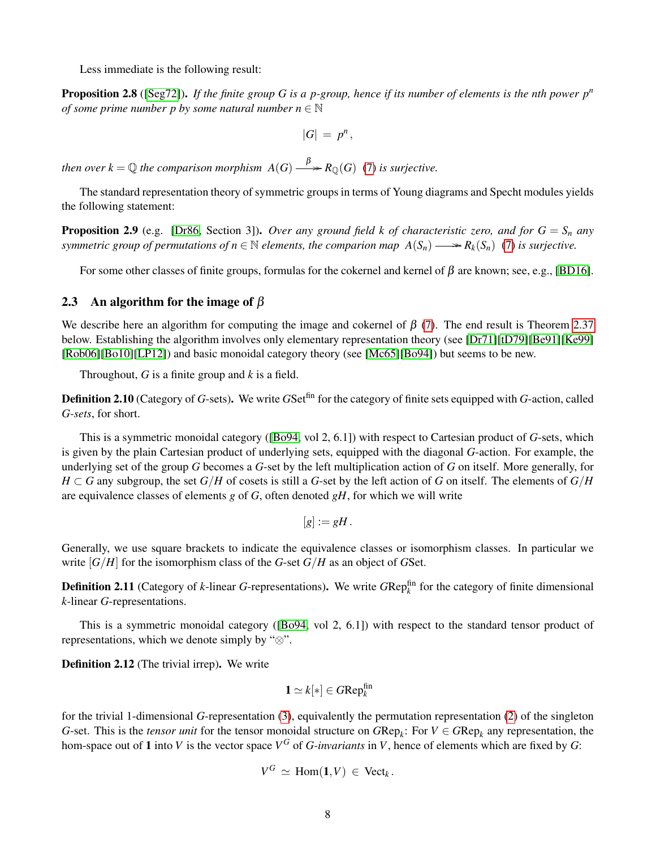Less immediate is the following result:

<span id="page-7-1"></span>Proposition 2.8 ([\[Seg72\]](#page-45-14)). *If the finite group G is a p-group, hence if its number of elements is the nth power p<sup>n</sup> of some prime number p by some natural number n*  $\in \mathbb{N}$ 

$$
|G| = p^n,
$$

*then over*  $k = \mathbb{Q}$  *the comparison morphism*  $A(G) \longrightarrow R_{\mathbb{Q}}(G)$  [\(7\)](#page-4-3) *is surjective.* 

The standard representation theory of symmetric groups in terms of Young diagrams and Specht modules yields the following statement:

<span id="page-7-2"></span>**Proposition 2.9** (e.g. [\[Dr86,](#page-43-21) Section 3]). *Over any ground field k of characteristic zero, and for*  $G = S_n$  *any symmetric group of permutations of*  $n \in \mathbb{N}$  *elements, the comparion map*  $A(S_n) \longrightarrow R_k(S_n)$  [\(7\)](#page-4-3) is surjective.

For some other classes of finite groups, formulas for the cokernel and kernel of  $\beta$  are known; see, e.g., [\[BD16\]](#page-43-22).

#### <span id="page-7-0"></span>2.3 An algorithm for the image of  $\beta$

We describe here an algorithm for computing the image and cokernel of  $\beta$  [\(7\)](#page-4-3). The end result is Theorem [2.37](#page-15-0) below. Establishing the algorithm involves only elementary representation theory (see [\[Dr71\]](#page-43-16)[\[tD79\]](#page-45-9)[\[Be91\]](#page-43-17)[\[Ke99\]](#page-44-8) [\[Rob06\]](#page-45-16)[\[Bo10\]](#page-43-18)[\[LP12\]](#page-44-9)) and basic monoidal category theory (see [\[Mc65\]](#page-44-14)[\[Bo94\]](#page-43-23)) but seems to be new.

Throughout, *G* is a finite group and *k* is a field.

<span id="page-7-5"></span>Definition 2.10 (Category of *G*-sets). We write *G*Setfin for the category of finite sets equipped with *G*-action, called *G-sets*, for short.

This is a symmetric monoidal category ([\[Bo94,](#page-43-23) vol 2, 6.1]) with respect to Cartesian product of *G*-sets, which is given by the plain Cartesian product of underlying sets, equipped with the diagonal *G*-action. For example, the underlying set of the group *G* becomes a *G*-set by the left multiplication action of *G* on itself. More generally, for  $H \subset G$  any subgroup, the set  $G/H$  of cosets is still a *G*-set by the left action of *G* on itself. The elements of  $G/H$ are equivalence classes of elements *g* of *G*, often denoted *gH*, for which we will write

$$
[g]:=gH.
$$

Generally, we use square brackets to indicate the equivalence classes or isomorphism classes. In particular we write  $[G/H]$  for the isomorphism class of the *G*-set  $G/H$  as an object of *GSet*.

<span id="page-7-6"></span>**Definition 2.11** (Category of *k*-linear *G*-representations). We write  $GRep_k^{\text{fin}}$  for the category of finite dimensional *k*-linear *G*-representations.

This is a symmetric monoidal category ([\[Bo94,](#page-43-23) vol 2, 6.1]) with respect to the standard tensor product of representations, which we denote simply by "⊗".

<span id="page-7-4"></span>Definition 2.12 (The trivial irrep). We write

$$
1 \simeq k[*] \in G\mathrm{Rep}_k^{\mathrm{fin}}
$$

<span id="page-7-3"></span>for the trivial 1-dimensional *G*-representation [\(3\)](#page-4-4), equivalently the permutation representation [\(2\)](#page-3-2) of the singleton *G*-set. This is the *tensor unit* for the tensor monoidal structure on  $GRep_k$ : For  $V \in GRep_k$  any representation, the hom-space out of 1 into *V* is the vector space  $V^G$  of *G-invariants* in *V*, hence of elements which are fixed by *G*:

$$
V^G \simeq \text{Hom}(\mathbf{1}, V) \in \text{Vect}_k.
$$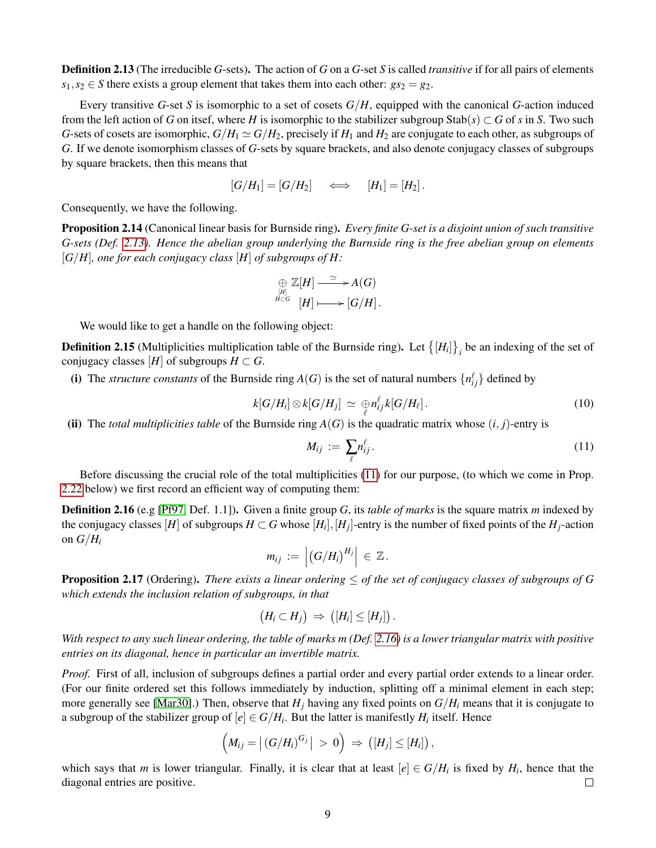Definition 2.13 (The irreducible *G*-sets). The action of *G* on a *G*-set *S* is called *transitive* if for all pairs of elements  $s_1, s_2 \in S$  there exists a group element that takes them into each other:  $gs_2 = g_2$ .

Every transitive *G*-set *S* is isomorphic to a set of cosets *G*/*H*, equipped with the canonical *G*-action induced from the left action of *G* on itsef, where *H* is isomorphic to the stabilizer subgroup  $\text{Stab}(s) \subset G$  of *s* in *S*. Two such *G*-sets of cosets are isomorphic,  $G/H_1 \simeq G/H_2$ , precisely if  $H_1$  and  $H_2$  are conjugate to each other, as subgroups of *G*. If we denote isomorphism classes of *G*-sets by square brackets, and also denote conjugacy classes of subgroups by square brackets, then this means that

$$
[G/H_1] = [G/H_2] \iff [H_1] = [H_2].
$$

Consequently, we have the following.

Proposition 2.14 (Canonical linear basis for Burnside ring). *Every finite G-set is a disjoint union of such transitive G-sets (Def. [2.13\)](#page-7-3). Hence the abelian group underlying the Burnside ring is the free abelian group on elements* [*G*/*H*]*, one for each conjugacy class* [*H*] *of subgroups of H:*

$$
\bigoplus_{[H]\atop H\subset G} \mathbb{Z}[H] \stackrel{\simeq}{\longrightarrow} A(G)
$$
  

$$
\bigoplus_{H\subset G} \mathbb{Z}[H] \longmapsto [G/H].
$$

We would like to get a handle on the following object:

<span id="page-8-2"></span>**Definition 2.15** (Multiplicities multiplication table of the Burnside ring). Let  $\{[H_i]\}_i$  be an indexing of the set of conjugacy classes [*H*] of subgroups  $H \subset G$ .

(i) The *structure constants* of the Burnside ring  $A(G)$  is the set of natural numbers  $\{n_{ij}^{\ell}\}$  defined by

<span id="page-8-4"></span>
$$
k[G/H_i] \otimes k[G/H_j] \simeq \bigoplus_{\ell} n_{ij}^{\ell} k[G/H_{\ell}]. \tag{10}
$$

(ii) The *total multiplicities table* of the Burnside ring  $A(G)$  is the quadratic matrix whose  $(i, j)$ -entry is

<span id="page-8-0"></span>
$$
M_{ij} := \sum_{\ell} n_{ij}^{\ell}.
$$
 (11)

Before discussing the crucial role of the total multiplicities [\(11\)](#page-8-0) for our purpose, (to which we come in Prop. [2.22](#page-10-0) below) we first record an efficient way of computing them:

<span id="page-8-1"></span>Definition 2.16 (e.g [\[Pf97,](#page-44-15) Def. 1.1]). Given a finite group *G*, its *table of marks* is the square matrix *m* indexed by the conjugacy classes [H] of subgroups  $H \subset G$  whose [H<sub>i</sub>], [H<sub>j</sub>]-entry is the number of fixed points of the H<sub>j</sub>-action on  $G/H_i$ 

$$
m_{ij} := | (G/H_i)^{H_j} | \in \mathbb{Z}.
$$

<span id="page-8-3"></span>Proposition 2.17 (Ordering). *There exists a linear ordering* ≤ *of the set of conjugacy classes of subgroups of G which extends the inclusion relation of subgroups, in that*

$$
(H_i\subset H_j)\ \Rightarrow\ \bigl([H_i]\leq [H_j]\bigr)\,.
$$

*With respect to any such linear ordering, the table of marks m (Def. [2.16\)](#page-8-1) is a lower triangular matrix with positive entries on its diagonal, hence in particular an invertible matrix.*

*Proof.* First of all, inclusion of subgroups defines a partial order and every partial order extends to a linear order. (For our finite ordered set this follows immediately by induction, splitting off a minimal element in each step; more generally see [\[Mar30\]](#page-44-16).) Then, observe that  $H_i$  having any fixed points on  $G/H_i$  means that it is conjugate to a subgroup of the stabilizer group of  $[e] \in G/H_i$ . But the latter is manifestly  $H_i$  itself. Hence

$$
\left(M_{ij} = \left| (G/H_i)^{G_j} \right| \, > \, 0 \right) \, \Rightarrow \, \left( [H_j] \leq [H_i] \right),
$$

which says that *m* is lower triangular. Finally, it is clear that at least  $[e] \in G/H_i$  is fixed by  $H_i$ , hence that the diagonal entries are positive.  $\Box$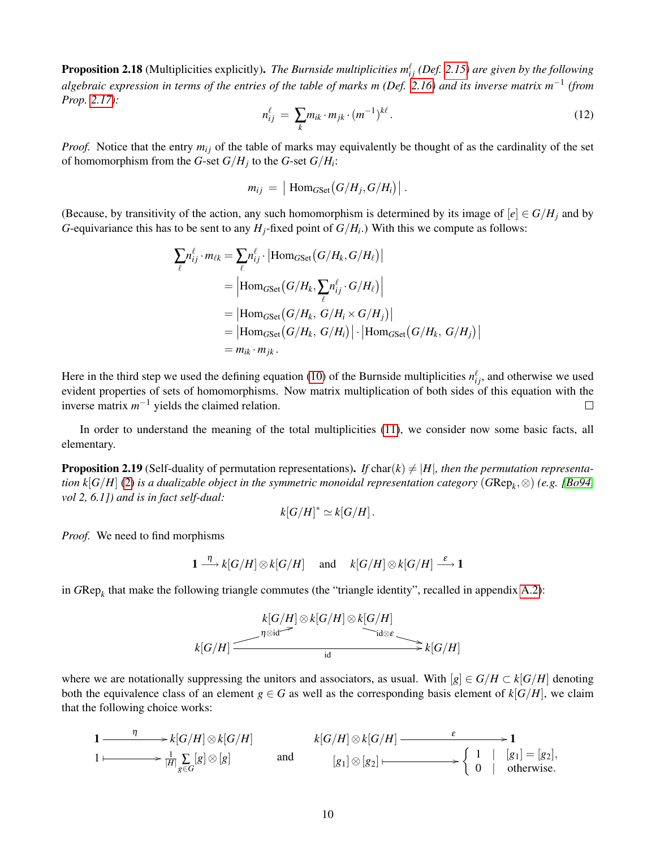**Proposition 2.18** (Multiplicities explicitly). *The Burnside multiplicities*  $m_{ij}^{\ell}$  *(Def. [2.15\)](#page-8-2) are given by the following algebraic expression in terms of the entries of the table of marks m (Def. [2.16\)](#page-8-1) and its inverse matrix m*−<sup>1</sup> *(from Prop. [2.17\)](#page-8-3):*

<span id="page-9-1"></span>
$$
n_{ij}^{\ell} = \sum_{k} m_{ik} \cdot m_{jk} \cdot (m^{-1})^{k\ell}.
$$
 (12)

*Proof.* Notice that the entry  $m_{ij}$  of the table of marks may equivalently be thought of as the cardinality of the set of homomorphism from the *G*-set *G*/*H<sup>j</sup>* to the *G*-set *G*/*H<sup>i</sup>* :

$$
m_{ij} = |\operatorname{Hom}_{GSet}(G/H_j, G/H_i)|.
$$

(Because, by transitivity of the action, any such homomorphism is determined by its image of  $[e] \in G/H_i$  and by *G*-equivariance this has to be sent to any  $H_j$ -fixed point of  $G/H_i$ .) With this we compute as follows:

$$
\sum_{\ell} n_{ij}^{\ell} \cdot m_{\ell k} = \sum_{\ell} n_{ij}^{\ell} \cdot |\text{Hom}_{GSet}(G/H_k, G/H_{\ell})|
$$
  
\n
$$
= |\text{Hom}_{GSet}(G/H_k, \sum_{\ell} n_{ij}^{\ell} \cdot G/H_{\ell})|
$$
  
\n
$$
= |\text{Hom}_{GSet}(G/H_k, G/H_i \times G/H_j)|
$$
  
\n
$$
= |\text{Hom}_{GSet}(G/H_k, G/H_i)| \cdot |\text{Hom}_{GSet}(G/H_k, G/H_j)|
$$
  
\n
$$
= m_{ik} \cdot m_{jk}.
$$

Here in the third step we used the defining equation [\(10\)](#page-8-4) of the Burnside multiplicities  $n_{ij}^{\ell}$ , and otherwise we used evident properties of sets of homomorphisms. Now matrix multiplication of both sides of this equation with the inverse matrix  $m^{-1}$  yields the claimed relation.  $\Box$ 

In order to understand the meaning of the total multiplicities [\(11\)](#page-8-0), we consider now some basic facts, all elementary.

<span id="page-9-0"></span>**Proposition 2.19** (Self-duality of permutation representations). If char( $k$ )  $\neq$  |H|, then the permutation representa*tion k*[*G*/*H*] [\(2\)](#page-3-2) *is a dualizable object in the symmetric monoidal representation category* (*G*Rep*<sup>k</sup>* ,⊗) *(e.g. [\[Bo94,](#page-43-23) vol 2, 6.1]) and is in fact self-dual:*

$$
k[G/H]^* \simeq k[G/H].
$$

*Proof.* We need to find morphisms

$$
1 \xrightarrow{\eta} k[G/H] \otimes k[G/H] \quad \text{and} \quad k[G/H] \otimes k[G/H] \xrightarrow{\varepsilon} 1
$$

in *G*Rep*<sup>k</sup>* that make the following triangle commutes (the "triangle identity", recalled in appendix [A.2\)](#page-42-0):

$$
k[G/H] \otimes k[G/H] \otimes k[G/H]
$$
  
\n
$$
k[G/H] \xrightarrow{\eta \otimes id} k[G/H]
$$
  
\n
$$
k[G/H] \xrightarrow{\eta \otimes id} k[G/H]
$$

where we are notationally suppressing the unitors and associators, as usual. With  $[g] \in G/H \subset k[G/H]$  denoting both the equivalence class of an element  $g \in G$  as well as the corresponding basis element of  $k[G/H]$ , we claim that the following choice works:

$$
1 \longrightarrow k[G/H] \otimes k[G/H] \longrightarrow k[G/H] \longrightarrow k[G/H] \otimes k[G/H] \longrightarrow 1
$$
  
\n
$$
1 \longmapsto \frac{1}{|H|} \sum_{g \in G} [g] \otimes [g]
$$
 and 
$$
[g_1] \otimes [g_2] \longmapsto \begin{cases} 1 & |[g_1] = [g_2], \\ 0 & | \text{ otherwise.} \end{cases}
$$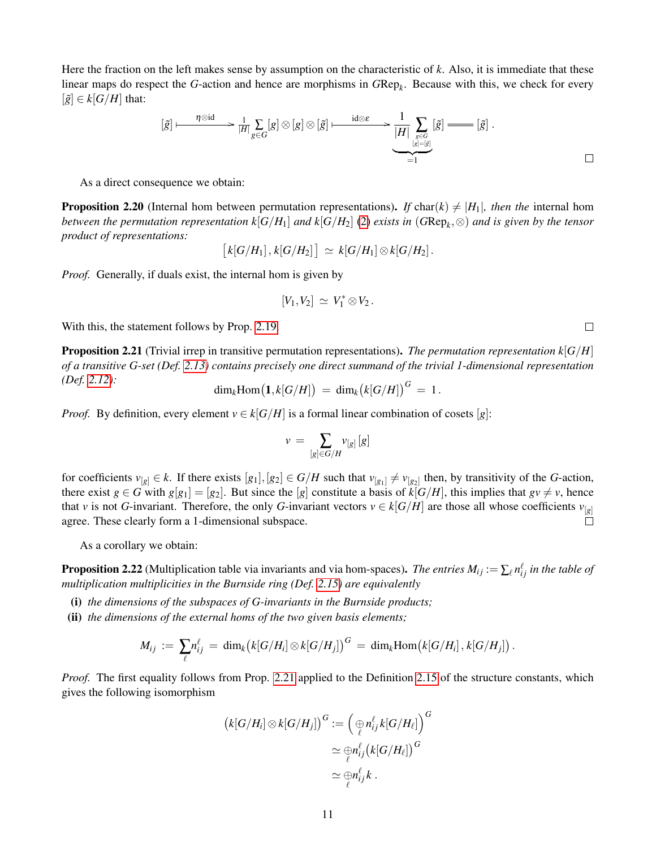Here the fraction on the left makes sense by assumption on the characteristic of *k*. Also, it is immediate that these linear maps do respect the *G*-action and hence are morphisms in *G*Rep*<sup>k</sup>* . Because with this, we check for every  $[\tilde{g}] \in k[G/H]$  that:

$$
[\tilde{g}] \longmapsto \frac{\eta \otimes id}{|H|} \sum_{g \in G} [g] \otimes [g] \otimes [\tilde{g}] \longmapsto \frac{id \otimes \varepsilon}{|H|} \sum_{\substack{g \in G \\ [g] = [g] \\ = 1}} [\tilde{g}] \longrightarrow [\tilde{g}] .
$$

As a direct consequence we obtain:

<span id="page-10-2"></span>**Proposition 2.20** (Internal hom between permutation representations). If char(k)  $\neq |H_1|$ *, then the* internal hom *between the permutation representation k*[ $G/H_1$ ] *and k*[ $G/H_2$ ] [\(2\)](#page-3-2) *exists in (* $GRep_k$ *,*  $\otimes$ ) *and is given by the tensor product of representations:*

$$
[k[G/H_1], k[G/H_2]] \simeq k[G/H_1] \otimes k[G/H_2].
$$

*Proof.* Generally, if duals exist, the internal hom is given by

$$
[V_1,V_2] \, \simeq \, V_1^* \otimes V_2 \, .
$$

With this, the statement follows by Prop. [2.19.](#page-9-0)

<span id="page-10-1"></span>**Proposition 2.21** (Trivial irrep in transitive permutation representations). *The permutation representation*  $k[G/H]$ *of a transitive G-set (Def. [2.13\)](#page-7-3) contains precisely one direct summand of the trivial 1-dimensional representation (Def. [2.12\)](#page-7-4):*

$$
\dim_k \text{Hom}(\mathbf{1}, k[G/H]) = \dim_k (k[G/H])^G = 1.
$$

*Proof.* By definition, every element  $v \in k[G/H]$  is a formal linear combination of cosets [*g*]:

$$
v\,=\,\sum_{[g]\in G/H}v_{[g]}\,[g]
$$

for coefficients  $v_{[g]} \in k$ . If there exists  $[g_1], [g_2] \in G/H$  such that  $v_{[g_1]} \neq v_{[g_2]}$  then, by transitivity of the *G*-action, there exist  $g \in G$  with  $g[g_1] = [g_2]$ . But since the [*g*] constitute a basis of  $k[G/H]$ , this implies that  $gv \neq v$ , hence that *v* is not *G*-invariant. Therefore, the only *G*-invariant vectors  $v \in k[G/H]$  are those all whose coefficients  $v_{[g]}$  agree. These clearly form a 1-dimensional subspace. agree. These clearly form a 1-dimensional subspace.

As a corollary we obtain:

<span id="page-10-0"></span>**Proposition 2.22** (Multiplication table via invariants and via hom-spaces). *The entries*  $M_{ij} := \sum_{\ell} n_{ij}^{\ell}$  *in the table of multiplication multiplicities in the Burnside ring (Def. [2.15\)](#page-8-2) are equivalently*

- (i) *the dimensions of the subspaces of G-invariants in the Burnside products;*
- (ii) *the dimensions of the external homs of the two given basis elements;*

$$
M_{ij} := \sum_{\ell} n_{ij}^{\ell} = \dim_k (k[G/H_i] \otimes k[G/H_j])^G = \dim_k \text{Hom}\big(k[G/H_i], k[G/H_j]\big).
$$

*Proof.* The first equality follows from Prop. [2.21](#page-10-1) applied to the Definition [2.15](#page-8-2) of the structure constants, which gives the following isomorphism

$$
\begin{aligned} \left(k[G/H_i] \otimes k[G/H_j]\right)^G &:= \left(\underset{\ell}{\underset{\ell}{\oplus}} n_{ij}^{\ell} k[G/H_{\ell}]\right)^G \\ &\simeq \underset{\ell}{\underset{\ell}{\oplus}} n_{ij}^{\ell} \left(k[G/H_{\ell}]\right)^G \\ &\simeq \underset{\ell}{\underset{\ell}{\oplus}} n_{ij}^{\ell} k \ .\end{aligned}
$$

 $\Box$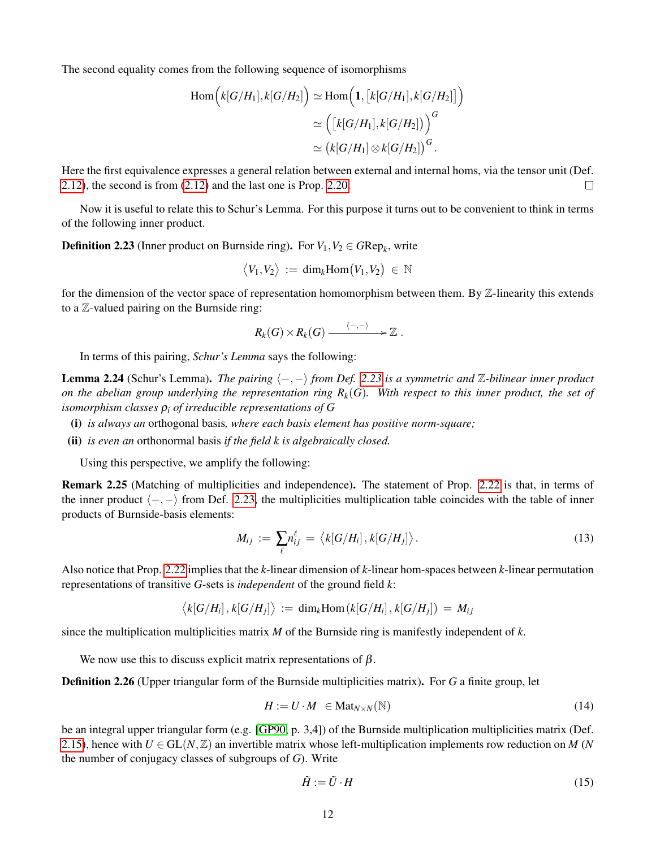The second equality comes from the following sequence of isomorphisms

$$
\begin{aligned} \mathrm{Hom}\Bigl(k[G/H_1],k[G/H_2]\Bigr)\simeq \mathrm{Hom}\Bigl( \mathbf{1},\bigl[k[G/H_1],k[G/H_2]\bigr] \Bigr)\\ \simeq \Bigl( \bigl[k[G/H_1],k[G/H_2]\bigr) \Bigr)^G\\ \simeq \bigl(k[G/H_1]\otimes k[G/H_2]\bigr)^G. \end{aligned}
$$

Here the first equivalence expresses a general relation between external and internal homs, via the tensor unit (Def. [2.12\)](#page-7-4), the second is from [\(2.12\)](#page-7-4) and the last one is Prop. [2.20.](#page-10-2)  $\Box$ 

Now it is useful to relate this to Schur's Lemma. For this purpose it turns out to be convenient to think in terms of the following inner product.

<span id="page-11-0"></span>**Definition 2.23** (Inner product on Burnside ring). For  $V_1, V_2 \in GRep_k$ , write

$$
\big\langle V_1,V_2\big\rangle\,:=\,\text{dim}_k\text{Hom}\big(V_1,V_2\big)\,\in\,\mathbb{N}
$$

for the dimension of the vector space of representation homomorphism between them. By Z-linearity this extends to a Z-valued pairing on the Burnside ring:

$$
R_k(G)\times R_k(G)\stackrel{\langle-,-\rangle}{-\!\!\!-\!\!\!-\!\!\!-\!\!\!-\!\!\!-\!\!\!-\!\!\!\longrightarrow} \mathbb{Z}\ .
$$

In terms of this pairing, *Schur's Lemma* says the following:

<span id="page-11-5"></span>**Lemma 2.24** (Schur's Lemma). *The pairing*  $\langle -, - \rangle$  *from Def.* [2.23](#page-11-0) *is a symmetric and* Z-bilinear *inner product on the abelian group underlying the representation ring*  $R_k(G)$ *. With respect to this inner product, the set of isomorphism classes* ρ*<sup>i</sup> of irreducible representations of G*

- (i) *is always an* orthogonal basis*, where each basis element has positive norm-square;*
- (ii) *is even an* orthonormal basis *if the field k is algebraically closed.*

Using this perspective, we amplify the following:

<span id="page-11-4"></span>Remark 2.25 (Matching of multiplicities and independence). The statement of Prop. [2.22](#page-10-0) is that, in terms of the inner product  $\langle -, - \rangle$  from Def. [2.23,](#page-11-0) the multiplicities multiplication table coincides with the table of inner products of Burnside-basis elements:

<span id="page-11-3"></span>
$$
M_{ij} := \sum_{\ell} n_{ij}^{\ell} = \langle k[G/H_i], k[G/H_j] \rangle.
$$
 (13)

Also notice that Prop. [2.22](#page-10-0) implies that the *k*-linear dimension of *k*-linear hom-spaces between *k*-linear permutation representations of transitive *G*-sets is *independent* of the ground field *k*:

$$
\langle k[G/H_i], k[G/H_j] \rangle := \dim_k \text{Hom}\left(k[G/H_i], k[G/H_j]\right) = M_{ij}
$$

since the multiplication multiplicities matrix *M* of the Burnside ring is manifestly independent of *k*.

We now use this to discuss explicit matrix representations of  $\beta$ .

<span id="page-11-2"></span>Definition 2.26 (Upper triangular form of the Burnside multiplicities matrix). For *G* a finite group, let

<span id="page-11-1"></span>
$$
H := U \cdot M \in \text{Mat}_{N \times N}(\mathbb{N}) \tag{14}
$$

be an integral upper triangular form (e.g. [\[GP90,](#page-44-17) p. 3,4]) of the Burnside multiplication multiplicities matrix (Def. [2.15\)](#page-8-2), hence with  $U \in GL(N, \mathbb{Z})$  an invertible matrix whose left-multiplication implements row reduction on *M* (*N* the number of conjugacy classes of subgroups of *G*). Write

<span id="page-11-6"></span>
$$
\tilde{H} := \tilde{U} \cdot H \tag{15}
$$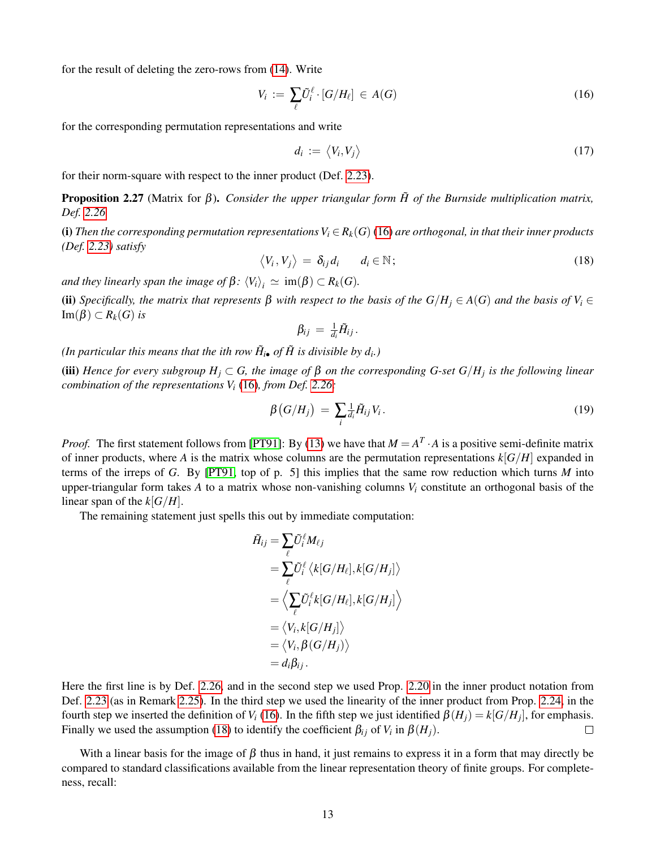for the result of deleting the zero-rows from [\(14\)](#page-11-1). Write

<span id="page-12-1"></span>
$$
V_i := \sum_{\ell} \tilde{U}_i^{\ell} \cdot [G/H_{\ell}] \in A(G) \tag{16}
$$

for the corresponding permutation representations and write

$$
d_i := \langle V_i, V_j \rangle \tag{17}
$$

for their norm-square with respect to the inner product (Def. [2.23\)](#page-11-0).

<span id="page-12-4"></span>**Proposition 2.27** (Matrix for β). *Consider the upper triangular form*  $H$  *of the Burnside multiplication matrix, Def. [2.26.](#page-11-2)*

(i) Then the corresponding permutation representations  $V_i \in R_k(G)$  [\(16\)](#page-12-1) are orthogonal, in that their inner products *(Def. [2.23\)](#page-11-0) satisfy*

<span id="page-12-2"></span>
$$
\langle V_i, V_j \rangle = \delta_{ij} d_i \qquad d_i \in \mathbb{N}; \tag{18}
$$

*and they linearly span the image of*  $\beta$ *:*  $\langle V_i \rangle_i \simeq \text{im}(\beta) \subset R_k(G)$ *.* 

(ii) *Specifically, the matrix that represents* β *with respect to the basis of the G*/*H<sup>j</sup>* ∈ *A*(*G*) *and the basis of V<sup>i</sup>* ∈ Im(β) ⊂ *Rk*(*G*) *is*

$$
\beta_{ij} = \tfrac{1}{d_i} \tilde{H}_{ij}.
$$

*(In particular this means that the ith row*  $\tilde{H}_{i\bullet}$  *of*  $\tilde{H}$  *is divisible by*  $d_i$ *.)* 

(iii) *Hence for every subgroup H<sup>j</sup>* ⊂ *G, the image of* β *on the corresponding G-set G*/*H<sup>j</sup> is the following linear combination of the representations V<sup>i</sup>* [\(16\)](#page-12-1)*, from Def. [2.26:](#page-11-2)*

<span id="page-12-3"></span>
$$
\beta\left(G/H_{j}\right) = \sum_{i} \frac{1}{d_{i}} \tilde{H}_{ij} V_{i}.
$$
\n(19)

*Proof.* The first statement follows from [\[PT91\]](#page-44-18): By [\(13\)](#page-11-3) we have that  $M = A^T \cdot A$  is a positive semi-definite matrix of inner products, where *A* is the matrix whose columns are the permutation representations  $k[G/H]$  expanded in terms of the irreps of *G*. By [\[PT91,](#page-44-18) top of p. 5] this implies that the same row reduction which turns *M* into upper-triangular form takes  $A$  to a matrix whose non-vanishing columns  $V_i$  constitute an orthogonal basis of the linear span of the *k*[*G*/*H*].

The remaining statement just spells this out by immediate computation:

$$
\begin{aligned} \tilde{H}_{ij} &= \sum_\ell \tilde{U}_i^\ell M_{\ell j} \\ &= \sum_\ell \tilde{U}_i^\ell \left\langle k[G/H_\ell], k[G/H_j] \right\rangle \\ &= \left\langle \sum_\ell \tilde{U}_i^\ell k[G/H_\ell], k[G/H_j] \right\rangle \\ &= \left\langle V_i, k[G/H_j] \right\rangle \\ &= \left\langle V_i, \beta(G/H_j) \right\rangle \\ &= d_i \beta_{ij} \,. \end{aligned}
$$

Here the first line is by Def. [2.26,](#page-11-2) and in the second step we used Prop. [2.20](#page-10-2) in the inner product notation from Def. [2.23](#page-11-0) (as in Remark [2.25\)](#page-11-4). In the third step we used the linearity of the inner product from Prop. [2.24,](#page-11-5) in the fourth step we inserted the definition of *V*<sub>*i*</sub> [\(16\)](#page-12-1). In the fifth step we just identified  $\beta(H_j) = k[G/H_j]$ , for emphasis. Finally we used the assumption [\(18\)](#page-12-2) to identify the coefficient  $\beta_{ij}$  of  $V_i$  in  $\beta(H_j)$ .  $\Box$ 

<span id="page-12-0"></span>With a linear basis for the image of  $\beta$  thus in hand, it just remains to express it in a form that may directly be compared to standard classifications available from the linear representation theory of finite groups. For completeness, recall: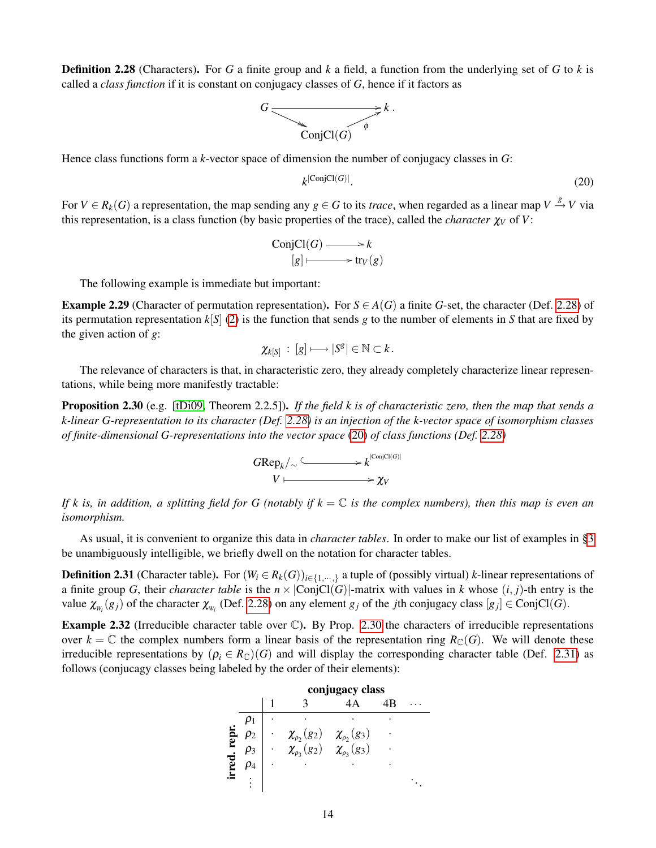Definition 2.28 (Characters). For *G* a finite group and *k* a field, a function from the underlying set of *G* to *k* is called a *class function* if it is constant on conjugacy classes of *G*, hence if it factors as



Hence class functions form a *k*-vector space of dimension the number of conjugacy classes in *G*:

<span id="page-13-1"></span>
$$
k^{\left|\operatorname{ConjCl}(G)\right|}.\tag{20}
$$

For  $V \in R_k(G)$  a representation, the map sending any  $g \in G$  to its *trace*, when regarded as a linear map  $V \stackrel{g}{\to} V$  via this representation, is a class function (by basic properties of the trace), called the *character*  $\chi_V$  of *V*:

ConjCl(*G*) 
$$
\longrightarrow k
$$
  
\n $[g] \longmapsto \text{tr}_V(g)$ 

The following example is immediate but important:

<span id="page-13-0"></span>**Example 2.29** (Character of permutation representation). For  $S \in A(G)$  a finite *G*-set, the character (Def. [2.28\)](#page-12-0) of its permutation representation  $k[S]$  [\(2\)](#page-3-2) is the function that sends *g* to the number of elements in *S* that are fixed by the given action of *g*:

$$
\chi_{k[S]} \,:\, [g]\longmapsto |S^g|\in\mathbb{N}\subset k\,.
$$

The relevance of characters is that, in characteristic zero, they already completely characterize linear representations, while being more manifestly tractable:

<span id="page-13-2"></span>Proposition 2.30 (e.g. [\[tDi09,](#page-45-15) Theorem 2.2.5]). *If the field k is of characteristic zero, then the map that sends a k-linear G-representation to its character (Def. [2.28\)](#page-12-0) is an injection of the k-vector space of isomorphism classes of finite-dimensional G-representations into the vector space* [\(20\)](#page-13-1) *of class functions (Def. [2.28\)](#page-12-0)*



*If k is, in addition, a splitting field for G (notably if k* = C *is the complex numbers), then this map is even an isomorphism.*

As usual, it is convenient to organize this data in *character tables*. In order to make our list of examples in [§3](#page-16-0) be unambiguously intelligible, we briefly dwell on the notation for character tables.

<span id="page-13-3"></span>**Definition 2.31** (Character table). For  $(W_i \in R_k(G))_{i \in \{1,\dots,\}}$  a tuple of (possibly virtual) *k*-linear representations of a finite group *G*, their *character table* is the  $n \times |ConjCl(G)|$ -matrix with values in *k* whose  $(i, j)$ -th entry is the value  $\chi_{W_i}(g_j)$  of the character  $\chi_{W_i}$  (Def. [2.28\)](#page-12-0) on any element  $g_j$  of the *j*th conjugacy class  $[g_j] \in \text{ConjCl}(G)$ .

<span id="page-13-4"></span>Example 2.32 (Irreducible character table over C). By Prop. [2.30](#page-13-2) the characters of irreducible representations over  $k = \mathbb{C}$  the complex numbers form a linear basis of the representation ring  $R_{\mathbb{C}}(G)$ . We will denote these irreducible representations by  $(\rho_i \in R_{\mathbb{C}})(G)$  and will display the corresponding character table (Def. [2.31\)](#page-13-3) as follows (conjucagy classes being labeled by the order of their elements):

|       |  | conjugacy class                                                                        |  |  |  |  |  |
|-------|--|----------------------------------------------------------------------------------------|--|--|--|--|--|
|       |  |                                                                                        |  |  |  |  |  |
|       |  |                                                                                        |  |  |  |  |  |
| repr. |  |                                                                                        |  |  |  |  |  |
|       |  | $\chi_{\rho_2}(g_2)$ $\chi_{\rho_2}(g_3)$<br>$\chi_{\rho_3}(g_2)$ $\chi_{\rho_3}(g_3)$ |  |  |  |  |  |
| rred  |  |                                                                                        |  |  |  |  |  |
|       |  |                                                                                        |  |  |  |  |  |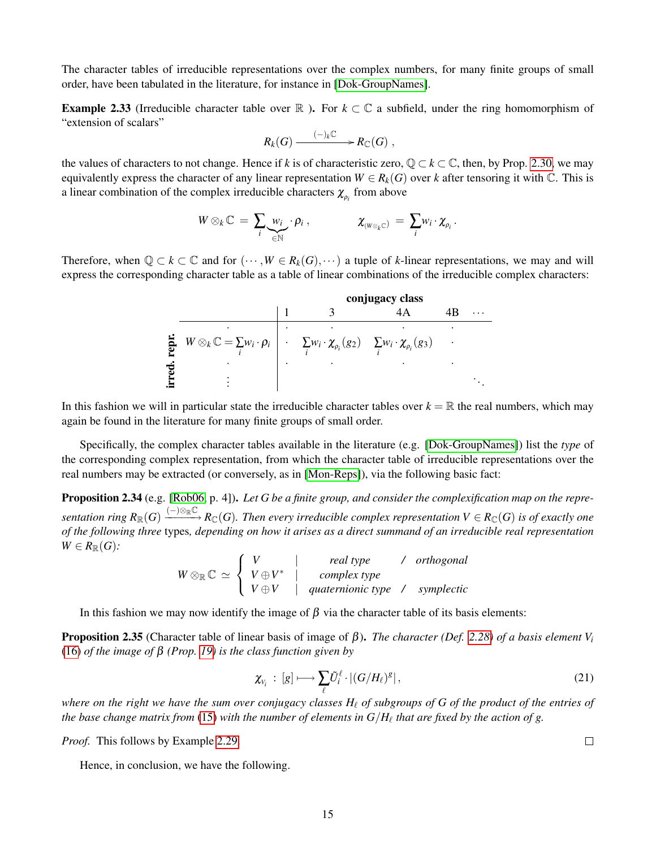The character tables of irreducible representations over the complex numbers, for many finite groups of small order, have been tabulated in the literature, for instance in [\[Dok-GroupNames\]](#page-45-17).

<span id="page-14-1"></span>**Example 2.33** (Irreducible character table over  $\mathbb{R}$ ). For  $k \subset \mathbb{C}$  a subfield, under the ring homomorphism of "extension of scalars"

$$
R_k(G) \xrightarrow{(-)_k \mathbb{C}} R_{\mathbb{C}}(G) ,
$$

the values of characters to not change. Hence if *k* is of characteristic zero,  $\mathbb{Q} \subset k \subset \mathbb{C}$ , then, by Prop. [2.30,](#page-13-2) we may equivalently express the character of any linear representation  $W \in R_k(G)$  over *k* after tensoring it with  $\mathbb{C}$ . This is a linear combination of the complex irreducible characters  $\chi_{\rho_i}$  from above

$$
W\otimes_k \mathbb{C} = \sum_i \underbrace{w_i}_{\in \mathbb{N}} \cdot \rho_i , \qquad \qquad \chi_{(W\otimes_k \mathbb{C})} = \sum_i w_i \cdot \chi_{\rho_i} .
$$

Therefore, when  $\mathbb{Q} \subset k \subset \mathbb{C}$  and for  $(\cdots, W \in R_k(G), \cdots)$  a tuple of *k*-linear representations, we may and will express the corresponding character table as a table of linear combinations of the irreducible complex characters:

|   |                                                                                                                                 | conjugacy class |  |  |  |  |  |
|---|---------------------------------------------------------------------------------------------------------------------------------|-----------------|--|--|--|--|--|
|   |                                                                                                                                 |                 |  |  |  |  |  |
|   |                                                                                                                                 |                 |  |  |  |  |  |
|   | $W \otimes_k \mathbb{C} = \sum w_i \cdot \rho_i \mid \cdot \sum w_i \cdot \chi_{\rho_i}(g_2) \sum w_i \cdot \chi_{\rho_i}(g_3)$ |                 |  |  |  |  |  |
| ↽ |                                                                                                                                 |                 |  |  |  |  |  |
|   |                                                                                                                                 |                 |  |  |  |  |  |

In this fashion we will in particular state the irreducible character tables over  $k = \mathbb{R}$  the real numbers, which may again be found in the literature for many finite groups of small order.

Specifically, the complex character tables available in the literature (e.g. [\[Dok-GroupNames\]](#page-45-17)) list the *type* of the corresponding complex representation, from which the character table of irreducible representations over the real numbers may be extracted (or conversely, as in [\[Mon-Reps\]](#page-46-0)), via the following basic fact:

Proposition 2.34 (e.g. [\[Rob06,](#page-45-16) p. 4]). *Let G be a finite group, and consider the complexification map on the repre-* $Sentation$   $ring$   $R_\mathbb{R}(G) \xrightarrow{(-)\otimes_\mathbb{R} \mathbb{C}} R_\mathbb{C}(G)$ . Then every irreducible complex representation  $V \in R_\mathbb{C}(G)$  is of exactly one *of the following three* types*, depending on how it arises as a direct summand of an irreducible real representation*  $W \in R_{\mathbb{R}}(G)$ :

$$
W \otimes_{\mathbb{R}} \mathbb{C} \simeq \left\{ \begin{array}{ccc} V & | & real type & / \ or thogonal \\ V \oplus V & | & complex type \\ V \oplus V & | \quad quaternionic type & / \ \text{symplectic} \end{array} \right.
$$

In this fashion we may now identify the image of  $\beta$  via the character table of its basis elements:

<span id="page-14-0"></span>Proposition 2.35 (Character table of linear basis of image of β). *The character (Def. [2.28\)](#page-12-0) of a basis element V<sup>i</sup>* [\(16\)](#page-12-1) *of the image of* β *(Prop. [19\)](#page-12-3) is the class function given by*

<span id="page-14-2"></span>
$$
\chi_{V_i} : [g] \longmapsto \sum_{\ell} \tilde{U}_i^{\ell} \cdot |(G/H_{\ell})^g|, \qquad (21)
$$

*where on the right we have the sum over conjugacy classes*  $H_\ell$  *of subgroups of G of the product of the entries of* the base change matrix from  $(15)$  with the number of elements in  $G/H_\ell$  that are fixed by the action of g.

*Proof.* This follows by Example [2.29.](#page-13-0)

Hence, in conclusion, we have the following.

 $\Box$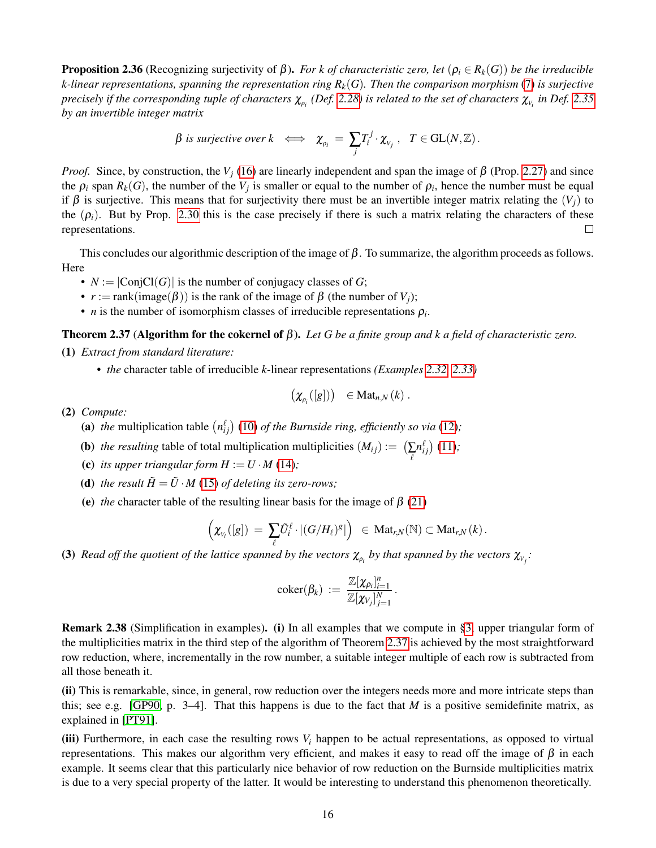**Proposition 2.36** (Recognizing surjectivity of β). *For k of characteristic zero, let* ( $ρ<sub>i</sub> ∈ R<sub>k</sub>(G)$ ) *be the irreducible k-linear representations, spanning the representation ring Rk*(*G*)*. Then the comparison morphism* [\(7\)](#page-4-3) *is surjective*  $p$ recisely if the corresponding tuple of characters  $\chi_{\rho_i}$  (Def. [2.28\)](#page-12-0) is related to the set of characters  $\chi_{\nu_i}$  in Def. [2.35](#page-14-0) *by an invertible integer matrix*

$$
\beta \text{ is surjective over } k \iff \chi_{\rho_i} = \sum_j T_i^j \cdot \chi_{v_j} , \quad T \in GL(N, \mathbb{Z}).
$$

*Proof.* Since, by construction, the  $V_j$  [\(16\)](#page-12-1) are linearly independent and span the image of  $\beta$  (Prop. [2.27\)](#page-12-4) and since the  $\rho_i$  span  $R_k(G)$ , the number of the  $V_j$  is smaller or equal to the number of  $\rho_i$ , hence the number must be equal if β is surjective. This means that for surjectivity there must be an invertible integer matrix relating the  $(V_i)$  to the  $(\rho_i)$ . But by Prop. [2.30](#page-13-2) this is the case precisely if there is such a matrix relating the characters of these representations.  $\Box$ 

This concludes our algorithmic description of the image of  $\beta$ . To summarize, the algorithm proceeds as follows. Here

- $N := |ConjCl(G)|$  is the number of conjugacy classes of *G*;
- $r := \text{rank}(\text{image}(\beta))$  is the rank of the image of  $\beta$  (the number of  $V_i$ );
- *n* is the number of isomorphism classes of irreducible representations  $\rho_i$ .

<span id="page-15-0"></span>Theorem 2.37 (Algorithm for the cokernel of β). *Let G be a finite group and k a field of characteristic zero.* (1) *Extract from standard literature:*

*• the* character table of irreducible *k*-linear representations *(Examples [2.32,](#page-13-4) [2.33\)](#page-14-1)*

$$
\left(\chi_{\rho_i}([g])\right) \in \mathrm{Mat}_{n,N}(k) .
$$

(2) *Compute:*

- (a) the multiplication table  $\left(n_{ij}^{\ell}\right)$  [\(10\)](#page-8-4) *of the Burnside ring, efficiently so via* [\(12\)](#page-9-1);
- (**b**) *the resulting* table of total multiplication multiplicities  $(M_{ij}) := \left(\sum_{\ell}$  $n_{ij}^{\ell}$  $(11)$ ;
- (c) *its upper triangular form*  $H := U \cdot M$  *[\(14\)](#page-11-1);*
- (**d**) *the result*  $\tilde{H} = \tilde{U} \cdot M$  [\(15\)](#page-11-6) *of deleting its zero-rows;*
- (e) *the* character table of the resulting linear basis for the image of  $\beta$  [\(21\)](#page-14-2)

$$
\left(\chi_{_{V_i}}([g])\ =\ \sum_{\ell} \tilde{U}_i^{\ell}\cdot|(G/H_{\ell})^g|\right)\ \ \in\ \mathrm{Mat}_{r,N}(\mathbb{N})\subset \mathrm{Mat}_{r,N}\left(k\right).
$$

(3) *Read off the quotient of the lattice spanned by the vectors*  $\chi_{\rho_i}$  *by that spanned by the vectors*  $\chi_{v_j}$ *:* 

$$
\mathrm{coker}(\beta_k) \ := \ \frac{\mathbb{Z}[\chi_{\rho_i}]_{i=1}^n}{\mathbb{Z}[\chi_{V_j}]_{j=1}^N} \, .
$$

Remark 2.38 (Simplification in examples). (i) In all examples that we compute in [§3,](#page-16-0) upper triangular form of the multiplicities matrix in the third step of the algorithm of Theorem [2.37](#page-15-0) is achieved by the most straightforward row reduction, where, incrementally in the row number, a suitable integer multiple of each row is subtracted from all those beneath it.

(ii) This is remarkable, since, in general, row reduction over the integers needs more and more intricate steps than this; see e.g. [\[GP90,](#page-44-17) p. 3–4]. That this happens is due to the fact that *M* is a positive semidefinite matrix, as explained in [\[PT91\]](#page-44-18).

(iii) Furthermore, in each case the resulting rows  $V_i$  happen to be actual representations, as opposed to virtual representations. This makes our algorithm very efficient, and makes it easy to read off the image of  $β$  in each example. It seems clear that this particularly nice behavior of row reduction on the Burnside multiplicities matrix is due to a very special property of the latter. It would be interesting to understand this phenomenon theoretically.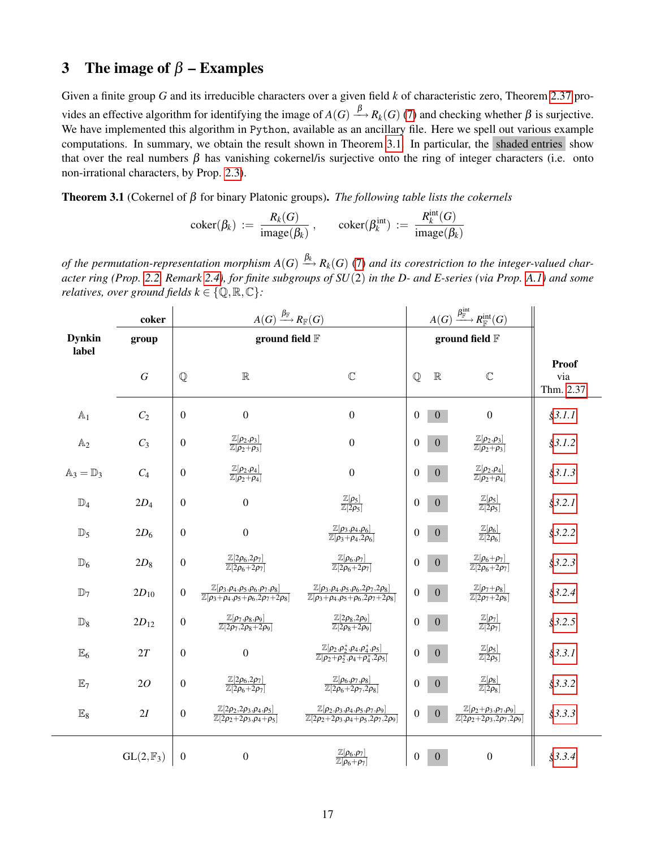## <span id="page-16-0"></span>3 The image of  $\beta$  – Examples

Given a finite group *G* and its irreducible characters over a given field *k* of characteristic zero, Theorem [2.37](#page-15-0) provides an effective algorithm for identifying the image of  $A(G) \stackrel{\beta}{\longrightarrow} R_k(G)$  [\(7\)](#page-4-3) and checking whether  $\beta$  is surjective. We have implemented this algorithm in Python, available as an ancillary file. Here we spell out various example computations. In summary, we obtain the result shown in Theorem [3.1.](#page-16-1) In particular, the shaded entries show that over the real numbers  $\beta$  has vanishing cokernel/is surjective onto the ring of integer characters (i.e. onto non-irrational characters, by Prop. [2.3\)](#page-6-0).

<span id="page-16-1"></span>Theorem 3.1 (Cokernel of β for binary Platonic groups). *The following table lists the cokernels*

$$
coker(\beta_k) := \frac{R_k(G)}{image(\beta_k)}, \quad coker(\beta_k^{int}) := \frac{R_k^{int}(G)}{image(\beta_k)}
$$

of the permutation-representation morphism  $A(G) \stackrel{\beta_k}{\longrightarrow} R_k(G)$  [\(7\)](#page-4-3) and its corestriction to the integer-valued char*acter ring (Prop. [2.2,](#page-5-3) Remark [2.4\)](#page-6-3), for finite subgroups of SU*(2) *in the D- and E-series (via Prop. [A.1\)](#page-41-2) and some relatives, over ground fields*  $k \in \{Q, \mathbb{R}, \mathbb{C}\}$ :

|                                 | $A(G) \xrightarrow{\beta_{\mathbb{F}}} R_{\mathbb{F}}(G)$<br>coker |                  |                                                                                                                              |                                                                                                                                | $A(G) \xrightarrow{\beta^{\rm int}_{\mathbb{F}}} R^{\rm int}_{\mathbb{F}}(G)$ |                  |                                                                                               |                                   |
|---------------------------------|--------------------------------------------------------------------|------------------|------------------------------------------------------------------------------------------------------------------------------|--------------------------------------------------------------------------------------------------------------------------------|-------------------------------------------------------------------------------|------------------|-----------------------------------------------------------------------------------------------|-----------------------------------|
| <b>Dynkin</b><br>group<br>label |                                                                    | ground field F   |                                                                                                                              |                                                                                                                                | ground field F                                                                |                  |                                                                                               |                                   |
|                                 | $\overline{G}$                                                     | $\mathbb{Q}$     | $\mathbb R$                                                                                                                  | $\mathbb{C}$                                                                                                                   | $\mathbb{Q}$                                                                  | $\mathbb R$      | $\mathbb{C}$                                                                                  | <b>Proof</b><br>via<br>Thm. 2.37: |
| $\mathbb{A}_1$                  | C <sub>2</sub>                                                     | $\boldsymbol{0}$ | $\overline{0}$                                                                                                               | $\boldsymbol{0}$                                                                                                               | $\theta$                                                                      | $\overline{0}$   | $\boldsymbol{0}$                                                                              | \$3.1.1                           |
| $\mathbb{A}_2$                  | $C_3$                                                              | $\boldsymbol{0}$ | $\frac{\mathbb{Z}[\rho_2,\rho_3]}{\mathbb{Z}[\rho_2+\rho_3]}$                                                                | $\boldsymbol{0}$                                                                                                               | $\theta$                                                                      | $\boldsymbol{0}$ | $\frac{\mathbb{Z}[\rho_2,\rho_3]}{\mathbb{Z}[\rho_2+\rho_3]}$                                 | \$3.1.2                           |
| $\mathbb{A}_3 = \mathbb{D}_3$   | $C_4$                                                              | $\boldsymbol{0}$ | $\frac{\mathbb{Z}[\rho_2,\rho_4]}{\mathbb{Z}[\rho_2+\rho_4]}$                                                                | $\boldsymbol{0}$                                                                                                               | $\theta$                                                                      | $\mathbf{0}$     | $\frac{\mathbb{Z}[\rho_2,\rho_4]}{\mathbb{Z}[\rho_2+\rho_4]}$                                 | \$3.1.3                           |
| $\mathbb{D}_4$                  | $2D_4$                                                             | $\boldsymbol{0}$ | $\boldsymbol{0}$                                                                                                             | $\frac{\mathbb{Z}[\rho_5]}{\mathbb{Z}[2\rho_5]}$                                                                               | $\boldsymbol{0}$                                                              | $\mathbf{0}$     | $\frac{\mathbb{Z}[\rho_5]}{\mathbb{Z}[2\rho_5]}$                                              | \$3.2.1                           |
| $\mathbb{D}_5$                  | $2D_6$                                                             | $\boldsymbol{0}$ | $\overline{0}$                                                                                                               | $\frac{\mathbb{Z}[\rho_3,\rho_4,\rho_6]}{\mathbb{Z}[\rho_3+\rho_4,2\rho_6]}$                                                   | $\theta$                                                                      | $\mathbf{0}$     | $\frac{\mathbb{Z}[\rho_6]}{\mathbb{Z}[2\rho_6]}$                                              | \$3.2.2                           |
| $\mathbb{D}_6$                  | $2D_8$                                                             | $\boldsymbol{0}$ | $\frac{\mathbb{Z}[2\rho_6,2\rho_7]}{\mathbb{Z}[2\rho_6+2\rho_7]}$                                                            | $\frac{\mathbb{Z}[\rho_6,\rho_7]}{\mathbb{Z}[2\rho_6+2\rho_7]}$                                                                | 0                                                                             | $\boldsymbol{0}$ | $\frac{\mathbb{Z}[\rho_6+\rho_7]}{\mathbb{Z}[2\rho_6+2\rho_7]}$                               | \$3.2.3                           |
| $\mathbb{D}_7$                  | $2D_{10}$                                                          | $\boldsymbol{0}$ | $\mathbb{Z}[\rho_3,\rho_4,\rho_5,\rho_6,\rho_7,\rho_8]$<br>$\mathbb{Z}[\rho_3 + \rho_4, \rho_5 + \rho_6, 2\rho_7 + 2\rho_8]$ | $\mathbb{Z}[\rho_3,\rho_4,\rho_5,\rho_6,2\rho_7,2\rho_8]$<br>$\mathbb{Z}[\rho_3 + \rho_4, \rho_5 + \rho_6, 2\rho_7 + 2\rho_8]$ | $\overline{0}$                                                                | $\boldsymbol{0}$ | $\frac{\mathbb{Z}[\rho_7+\rho_8]}{\mathbb{Z}[2\rho_7+2\rho_8]}$                               | \$3.2.4                           |
| $\mathbb{D}_8$                  | $2D_{12}$                                                          | $\boldsymbol{0}$ | $\frac{\mathbb{Z}[\rho_7,\rho_8,\rho_9]}{\mathbb{Z}[2\rho_7,2\rho_8+2\rho_9]}$                                               | $\frac{\mathbb{Z}[2\rho_8, 2\rho_9]}{\mathbb{Z}[2\rho_8+2\rho_9]}$                                                             | $\overline{0}$                                                                | $\boldsymbol{0}$ | $\frac{\mathbb{Z}[\rho_7]}{\mathbb{Z}[2\rho_7]}$                                              | \$3.2.5                           |
| $\mathbb{E}_6$                  | 2T                                                                 | $\mathbf{0}$     | $\overline{0}$                                                                                                               | $\mathbb{Z}[\rho_2,\rho_2^*,\rho_4,\rho_4^*,\rho_5]$<br>$\overline{\mathbb{Z}[\rho_2+\rho_2^*,\rho_4+\rho_4^*,2\rho_5]}$       | $\Omega$                                                                      | $\mathbf{0}$     | $\frac{\mathbb{Z}[\rho_5]}{\mathbb{Z}[2\rho_5]}$                                              | \$3.3.1                           |
| $\mathbb{E}_7$                  | 20                                                                 | $\boldsymbol{0}$ | $\frac{\mathbb{Z}[2\rho_6,2\rho_7]}{\mathbb{Z}[2\rho_6+2\rho_7]}$                                                            | $\frac{\mathbb{Z}[\rho_6,\rho_7,\rho_8]}{\mathbb{Z}[2\rho_6+2\rho_7,2\rho_8]}$                                                 | $\overline{0}$                                                                | $\mathbf{0}$     | $\frac{\mathbb{Z}[\rho_8]}{\mathbb{Z}[2\rho_8]}$                                              | \$3.3.2                           |
| $\mathbb{E}_8$                  | 2I                                                                 | $\boldsymbol{0}$ | $\mathbb{Z}[2\rho_2,\!2\rho_3,\!\rho_4,\!\rho_5]$<br>$\overline{\mathbb{Z}[2\rho_2+2\rho_3,\rho_4+\rho_5]}$                  | $\mathbb{Z}[\rho_2,\rho_3,\rho_4,\rho_5,\rho_7,\rho_9]$<br>$\mathbb{Z}[2\rho_2+2\rho_3,\rho_4+\rho_5,2\rho_7,2\rho_9]$         | $\boldsymbol{0}$                                                              | $\mathbf{0}$     | $\frac{\mathbb{Z}[\rho_2+\rho_3,\rho_7,\rho_9]}{\mathbb{Z}[2\rho_2+2\rho_3,2\rho_7,2\rho_9]}$ | \$3.3.3                           |
|                                 | $GL(2,\mathbb{F}_3)$                                               | $\boldsymbol{0}$ | $\overline{0}$                                                                                                               | $\frac{\mathbb{Z}[\rho_6,\rho_7]}{\mathbb{Z}[\rho_6+\rho_7]}$                                                                  | $\mathbf{0}$                                                                  | $\mathbf{0}$     | $\boldsymbol{0}$                                                                              | \$3.3.4                           |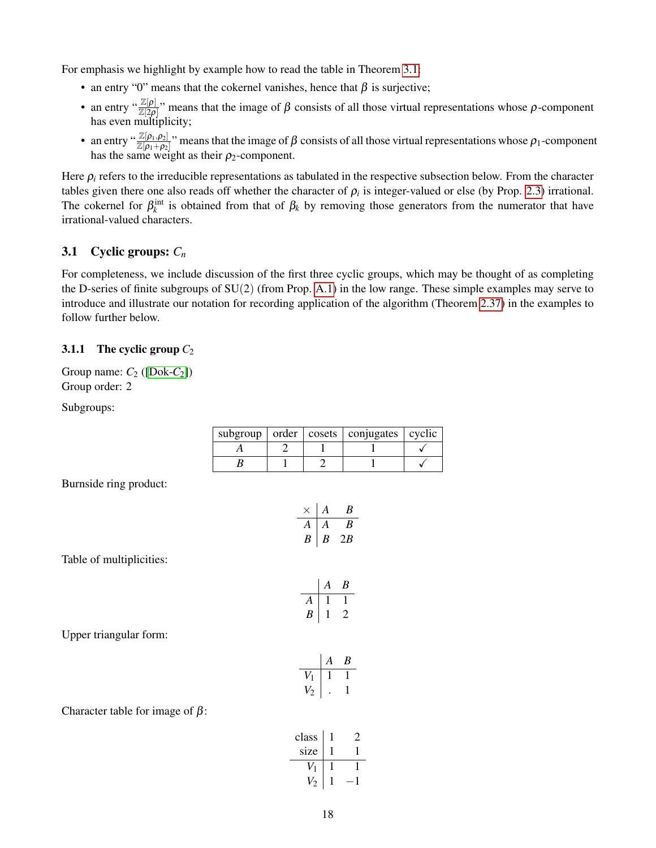For emphasis we highlight by example how to read the table in Theorem [3.1:](#page-16-1)

- an entry "0" means that the cokernel vanishes, hence that  $\beta$  is surjective;
- an entry " $\frac{\mathbb{Z}[\rho]}{\mathbb{Z}[2\rho]}$ " means that the image of  $\beta$  consists of all those virtual representations whose  $\rho$ -component has even multiplicity;
- an entry " $\frac{\mathbb{Z}[\rho_1,\rho_2]}{\mathbb{Z}[\rho_1+\rho_2]}$ " means that the image of  $\beta$  consists of all those virtual representations whose  $\rho_1$ -component has the same weight as their  $\rho_2$ -component.

Here  $\rho_i$  refers to the irreducible representations as tabulated in the respective subsection below. From the character tables given there one also reads off whether the character of  $\rho_i$  is integer-valued or else (by Prop. [2.3\)](#page-6-0) irrational. The cokernel for  $\beta_k^{\text{int}}$  is obtained from that of  $\beta_k$  by removing those generators from the numerator that have irrational-valued characters.

#### <span id="page-17-0"></span>3.1 Cyclic groups: *C<sup>n</sup>*

For completeness, we include discussion of the first three cyclic groups, which may be thought of as completing the D-series of finite subgroups of  $SU(2)$  (from Prop. [A.1\)](#page-41-2) in the low range. These simple examples may serve to introduce and illustrate our notation for recording application of the algorithm (Theorem [2.37\)](#page-15-0) in the examples to follow further below.

#### <span id="page-17-1"></span>3.1.1 The cyclic group  $C_2$

Group name:  $C_2$  ([\[Dok-](#page-45-18) $C_2$ ]) Group order: 2

Subgroups:

|  | subgroup   order   cosets   conjugates   cyclic |  |
|--|-------------------------------------------------|--|
|  |                                                 |  |
|  |                                                 |  |

Burnside ring product:

|   | А | к   |
|---|---|-----|
| A | A | к   |
| R | к | 2.B |

Table of multiplicities:

$$
\begin{array}{c|cc}\n & A & B \\
\hline\nA & 1 & 1 \\
B & 1 & 2\n\end{array}
$$

Upper triangular form:

|              | Ą | R |
|--------------|---|---|
| $\mathbf{V}$ |   |   |
| V.           |   |   |

Character table for image of  $\beta$ :

| class          |  |
|----------------|--|
| size           |  |
|                |  |
| $\overline{c}$ |  |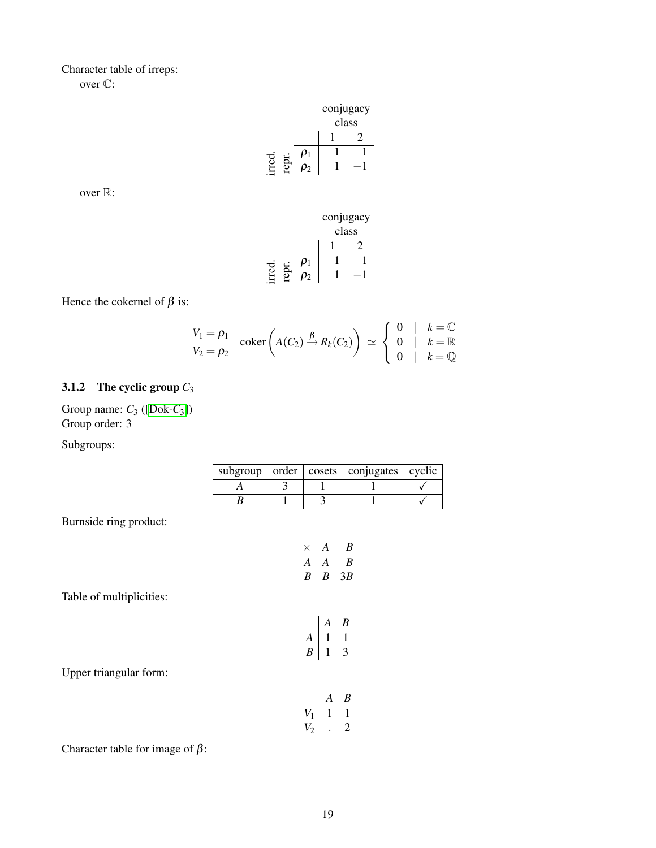#### Character table of irreps: over C:

|  |                    | conjugacy |       |
|--|--------------------|-----------|-------|
|  |                    |           | class |
|  |                    |           |       |
|  | $\boldsymbol{v}_1$ |           |       |
|  | υ2                 |           |       |

over R:



Hence the cokernel of  $\beta$  is:

$$
\begin{array}{c}\nV_1 = \rho_1 \\
V_2 = \rho_2\n\end{array}\n\Bigg| \ \text{coker}\left(A(C_2) \xrightarrow{\beta} R_k(C_2)\right) \simeq\n\begin{cases}\n0 & k = \mathbb{C} \\
0 & k = \mathbb{R} \\
0 & k = \mathbb{Q}\n\end{cases}
$$

#### <span id="page-18-0"></span>3.1.2 The cyclic group *C*<sup>3</sup>

Group name: *C*<sup>3</sup> ([\[Dok-](#page-45-19)*C*3]) Group order: 3

Subgroups:

|  | subgroup $\vert$ order $\vert$ cosets $\vert$ conjugates $\vert$ cyclic |  |
|--|-------------------------------------------------------------------------|--|
|  |                                                                         |  |
|  |                                                                         |  |

Burnside ring product:

$$
\begin{array}{c|cc}\n\times & A & B \\
\hline\nA & A & B \\
B & B & 3B\n\end{array}
$$

Table of multiplicities:

$$
\begin{array}{c|cc}\n & A & B \\
\hline\nA & 1 & 1 \\
B & 1 & 3\n\end{array}
$$

Upper triangular form:

$$
\begin{array}{c|cc}\n & A & B \\
\hline\nV_1 & 1 & 1 \\
V_2 & . & 2\n\end{array}
$$

Character table for image of  $\beta$ :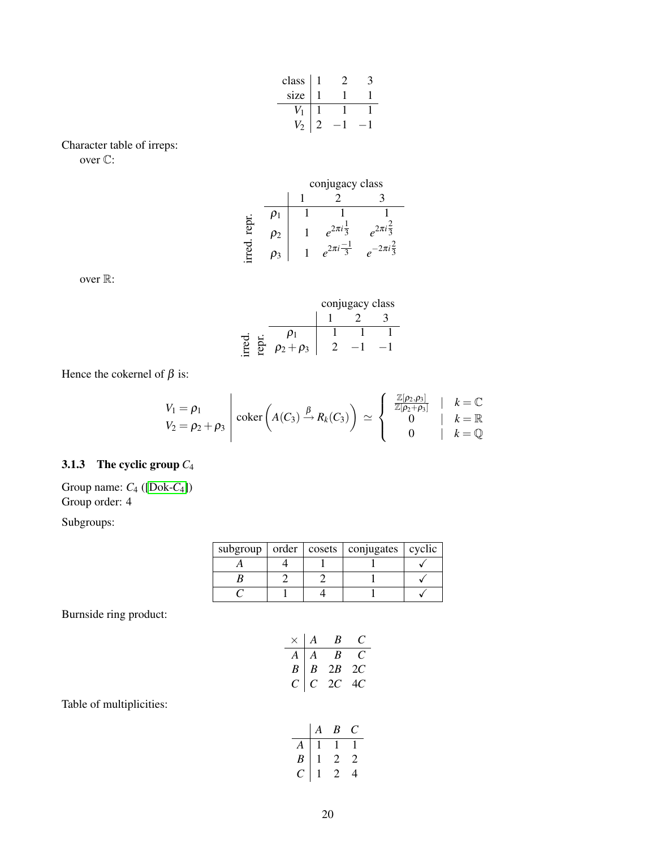| class |  |  |
|-------|--|--|
| size  |  |  |
|       |  |  |
|       |  |  |

Character table of irreps: over C:

|       |         | conjugacy class           |                          |  |  |  |
|-------|---------|---------------------------|--------------------------|--|--|--|
|       |         |                           |                          |  |  |  |
|       |         |                           |                          |  |  |  |
| repr. | $\mu_2$ | $e^{2\pi i \frac{1}{3}}$  | $e^{2\pi i \frac{2}{3}}$ |  |  |  |
| me    | P٩      | $e^{2\pi i \frac{-1}{3}}$ | $2\pi i \frac{2}{3}$     |  |  |  |

over R:

|  |                 | conjugacy class |  |  |  |
|--|-----------------|-----------------|--|--|--|
|  |                 |                 |  |  |  |
|  |                 |                 |  |  |  |
|  | $\rho_2+\rho_3$ |                 |  |  |  |

Hence the cokernel of  $\beta$  is:

$$
V_1 = \rho_1
$$
  
\n
$$
V_2 = \rho_2 + \rho_3
$$
 
$$
\begin{array}{ccc} \text{coker}\left(A(C_3) \xrightarrow{\beta} R_k(C_3)\right) & \simeq \left\{\begin{array}{ccc} \frac{\mathbb{Z}[\rho_2, \rho_3]}{\mathbb{Z}[\rho_2 + \rho_3]} & | & k = \mathbb{C} \\ 0 & | & k = \mathbb{R} \\ 0 & | & k = \mathbb{Q} \end{array}\right.\end{array}
$$

#### <span id="page-19-0"></span>3.1.3 The cyclic group *C*<sup>4</sup>

Group name: *C*<sup>4</sup> ([\[Dok-](#page-45-20)*C*4]) Group order: 4

Subgroups:

|  | subgroup $\vert$ order $\vert$ cosets $\vert$ conjugates $\vert$ cyclic |  |
|--|-------------------------------------------------------------------------|--|
|  |                                                                         |  |
|  |                                                                         |  |
|  |                                                                         |  |

Burnside ring product:

|             | A        | B    | t :  |
|-------------|----------|------|------|
| A           | $\bf{A}$ | B    | . .  |
| $B^{\perp}$ | B        | 2B   | - 2C |
| C           | C        | 2C - | 40.  |

Table of multiplicities:

|     | А | B             | ſ            |
|-----|---|---------------|--------------|
| A   |   |               |              |
| B   |   | $\mathbf{Z}$  | $\mathbf{Z}$ |
| . . |   | $\mathcal{L}$ | 4            |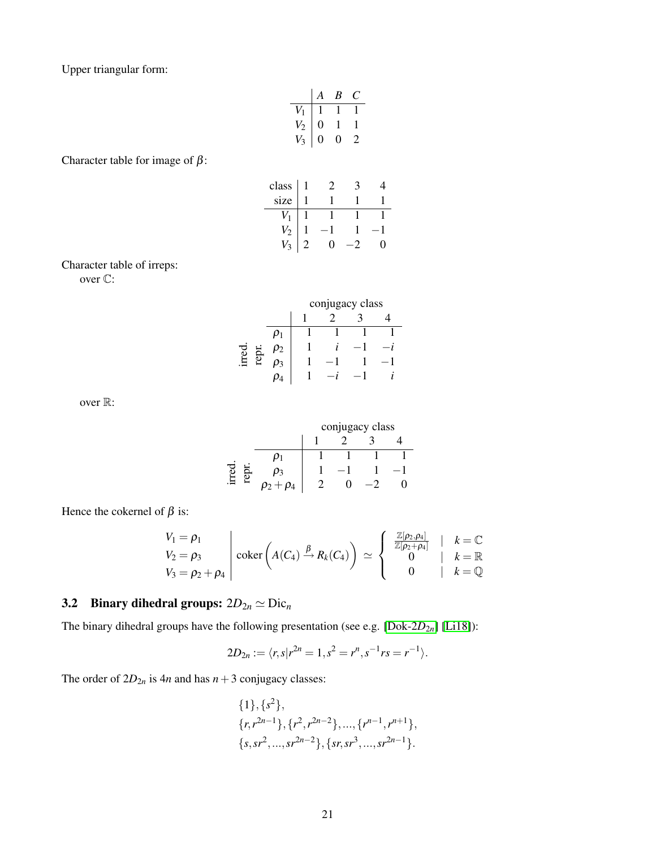Upper triangular form:

$$
\begin{array}{c|cc}\n & A & B & C \\
\hline\nV_1 & 1 & 1 & 1 \\
V_2 & 0 & 1 & 1 \\
V_3 & 0 & 0 & 2\n\end{array}
$$

Character table for image of  $\beta$ :

| class $ 1$ |  |  |
|------------|--|--|
| size       |  |  |
|            |  |  |
|            |  |  |
|            |  |  |

Character table of irreps:

over C:

|  | conjugacy class |  |  |  |  |
|--|-----------------|--|--|--|--|
|  |                 |  |  |  |  |
|  |                 |  |  |  |  |
|  |                 |  |  |  |  |
|  |                 |  |  |  |  |
|  |                 |  |  |  |  |

over R:

|  | conjugacy class |  |  |  |  |
|--|-----------------|--|--|--|--|
|  |                 |  |  |  |  |
|  |                 |  |  |  |  |
|  |                 |  |  |  |  |
|  |                 |  |  |  |  |

Hence the cokernel of  $\beta$  is:

$$
V_1 = \rho_1
$$
  
\n
$$
V_2 = \rho_3
$$
  
\n
$$
V_3 = \rho_2 + \rho_4
$$
  $\bigg| \ \coker \left( A(C_4) \xrightarrow{\beta} R_k(C_4) \right) \simeq \begin{cases} \frac{\mathbb{Z}[\rho_2, \rho_4]}{\mathbb{Z}[\rho_2 + \rho_4]} & | k = \mathbb{C} \\ 0 & | k = \mathbb{Q} \\ 0 & | k = \mathbb{Q} \end{cases}$ 

## <span id="page-20-0"></span>3.2 Binary dihedral groups:  $2D_{2n} \simeq \text{Dic}_n$

The binary dihedral groups have the following presentation (see e.g. [\[Dok-2](#page-45-21)*D*2*n*] [\[Li18\]](#page-44-19)):

$$
2D_{2n} := \langle r, s | r^{2n} = 1, s^2 = r^n, s^{-1}rs = r^{-1} \rangle.
$$

The order of  $2D_{2n}$  is  $4n$  and has  $n+3$  conjugacy classes:

$$
{1}, {s2},{r, r2n-1}, {r2, r2n-2},..., {rn-1, rn+1},{s, sr2,..., sr2n-2}, {sr, sr3,..., sr2n-1}.
$$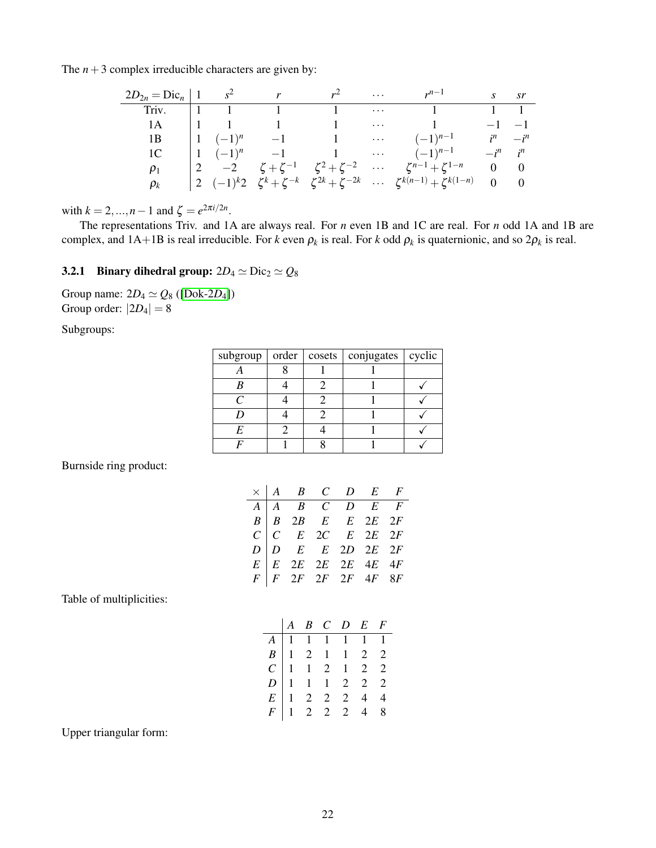The  $n+3$  complex irreducible characters are given by:

| $2D_{2n} = \text{Dic}_n   1$ $s^2$ $r$ $r^2$ |  |                                                            |            | $r^{n-1}$                                                                                                               |              | s sr          |
|----------------------------------------------|--|------------------------------------------------------------|------------|-------------------------------------------------------------------------------------------------------------------------|--------------|---------------|
|                                              |  | Triv. $1 \t 1 \t 1 \t 1 \t 1 \t \cdots$                    |            |                                                                                                                         | $1 \quad 1$  |               |
| 1A                                           |  | $\begin{array}{ccccccccc}\n & 1 & & 1 & & 1\n \end{array}$ | $\sim 100$ | 1                                                                                                                       | $-1$ $-1$    |               |
| 1В                                           |  |                                                            |            | $\begin{array}{ccccccccc}\n1 & (-1)^n & -1 & 1 & \cdots & (-1)^{n-1}\n\end{array}$                                      |              | $i^n \t -i^n$ |
| 1C                                           |  |                                                            |            | $\begin{array}{ccccccccc}\n1 & (-1)^n & -1 & 1 & \cdots & (-1)^{n-1}\n\end{array}$                                      | $-i^n$ $i^n$ |               |
| $\rho_1$                                     |  |                                                            |            | $\begin{vmatrix} 2 & -2 & \zeta + \zeta^{-1} & \zeta^2 + \zeta^{-2} & \cdots & \zeta^{n-1} + \zeta^{1-n} \end{vmatrix}$ | $0 \quad 0$  |               |
| $\rho_k$                                     |  |                                                            |            | $\zeta^{k}(2)(-1)^{k}2\zeta^{k}+\zeta^{-k}\zeta^{2k}+\zeta^{-2k} \zeta^{k(n-1)}+\zeta^{k(1-n)}=0$ 0                     |              |               |

with  $k = 2, ..., n - 1$  and  $\zeta = e^{2\pi i/2n}$ .

The representations Triv. and 1A are always real. For *n* even 1B and 1C are real. For *n* odd 1A and 1B are complex, and  $1A+1B$  is real irreducible. For *k* even  $\rho_k$  is real. For *k* odd  $\rho_k$  is quaternionic, and so  $2\rho_k$  is real.

#### <span id="page-21-0"></span>**3.2.1 Binary dihedral group:**  $2D_4 \simeq \text{Dic}_2 \simeq Q_8$

Group name:  $2D_4 \simeq Q_8$  ([\[Dok-2](#page-46-1)*D*<sub>4</sub>]) Group order:  $|2D_4| = 8$ 

Subgroups:

| subgroup $\vert$ order $\vert$ | cosets | conjugates   cyclic |  |
|--------------------------------|--------|---------------------|--|
|                                |        |                     |  |
|                                |        |                     |  |
|                                |        |                     |  |
|                                |        |                     |  |
| E                              |        |                     |  |
|                                |        |                     |  |

Burnside ring product:

|  | $\times$   A B C D E F                                                                                                                                                                                                                                                                                                                              |  |  |
|--|-----------------------------------------------------------------------------------------------------------------------------------------------------------------------------------------------------------------------------------------------------------------------------------------------------------------------------------------------------|--|--|
|  | $\begin{tabular}{ c c c c c c } \hline $A$ & $A$ & $B$ & $C$ & $D$ & $E$ & $F$ \\ \hline $B$ & $B$ & $2B$ & $E$ & $E$ & $2E$ & $2F$ \\ $C$ & $C$ & $E$ & $2C$ & $E$ & $2E$ & $2F$ \\ $D$ & $D$ & $E$ & $E$ & $2D$ & $2E$ & $2F$ \\ $E$ & $E$ & $2E$ & $2E$ & $2E$ & $4E$ & $4F$ \\ $F$ & $F$ & $2F$ & $2F$ & $2F$ & $4F$ & $8F$ \\ \hline \end{tab$ |  |  |
|  |                                                                                                                                                                                                                                                                                                                                                     |  |  |
|  |                                                                                                                                                                                                                                                                                                                                                     |  |  |
|  |                                                                                                                                                                                                                                                                                                                                                     |  |  |
|  |                                                                                                                                                                                                                                                                                                                                                     |  |  |
|  |                                                                                                                                                                                                                                                                                                                                                     |  |  |

Table of multiplicities:

|  |  | $\begin{array}{ccccccccc} & A & B & C & D & E & F \end{array}$                                     |  |
|--|--|----------------------------------------------------------------------------------------------------|--|
|  |  |                                                                                                    |  |
|  |  |                                                                                                    |  |
|  |  | A<br>1 1 1 1 1 1 1<br>B<br>1 2 1 1 2 2<br>C<br>1 1 2 2 2 2<br>E<br>1 2 2 2 4 4<br>F<br>1 2 2 2 4 8 |  |
|  |  |                                                                                                    |  |
|  |  |                                                                                                    |  |
|  |  |                                                                                                    |  |

Upper triangular form: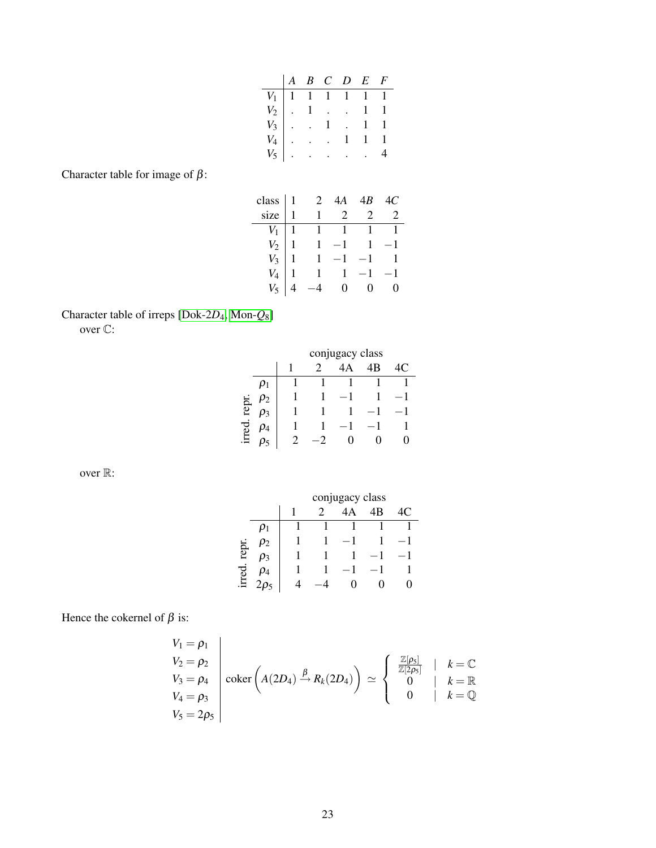|  |  | $\begin{array}{ccccccccc} A & B & C & D & E & F \end{array}$                                                                                                                                                                                           |  |
|--|--|--------------------------------------------------------------------------------------------------------------------------------------------------------------------------------------------------------------------------------------------------------|--|
|  |  |                                                                                                                                                                                                                                                        |  |
|  |  |                                                                                                                                                                                                                                                        |  |
|  |  |                                                                                                                                                                                                                                                        |  |
|  |  |                                                                                                                                                                                                                                                        |  |
|  |  | $\begin{tabular}{ c c c c c } \hline $V_1$ & $1$ & $1$ & $1$ & $1$ & $1$ \\ \hline $V_2$ & . & $1$ & . & . & $1$ & $1$ \\ $V_3$ & . & . & 1 & . & 1 & $1$ \\ $V_4$ & . & . & . & 1 & 1 & $1$ \\ $V_5$ & . & . & . & . & . & 4 \\ \hline \end{tabular}$ |  |

Character table for image of  $\beta$ :

| class $ 1$     | $\overline{2}$                                                      | 4A | -4B                 |                |
|----------------|---------------------------------------------------------------------|----|---------------------|----------------|
| size $ 1$      |                                                                     |    | $1 \quad 2 \quad 2$ | $\mathfrak{D}$ |
| $V_1$   1      | $\begin{array}{cccc} 1 & 1 & 1 & 1 \\ 1 & -1 & 1 & -1 \end{array}$  |    |                     |                |
| $V_2 \mid 1$   |                                                                     |    |                     |                |
|                | $V_3$   1   1   -1   -1   1                                         |    |                     |                |
|                | $\begin{array}{cccc} 1 & 1 & -1 & -1 \\ -4 & 0 & 0 & 0 \end{array}$ |    |                     |                |
| $V_{\epsilon}$ |                                                                     |    |                     | 0              |

# Character table of irreps [\[Dok-2](#page-46-1)*D*4, [Mon-](#page-46-2)*Q*8]

over C:

|       |  | conjugacy class |   |  |   |  |  |  |  |  |
|-------|--|-----------------|---|--|---|--|--|--|--|--|
|       |  | B<br>Ω          |   |  |   |  |  |  |  |  |
|       |  |                 |   |  |   |  |  |  |  |  |
|       |  |                 | 1 |  |   |  |  |  |  |  |
| repr. |  |                 |   |  |   |  |  |  |  |  |
|       |  |                 |   |  |   |  |  |  |  |  |
|       |  |                 |   |  | 0 |  |  |  |  |  |

over  $\mathbb{R}$ :

|       |    | conjugacy class |              |  |  |   |  |  |  |  |  |
|-------|----|-----------------|--------------|--|--|---|--|--|--|--|--|
|       |    |                 | C<br>4B<br>А |  |  |   |  |  |  |  |  |
|       |    |                 |              |  |  |   |  |  |  |  |  |
|       |    |                 |              |  |  |   |  |  |  |  |  |
| repr. |    |                 |              |  |  | ı |  |  |  |  |  |
| ್ದ    | 04 |                 |              |  |  |   |  |  |  |  |  |
| Ĕ     |    |                 |              |  |  |   |  |  |  |  |  |

Hence the cokernel of  $\beta$  is:

$$
V_1 = \rho_1
$$
  
\n
$$
V_2 = \rho_2
$$
  
\n
$$
V_3 = \rho_4
$$
  
\n
$$
V_4 = \rho_3
$$
  
\n
$$
V_5 = 2\rho_5
$$
\n
$$
\begin{array}{ccc}\n\text{coker}\left(A(2D_4) \xrightarrow{\beta} R_k(2D_4)\right) & \simeq \begin{cases}\n\frac{\mathbb{Z}[\rho_5]}{\mathbb{Z}[2\rho_5]} & | & k = \mathbb{C} \\
0 & | & k = \mathbb{R} \\
0 & | & k = \mathbb{Q}\n\end{cases}\n\end{array}
$$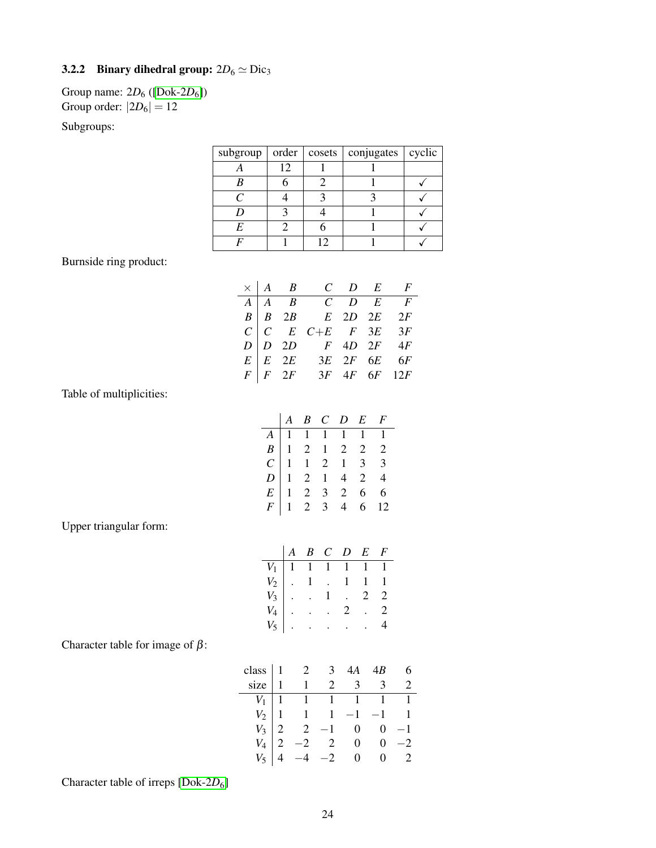#### <span id="page-23-0"></span>3.2.2 Binary dihedral group:  $2D_6 \simeq \text{Dic}_3$

Group name: 2*D*<sup>6</sup> ([\[Dok-2](#page-46-3)*D*6]) Group order:  $|2D_6| = 12$ 

Subgroups:

| subgroup $\vert$ order $\vert$ |    | cosets   conjugates   cyclic |  |
|--------------------------------|----|------------------------------|--|
|                                | 12 |                              |  |
|                                |    |                              |  |
|                                |    |                              |  |
|                                |    |                              |  |
|                                |    |                              |  |
|                                |    |                              |  |

Burnside ring product:

|  | $\times$   A B C D E F                                                                                                                                                                                                                                                                                                                       |  |  |
|--|----------------------------------------------------------------------------------------------------------------------------------------------------------------------------------------------------------------------------------------------------------------------------------------------------------------------------------------------|--|--|
|  |                                                                                                                                                                                                                                                                                                                                              |  |  |
|  |                                                                                                                                                                                                                                                                                                                                              |  |  |
|  |                                                                                                                                                                                                                                                                                                                                              |  |  |
|  |                                                                                                                                                                                                                                                                                                                                              |  |  |
|  |                                                                                                                                                                                                                                                                                                                                              |  |  |
|  | $\begin{tabular}{ c c c c c c c } \hline $A$ & $A$ & $B$ & $C$ & $D$ & $E$ & $F$ \\ \hline $B$ & $B$ & $2B$ & $E$ & $2D$ & $2E$ & $2F$ \\ $C$ & $C$ & $E$ & $C+E$ & $F$ & $3E$ & $3F$ \\ $D$ & $D$ & $2D$ & $F$ & $4D$ & $2F$ & $4F$ \\ $E$ & $E$ & $2E$ & $3E$ & $2F$ & $6E$ & $6F$ \\ $F$ & $F$ & $2F$ & $3F$ & $4F$ & $6F$ & $12F$ \\ \h$ |  |  |

Table of multiplicities:

|  |  | $\begin{array}{ccccccccc} & A & B & C & D & E & F \end{array}$ |                                                                                                     |
|--|--|----------------------------------------------------------------|-----------------------------------------------------------------------------------------------------|
|  |  |                                                                |                                                                                                     |
|  |  |                                                                |                                                                                                     |
|  |  |                                                                |                                                                                                     |
|  |  |                                                                |                                                                                                     |
|  |  |                                                                |                                                                                                     |
|  |  |                                                                | A<br>1 1 1 1 1 1 1<br>B<br>1 2 1 2 2 2<br>C<br>1 2 1 4 2 4<br>E<br>1 2 3 2 6 6<br>F<br>1 2 3 4 6 12 |

Upper triangular form:

|  |  | $A \ B \ C \ D \ E \ F$                                                                            |  |
|--|--|----------------------------------------------------------------------------------------------------|--|
|  |  | $V_1$   1   1   1   1   1                                                                          |  |
|  |  | $\begin{bmatrix} V_1 \\ V_3 \\ V_4 \end{bmatrix}$ . 1 . 1 1 1<br>$V_1$<br>$V_2$ . 1 . 2 2<br>$V_3$ |  |
|  |  |                                                                                                    |  |
|  |  |                                                                                                    |  |
|  |  | $V_5$                                                                                              |  |

Character table for image of  $\beta$ :

|  | class $\begin{vmatrix} 1 & 2 & 3 & 4A & 4B \\ 1 & 1 & 2 & 3 & 3 \end{vmatrix}$                                                                                                                       |  |  |
|--|------------------------------------------------------------------------------------------------------------------------------------------------------------------------------------------------------|--|--|
|  | $\begin{array}{c cccccc} V_1 & 1 & 1 & 1 & 1 & 1 \\ V_2 & 1 & 1 & 1 & -1 & -1 & 1 \\ V_3 & 2 & 2 & -1 & 0 & 0 & -1 \\ V_4 & 2 & -2 & 2 & 0 & 0 & -2 \\ V_5 & 4 & -4 & -2 & 0 & 0 & 2 \\ \end{array}$ |  |  |
|  |                                                                                                                                                                                                      |  |  |
|  |                                                                                                                                                                                                      |  |  |
|  |                                                                                                                                                                                                      |  |  |
|  |                                                                                                                                                                                                      |  |  |

Character table of irreps [\[Dok-2](#page-46-3)D<sub>6</sub>]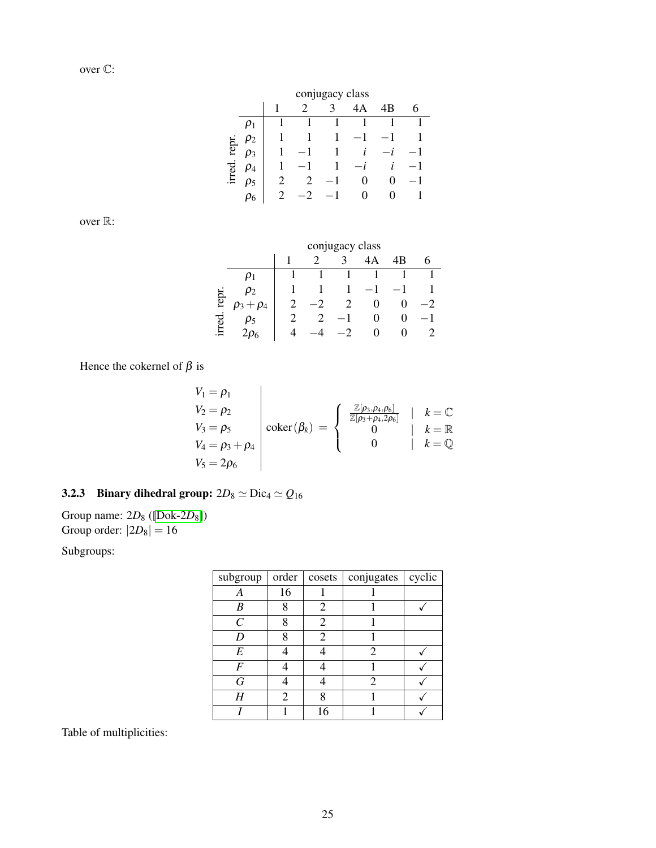| conjugacy class |  |
|-----------------|--|

|                         | $\overline{2}$ | $\overline{\mathbf{3}}$ | 4A                                                                                                          | 4 B |             |
|-------------------------|----------------|-------------------------|-------------------------------------------------------------------------------------------------------------|-----|-------------|
|                         |                |                         | $\begin{array}{ccccccccc} 1 & & 1 & & 1 & & 1 & & 1 & & 1 \\ 1 & & 1 & & 1 & & -1 & & -1 & & 1 \end{array}$ |     |             |
| $\approx \rho_2$        |                |                         |                                                                                                             |     |             |
| $\overline{2}$ $\rho_3$ |                |                         | $1 -1 1 i -i -1$                                                                                            |     |             |
| $\vec{B}$ $\rho_4$      |                |                         | $1 -1$ $1 -i$ $i$ $-1$                                                                                      |     |             |
| $\bar{H}$ $\rho_5$      | 2 2 $-1$       |                         | 0                                                                                                           |     | $0 -1$      |
| $\rho_6$                | 2 $-2$ $-1$    |                         | $\Omega$                                                                                                    |     | $0 \quad 1$ |

over R:

|       |          |   | conjugacy class |    |    |  |
|-------|----------|---|-----------------|----|----|--|
|       |          |   |                 | 4A | 4B |  |
|       |          |   |                 |    |    |  |
|       | 02       |   |                 |    |    |  |
| repr  | 04<br>Ρ3 | 2 | 2               | 0  |    |  |
|       |          |   |                 | 0  |    |  |
| irred |          |   |                 |    |    |  |

Hence the cokernel of  $\beta$  is

$$
V_1 = \rho_1
$$
  
\n
$$
V_2 = \rho_2
$$
  
\n
$$
V_3 = \rho_5
$$
  
\n
$$
V_4 = \rho_3 + \rho_4
$$
  
\n
$$
V_5 = 2\rho_6
$$
\n
$$
V_6 = \rho_5
$$
\n
$$
V_7 = \rho_6
$$
\n
$$
V_8 = \rho_7
$$
\n
$$
V_9 = \rho_8
$$
\n
$$
V_1 = \rho_8
$$
\n
$$
V_2 = \rho_9
$$
\n
$$
V_3 = \rho_9
$$
\n
$$
V_4 = \rho_9
$$
\n
$$
V_5 = \rho_8
$$

<span id="page-24-0"></span>3.2.3 Binary dihedral group:  $2D_8 \simeq \text{Dic}_4 \simeq Q_{16}$ 

Group name: 2*D*<sup>8</sup> ([\[Dok-2](#page-46-4)*D*8]) Group order:  $|2D_8| = 16$ 

Subgroups:

| subgroup | order | cosets | conjugates            | cyclic |
|----------|-------|--------|-----------------------|--------|
| А        | 16    |        |                       |        |
| B        |       | 2      |                       |        |
| C        |       | 2      |                       |        |
| D        |       | 2      |                       |        |
| E        |       |        | $\mathcal{D}_{\cdot}$ |        |
| F        |       |        |                       |        |
| G        |       |        | 2                     |        |
| Н        | 2     |        |                       |        |
|          |       | 16     |                       |        |

Table of multiplicities: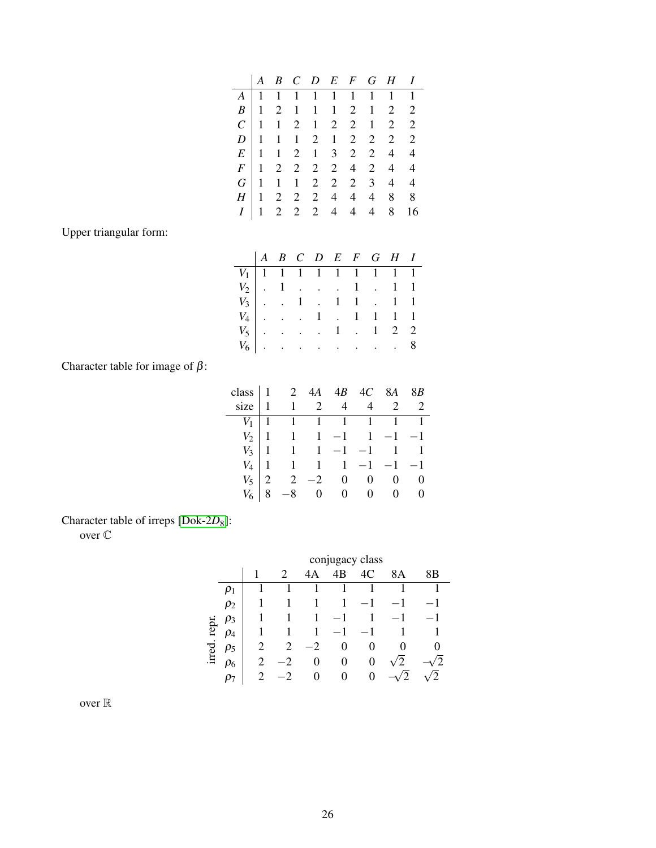|  |  |                                                             |  | $A \begin{bmatrix} 1 & 1 & 1 & 1 & 1 & 1 & 1 & 1 & 1 & 1 \end{bmatrix}$ |  |
|--|--|-------------------------------------------------------------|--|-------------------------------------------------------------------------|--|
|  |  |                                                             |  | $B$   1 2 1 1 1 2 1 2 2                                                 |  |
|  |  |                                                             |  | $C$ 1 1 2 1 2 2 1 2 2                                                   |  |
|  |  |                                                             |  | $D$ 1 1 1 2 1 2 2 2 2                                                   |  |
|  |  |                                                             |  | $E$ 1 1 2 1 3 2 2 4 4                                                   |  |
|  |  |                                                             |  | $F$   1 2 2 2 2 4 2 4 4                                                 |  |
|  |  | $G \begin{bmatrix} 1 & 1 & 1 & 2 & 2 & 2 & 3 \end{bmatrix}$ |  | $4\quad 4$                                                              |  |
|  |  | $H \begin{bmatrix} 1 & 2 & 2 & 2 & 4 & 4 \end{bmatrix}$     |  | $4 \quad 8 \quad 8$                                                     |  |
|  |  |                                                             |  | $1 \t2 \t2 \t2 \t4 \t4 \t4 \t8 \t16$                                    |  |
|  |  |                                                             |  |                                                                         |  |

Upper triangular form:

|  |  |  |  | $\begin{array}{ccccccccc} & A & B & C & D & E & F & G & H & I \end{array}$                                                                                                                                       |  |
|--|--|--|--|------------------------------------------------------------------------------------------------------------------------------------------------------------------------------------------------------------------|--|
|  |  |  |  | $V_1$ 1 1 1 1 1 1 1 1 1 1                                                                                                                                                                                        |  |
|  |  |  |  |                                                                                                                                                                                                                  |  |
|  |  |  |  |                                                                                                                                                                                                                  |  |
|  |  |  |  |                                                                                                                                                                                                                  |  |
|  |  |  |  | $\begin{array}{c cccccc}\nV_2 & . & 1 & . & . & . & 1 & . & 1 & 1 \\ V_3 & . & . & 1 & . & 1 & 1 & . & 1 & 1 \\ V_4 & . & . & . & 1 & . & 1 & 1 & 1 & 1 \\ V_5 & . & . & . & . & 1 & . & 1 & 2 & 2\n\end{array}$ |  |
|  |  |  |  | $V_6$ 8                                                                                                                                                                                                          |  |

Character table for image of  $\beta$ :

| $class \mid 1$ |                                                                                                                                                     | 2 $4A$ $4B$ $4C$ $8A$ $8B$ |  |  |
|----------------|-----------------------------------------------------------------------------------------------------------------------------------------------------|----------------------------|--|--|
| size           | $1 \t2 \t4 \t4 \t2 \t2$                                                                                                                             |                            |  |  |
|                | $\begin{array}{c cccccc} V_1 & 1 & 1 & 1 & 1 & 1 & 1 & 1 \\ V_2 & 1 & 1 & 1 & -1 & 1 & -1 & -1 \\ V_3 & 1 & 1 & 1 & -1 & -1 & 1 & 1 \\ \end{array}$ |                            |  |  |
|                |                                                                                                                                                     |                            |  |  |
|                |                                                                                                                                                     |                            |  |  |
|                | $V_4$   1   1   1   -1   -1   -1                                                                                                                    |                            |  |  |
| $V_5$          |                                                                                                                                                     | $2$ $-2$ 0 0 0 0           |  |  |
| $V_6$          |                                                                                                                                                     | $-8$ 0 0 0 0 0             |  |  |

Character table of irreps [\[Dok-2](#page-46-4)*D*8]:

over C

|       |          |   | conjugacy class |        |          |    |    |    |  |  |  |  |
|-------|----------|---|-----------------|--------|----------|----|----|----|--|--|--|--|
|       |          |   | 2               | A<br>4 | 4B       | 4C | 8A | 8Β |  |  |  |  |
|       |          |   |                 |        |          |    |    |    |  |  |  |  |
|       | $\rho_2$ |   |                 |        |          |    |    |    |  |  |  |  |
|       | $\rho_3$ |   |                 |        |          |    |    |    |  |  |  |  |
| repr. | $\rho_4$ |   |                 |        |          |    |    |    |  |  |  |  |
| irred | ρ5       |   | 2               | $-2$   | $_{0}$   | 0  |    |    |  |  |  |  |
|       | Ρ6       | 2 | 2               | 0      | $\theta$ | 0  | 2  |    |  |  |  |  |
|       |          |   |                 | 0      | 0        | 0  |    |    |  |  |  |  |

over  $\mathbb R$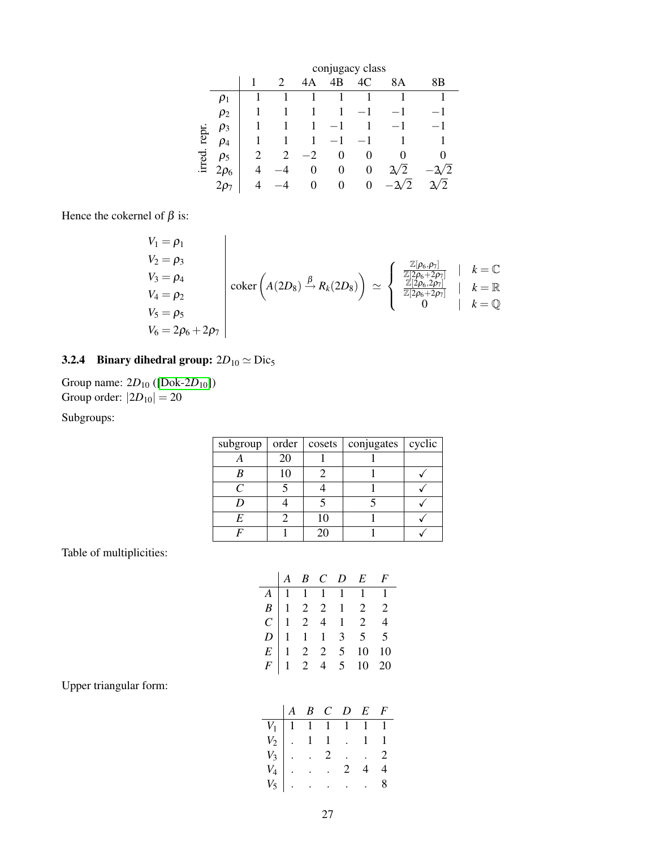|       |           |   |   |    |    | conjugacy class |    |                |
|-------|-----------|---|---|----|----|-----------------|----|----------------|
|       |           |   | 2 | 4Α | 4B | 4C              | 8A | 8Β             |
|       | $\rho_1$  |   |   | 1  |    |                 |    |                |
|       | $\rho_2$  |   |   |    | 1  |                 |    | - 1            |
|       | $\rho_3$  |   |   | 1  | 1  |                 |    | - 1 -          |
| repr. | $\rho_4$  |   |   | 1  | 1  |                 |    |                |
| irred | $\rho_5$  |   | 2 | 2  | 0  | $\theta$        |    | 0              |
|       | $2\rho_6$ | 4 |   | 0  | 0  | 0               | 2  |                |
|       | 207       | Δ |   | 0  | 0  | 0               |    | $\overline{c}$ |

Hence the cokernel of  $\beta$  is:

$$
V_1 = \rho_1
$$
  
\n
$$
V_2 = \rho_3
$$
  
\n
$$
V_3 = \rho_4
$$
  
\n
$$
V_4 = \rho_2
$$
  
\n
$$
V_5 = \rho_5
$$
  
\n
$$
V_6 = 2\rho_6 + 2\rho_7
$$
\n
$$
\begin{array}{ccc}\n\text{coker}\left(A(2D_8) \stackrel{\beta}{\rightarrow} R_k(2D_8)\right) & \simeq \\
\begin{array}{ccc}\n\frac{\mathbb{Z}[\rho_6, \rho_7]}{\mathbb{Z}[2\rho_6 + 2\rho_7]} & k = \mathbb{R} \\
\frac{\mathbb{Z}[\rho_6, 2\rho_7]}{\mathbb{Z}[2\rho_6 + 2\rho_7]} & k = \mathbb{R} \\
0 & k = \mathbb{Q}\n\end{array}
$$

### <span id="page-26-0"></span>3.2.4 Binary dihedral group:  $2D_{10} \simeq \text{Dic}_5$

Group name: 2*D*<sup>10</sup> ([\[Dok-2](#page-46-5)*D*10]) Group order:  $|2D_{10}| = 20$ 

Subgroups:

| subgroup           | order | cosets | conjugates   cyclic |  |
|--------------------|-------|--------|---------------------|--|
|                    | 20    |        |                     |  |
|                    | 10    |        |                     |  |
| $\curvearrowright$ |       |        |                     |  |
|                    |       |        |                     |  |
| E                  |       | 10     |                     |  |
|                    |       | 20     |                     |  |

Table of multiplicities:

|  |  | $\begin{array}{ccccccccc} & A & B & C & D & E & F \end{array}$                                                             |  |
|--|--|----------------------------------------------------------------------------------------------------------------------------|--|
|  |  |                                                                                                                            |  |
|  |  |                                                                                                                            |  |
|  |  |                                                                                                                            |  |
|  |  |                                                                                                                            |  |
|  |  |                                                                                                                            |  |
|  |  | A<br>1 1 1 1 1 1 1<br>B<br>1 2 2 1 2 2<br>C<br>1 2 4 1 2 4<br>D<br>1 1 1 3 5 5<br>E<br>1 2 2 5 10 10<br>F<br>1 2 4 5 10 20 |  |

Upper triangular form:

|  |  | $B$ $C$ $D$ $E$ $F$                                                                                                                                            |  |
|--|--|----------------------------------------------------------------------------------------------------------------------------------------------------------------|--|
|  |  | $\begin{array}{c cccccc} V_1 & 1 & 1 & 1 & 1 & 1 & 1 \\ V_2 & . & 1 & 1 & . & 1 & 1 \\ V_3 & . & . & 2 & . & . & 2 \\ V_4 & . & . & . & 2 & 4 & 4 \end{array}$ |  |
|  |  |                                                                                                                                                                |  |
|  |  |                                                                                                                                                                |  |
|  |  |                                                                                                                                                                |  |
|  |  | $V_5$                                                                                                                                                          |  |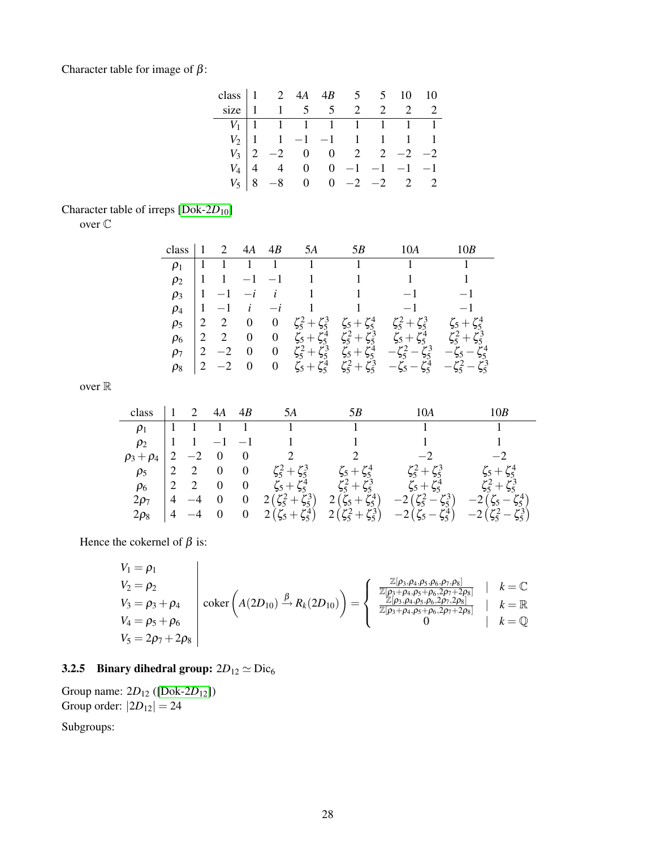Character table for image of  $\beta$ :

| class $\begin{vmatrix} 1 & 2 & 4A & 4B & 5 & 5 & 10 & 10 \\ 1 & 1 & 5 & 5 & 2 & 2 & 2 & 2 \end{vmatrix}$ |  |  |  |                                                                                                                                                                                                                                                    |  |
|----------------------------------------------------------------------------------------------------------|--|--|--|----------------------------------------------------------------------------------------------------------------------------------------------------------------------------------------------------------------------------------------------------|--|
|                                                                                                          |  |  |  |                                                                                                                                                                                                                                                    |  |
|                                                                                                          |  |  |  |                                                                                                                                                                                                                                                    |  |
|                                                                                                          |  |  |  |                                                                                                                                                                                                                                                    |  |
|                                                                                                          |  |  |  |                                                                                                                                                                                                                                                    |  |
|                                                                                                          |  |  |  | $\begin{array}{c cccccccc} V_1 & 1 & 1 & 1 & 1 & 1 & 1 & 1 \\ V_2 & 1 & 1 & -1 & -1 & 1 & 1 & 1 & 1 \\ V_3 & 2 & -2 & 0 & 0 & 2 & 2 & -2 & -2 \\ V_4 & 4 & 4 & 0 & 0 & -1 & -1 & -1 & -1 \\ V_5 & 8 & -8 & 0 & 0 & -2 & -2 & 2 & 2 \\ \end{array}$ |  |

#### Character table of irreps [\[Dok-2](#page-46-5)*D*<sub>10</sub>]

over C

| class $\vert$ 1 |           | 2 $4A$ $4B$ | 5A                                | 5B                                                      | 10A                                                                                                                                              |                         |
|-----------------|-----------|-------------|-----------------------------------|---------------------------------------------------------|--------------------------------------------------------------------------------------------------------------------------------------------------|-------------------------|
|                 |           |             | $\rho_1$   1   1   1   1   1      |                                                         | $\sim$ 1.                                                                                                                                        | $\sim$ 1                |
|                 |           |             | $\rho_2$   1   1   -1   1   1   1 |                                                         | $\sim 1$                                                                                                                                         | $\overline{1}$          |
| $\rho_3$        |           |             |                                   | $\begin{vmatrix} 1 & -1 & -i & i & 1 & 1 \end{vmatrix}$ | $-1$                                                                                                                                             | $-1$                    |
|                 |           |             |                                   |                                                         | $\rho_4$   1 -1 i -i 1 1 -1                                                                                                                      | $-1$                    |
| $\rho_5$        |           |             |                                   |                                                         | $\begin{array}{ccccccccc} 2 & 2 & 0 & 0 & \zeta_5^2 + \zeta_5^3 & \zeta_5 + \zeta_5^4 & \zeta_5^2 + \zeta_5^3 & \zeta_5 + \zeta_5^4 \end{array}$ |                         |
| $\rho_6$        |           |             |                                   |                                                         | $\begin{vmatrix} 2 & 2 & 0 & 0 & \zeta_5 + \zeta_5^4 & \zeta_5^2 + \zeta_5^3 & \zeta_5 + \zeta_5^4 \end{vmatrix}$                                | $\zeta_5^2 + \zeta_5^3$ |
| $\rho_7$        | $ 2 -2 0$ |             |                                   |                                                         | 0 $\zeta_5^2 + \zeta_5^3$ $\zeta_5 + \zeta_5^4$ $-\zeta_5^2 - \zeta_5^3$ $-\zeta_5 - \zeta_5^4$                                                  |                         |
| $\rho_8$        |           |             |                                   |                                                         | $\begin{vmatrix} 2 & -2 & 0 & 0 & \zeta_5 + \zeta_5^4 & \zeta_5^2 + \zeta_5^3 & -\zeta_5 - \zeta_5^4 & -\zeta_5^2 - \zeta_5^3 \end{vmatrix}$     |                         |

over  $\mathbb R$ 

| class     | $\begin{bmatrix} 1 & 2 & 4A & 4B \end{bmatrix}$ |                          | 5A                                                  | 5В                                       | 10A                                                                                                            |                         |
|-----------|-------------------------------------------------|--------------------------|-----------------------------------------------------|------------------------------------------|----------------------------------------------------------------------------------------------------------------|-------------------------|
|           |                                                 |                          |                                                     |                                          |                                                                                                                |                         |
| $\rho_2$  |                                                 |                          | $\begin{vmatrix} 1 & 1 & -1 & -1 & 1 \end{vmatrix}$ | $\begin{array}{ccc} & & 1 & \end{array}$ |                                                                                                                |                         |
|           |                                                 |                          | $\rho_3 + \rho_4   2 -2 0 0 2$                      | $\overline{2}$                           | $-2$                                                                                                           | $-2$                    |
|           |                                                 |                          |                                                     |                                          | $\rho_5$   2 2 0 0 $\zeta_5^2 + \zeta_5^3$ $\zeta_5 + \zeta_5^4$ $\zeta_5^2 + \zeta_5^3$                       | $\zeta_5 + \zeta_5^4$   |
|           |                                                 |                          |                                                     |                                          | $\rho_6$   2 2 0 0 $\zeta_5 + \zeta_5^4$ $\zeta_5^2 + \zeta_5^3$ $\zeta_5 + \zeta_5^4$ $\zeta_5^2 + \zeta_5^3$ |                         |
| $2\rho_7$ | $ 4 -4 0$                                       | $\overline{\mathbf{0}}$  |                                                     |                                          | $2(\zeta_5^2+\zeta_5^3)$ $2(\zeta_5+\zeta_5^4)$ $-2(\zeta_5^2-\zeta_5^3)$                                      | $-2(\zeta_5-\zeta_5^4)$ |
| $2\rho_8$ | $\begin{vmatrix} 4 & -4 & 0 \end{vmatrix}$      | $\overline{\phantom{0}}$ |                                                     |                                          | $2(\zeta_5+\zeta_5^4)$ $2(\zeta_5^2+\zeta_5^3)$ $-2(\zeta_5-\zeta_5^4)$ $-2(\zeta_5^2-\zeta_5^3)$              |                         |

Hence the cokernel of  $\beta$  is:

$$
V_1 = \rho_1
$$
  
\n
$$
V_2 = \rho_2
$$
  
\n
$$
V_3 = \rho_3 + \rho_4
$$
  
\n
$$
V_4 = \rho_5 + \rho_6
$$
  
\n
$$
V_5 = 2\rho_7 + 2\rho_8
$$
\n
$$
\begin{array}{ccc}\n\text{coker}\left(A(2D_{10}) \xrightarrow{\beta} R_k(2D_{10})\right) = \begin{cases}\n\frac{\mathbb{Z}[\rho_3, \rho_4, \rho_5, \rho_6, \rho_7, \rho_8]}{\mathbb{Z}[\rho_3, \rho_4, \rho_5, \rho_6, 2\rho_7, 2\rho_8]} & k = \mathbb{C} \\
\frac{\mathbb{Z}[\rho_3, \rho_4, \rho_5, \rho_6, 2\rho_7, 2\rho_8]}{\mathbb{Z}[\rho_3, \rho_4, \rho_5, \rho_6, 2\rho_7, 2\rho_8]} & k = \mathbb{R} \\
0 & k = \mathbb{Q}\n\end{cases}
$$

### <span id="page-27-0"></span>3.2.5 Binary dihedral group:  $2D_{12} \simeq \text{Dic}_6$

Group name: 2*D*<sup>12</sup> ([\[Dok-2](#page-46-6)*D*12]) Group order:  $|2D_{12}| = 24$ 

Subgroups: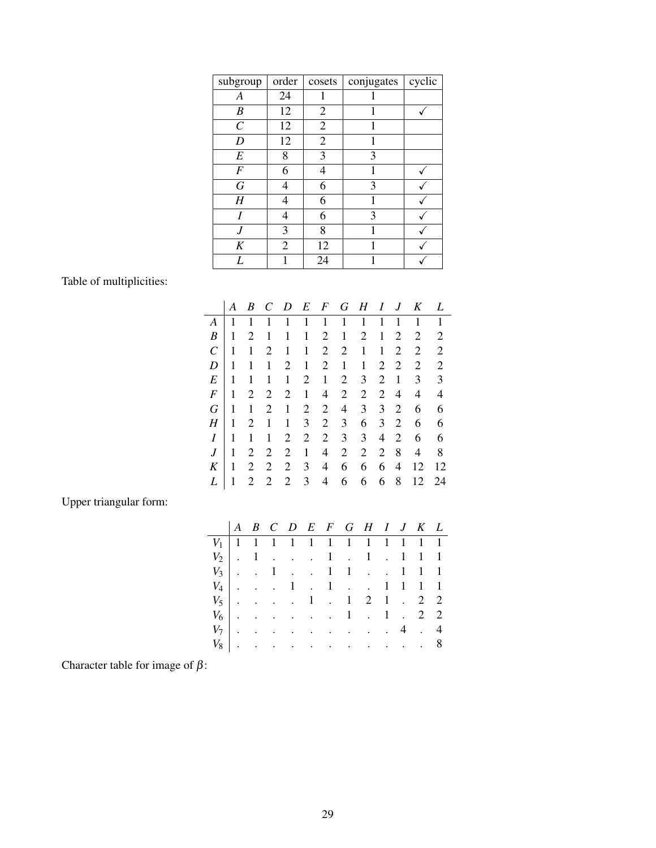| subgroup          | order | cosets         | conjugates | cyclic |
|-------------------|-------|----------------|------------|--------|
| А                 | 24    |                |            |        |
| B                 | 12    | 2              |            |        |
| $\mathcal{C}_{0}$ | 12    | $\overline{2}$ | 1          |        |
| D                 | 12    | $\overline{2}$ | 1          |        |
| E                 | 8     | 3              | 3          |        |
| F                 | 6     | 4              |            |        |
| G                 | 4     | 6              | 3          |        |
| H                 | 4     | 6              | 1          |        |
| I                 | 4     | 6              | 3          |        |
| J                 | 3     | 8              |            |        |
| K                 | 2     | 12             | 1          |        |
| L                 |       | 24             |            |        |

Table of multiplicities:

|                  | А | B | C              | D              | E              | $\bm{F}$       | G              | H              | I              | J              | K  | L              |
|------------------|---|---|----------------|----------------|----------------|----------------|----------------|----------------|----------------|----------------|----|----------------|
| A                | 1 | 1 | 1              | 1              | 1              | 1              | 1              | 1              | 1              | 1              | 1  | 1              |
| B                | 1 | 2 | 1              | 1              | 1              | 2              | 1              | $\overline{2}$ | 1              | 2              | 2  | 2              |
| $\mathcal C$     | 1 | 1 | $\overline{2}$ | 1              | 1              | $\overline{2}$ | 2              | 1              | 1              | 2              | 2  | 2              |
| D                | 1 | 1 | 1              | 2              | 1              | 2              | 1              | 1              | 2              | 2              | 2  | $\mathfrak{2}$ |
| E                | 1 | 1 |                | 1              | 2              | 1              | 2              | 3              | 2              | 1              | 3  | 3              |
| $\boldsymbol{F}$ | 1 | 2 | $\overline{2}$ | $\overline{2}$ | 1              | 4              | $\overline{2}$ | $\overline{2}$ | $\overline{2}$ | 4              | 4  | 4              |
| G                | 1 | 1 | $\overline{2}$ | 1              | $\overline{2}$ | $\overline{2}$ | 4              | 3              | 3              | $\overline{2}$ | 6  | 6              |
| Η                | 1 | 2 | 1              | 1              | 3              | $\overline{2}$ | 3              | 6              | 3              | 2              | 6  | 6              |
| I                | 1 |   |                | 2              | 2              | 2              | 3              | 3              | 4              | $\overline{2}$ | 6  | 6              |
| $\boldsymbol{J}$ | 1 | 2 | $\overline{2}$ | $\overline{2}$ | 1              | 4              | 2              | $\overline{2}$ | $\overline{2}$ | 8              | 4  | 8              |
| K                |   | 2 | $\overline{2}$ | 2              | 3              | 4              | 6              | 6              | 6              | 4              | 12 | 12             |
| L                |   | 2 | $\overline{2}$ | $\overline{2}$ | 3              | 4              | 6              | 6              | 6              | 8              | 12 | 24             |
|                  |   |   |                |                |                |                |                |                |                |                |    |                |

Upper triangular form:

| $V_1$ 1 1 1 1 1 1 1 1 1 1 1 1 1 |  |  |  |  |  |  |
|---------------------------------|--|--|--|--|--|--|
| $V_2$   . 1 1 . 1 . 1 1 1       |  |  |  |  |  |  |
| $V_3$ . 1 . 1 1 . 1 1 1         |  |  |  |  |  |  |
| $V_4$ 1 . 1 1 1 1 1             |  |  |  |  |  |  |
| $V_5$ 1 . 1 2 1 . 2 2           |  |  |  |  |  |  |
| $V_6$ 1 . 1 . 2 2               |  |  |  |  |  |  |
| $V_7$ 4 . 4                     |  |  |  |  |  |  |
| $V_8$ 8                         |  |  |  |  |  |  |

Character table for image of  $\beta$ :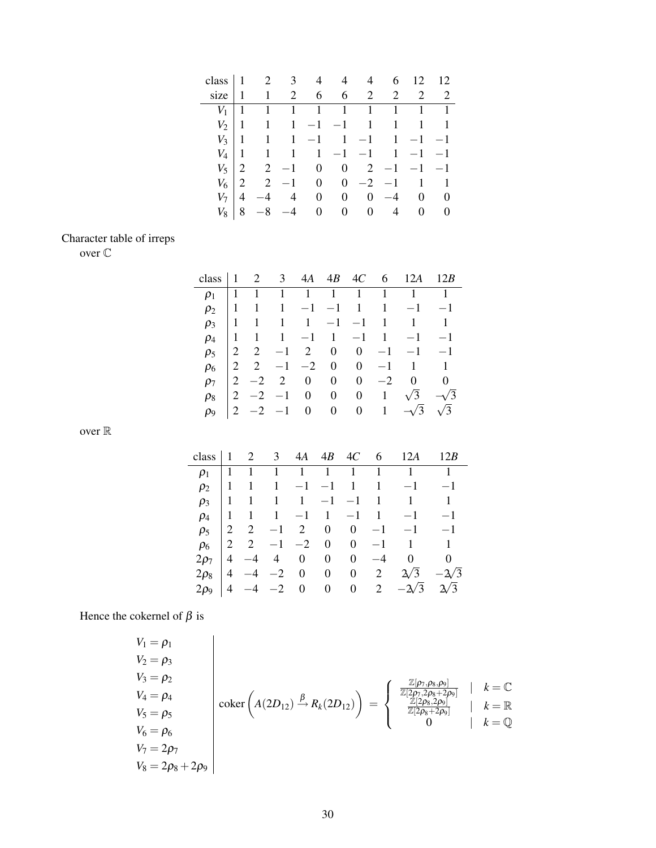| class $1 \t 2 \t 3 \t 4 \t 4 \t 4$ |                |                |             |                |                    |                | 6                                                      | 12                  | 12          |
|------------------------------------|----------------|----------------|-------------|----------------|--------------------|----------------|--------------------------------------------------------|---------------------|-------------|
| size                               |                |                | $1 \quad 2$ |                | $6 \t 6 \t 2$      |                |                                                        | 2 2 2               |             |
| $V_1$                              |                | 1              |             |                | $1 \t 1 \t 1 \t 1$ |                |                                                        | $1 \quad 1 \quad 1$ |             |
| $V_2$                              | $\cdot$ 1      | $\overline{1}$ |             |                |                    |                | $1 -1 -1 1 1 1 1$                                      |                     |             |
| $V_3$                              | $\perp$ 1      |                |             |                |                    |                | $1 \quad 1 \quad -1 \quad 1 \quad -1 \quad 1 \quad -1$ |                     | $-1$        |
| $V_4$   1                          |                |                |             |                |                    |                | $1 \quad 1 \quad 1 \quad -1 \quad -1 \quad 1 \quad -1$ |                     | $-1$        |
| $V_5$                              | 2              |                |             |                | $2 -1 0 0 2$       |                | $-1$                                                   | $-1$                | $-1$        |
| $V_6$                              |                | 2              |             |                | $-1$ 0 0 $-2$      |                |                                                        | $-1$ 1 1            |             |
| $V_7$                              | $\overline{4}$ |                | 4           | $\overline{0}$ | $\mathbf{0}$       | $\overline{0}$ | $-4$                                                   |                     | $0 \quad 0$ |
| $V_8$                              | 8              |                | $-4$        | $\overline{0}$ | $\overline{0}$     | $\mathbf{0}$   | 4                                                      |                     | $0 \quad 0$ |

## Character table of irreps

over C

| class      |                |            |                                     |  |                   | $\begin{array}{ccccccccc} 1 & 2 & 3 & 4A & 4B & 4C & 6 & 12A & 12B \end{array}$ |                |
|------------|----------------|------------|-------------------------------------|--|-------------------|---------------------------------------------------------------------------------|----------------|
| $\rho_1$   |                |            | $1 \quad 1 \quad 1 \quad 1 \quad 1$ |  | $1 \quad 1$       |                                                                                 | $\overline{1}$ |
| $\rho_2$   |                |            |                                     |  |                   | $1 \quad 1 \quad 1 \quad -1 \quad -1 \quad 1 \quad 1 \quad -1 \quad -1$         |                |
| $\rho_3$   |                |            |                                     |  |                   | $1 \quad 1 \quad 1 \quad 1 \quad -1 \quad -1 \quad 1 \quad 1 \quad 1$           |                |
| $\rho_4$   |                |            |                                     |  |                   | $1 \quad 1 \quad 1 \quad -1 \quad 1 \quad -1 \quad 1 \quad -1 \quad -1$         |                |
| $\rho_5$   | $\overline{2}$ |            |                                     |  |                   | $2 -1 2 0 0 -1 -1 -1$                                                           |                |
| $\rho_6$   |                | $2\quad 2$ | $-1$ $-2$ 0 0                       |  |                   | $-1$ 1 1                                                                        |                |
| $\rho_7$   |                |            | $2 -2 2 0 0$                        |  | $0 \quad -2$      | $\overline{0}$                                                                  | $\overline{0}$ |
| $\rho_8$   | 2              |            | $-2$ $-1$ 0 0                       |  | $0 \quad 1$       | $\sqrt{3}$                                                                      | $-\sqrt{3}$    |
| $\rho_{9}$ |                |            |                                     |  | $2 -2 -1 0 0 0 1$ | $-\sqrt{3}$                                                                     | $\sqrt{3}$     |
|            |                |            |                                     |  |                   |                                                                                 |                |

over  $\mathbb R$ 

| class                |                | 2              | $\mathfrak{Z}$ |                |                  | $4A \quad 4B \quad 4C \quad 6$                |              | 12A                | 12B            |
|----------------------|----------------|----------------|----------------|----------------|------------------|-----------------------------------------------|--------------|--------------------|----------------|
| $\rho_1$             |                |                |                |                | $1 \quad 1$      |                                               | $\mathbf{1}$ | $\left(1\right)$   | 1              |
| $\rho_2$             |                | 1              | $\mathbf{1}$   |                |                  | $-1$ $-1$ $1$                                 | $\mathbf{1}$ | $-1$               | $-1$           |
| $\rho_3$             | -1             | $\overline{1}$ |                |                |                  | $1 \quad 1 \quad -1 \quad -1 \quad 1 \quad 1$ |              |                    | $\overline{1}$ |
| $\rho_4$             | $\overline{1}$ |                | $1 \quad 1$    |                |                  |                                               |              | $-1$ 1 $-1$ 1 $-1$ | $-1$           |
| $\rho_5$             | 2              | 2              | $-1$           |                | $2 \quad 0$      | $\overline{0}$                                | $-1$         | $-1$ $-1$          |                |
| $\rho_6$             | 2              | 2              |                |                | $-1$ $-2$ 0      |                                               | $0 \quad -1$ | $\overline{1}$     | $\overline{1}$ |
| $2\rho_7$            | $\overline{4}$ |                | $4 \quad$      | $\mathbf{0}$   | $\boldsymbol{0}$ | $\overline{0}$                                | $-4$         | $\boldsymbol{0}$   | $\overline{0}$ |
| $2\rho_8$            | 4              | $-4$           | $-2$           |                | $0\qquad 0$      |                                               | $0\qquad 2$  | $\sqrt{3}$         | $-\frac{2}{3}$ |
| $2\rho$ <sub>9</sub> | 4              |                | $-2$           | $\overline{0}$ |                  |                                               |              | 0 0 2 $-\sqrt{3}$  | $\sqrt{3}$     |

Hence the cokernel of  $\beta$  is

$$
V_1 = \rho_1
$$
  
\n
$$
V_2 = \rho_3
$$
  
\n
$$
V_3 = \rho_2
$$
  
\n
$$
V_4 = \rho_4
$$
  
\n
$$
V_5 = \rho_5
$$
  
\n
$$
V_6 = \rho_6
$$
  
\n
$$
V_7 = 2\rho_7
$$
  
\n
$$
V_8 = 2\rho_8 + 2\rho_9
$$
\n
$$
V_9 = \rho_8
$$
\n
$$
V_9 = \rho_8
$$
\n
$$
V_1 = \rho_9
$$
\n
$$
V_1 = \rho_9
$$
\n
$$
V_2 = \rho_9
$$
\n
$$
V_3 = \rho_5
$$
\n
$$
V_4 = \rho_5
$$
\n
$$
V_5 = \rho_6
$$
\n
$$
V_6 = \rho_6
$$
\n
$$
V_7 = 2\rho_7
$$
\n
$$
V_8 = 2\rho_8 + 2\rho_9
$$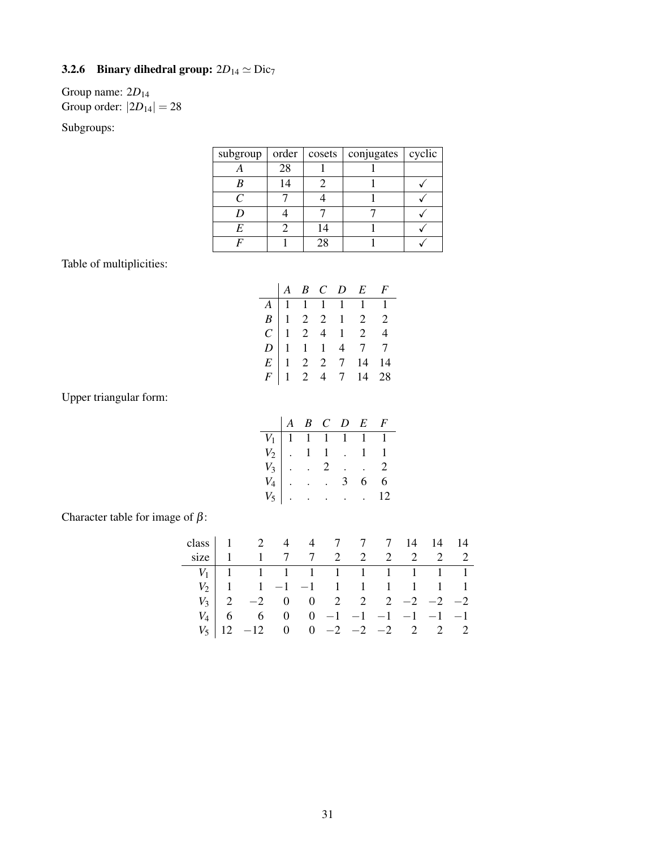### **3.2.6** Binary dihedral group:  $2D_{14} \simeq \text{Dic}_7$

### Group name: 2*D*<sup>14</sup> Group order:  $|2D_{14}| = 28$

#### Subgroups:

| subgroup $ $                | order | $\cosets$ | conjugates   cyclic |  |
|-----------------------------|-------|-----------|---------------------|--|
|                             | 28    |           |                     |  |
|                             | 14    |           |                     |  |
| $\mathcal{C}_{\mathcal{C}}$ |       |           |                     |  |
|                             |       |           |                     |  |
| F                           |       | 14        |                     |  |
|                             |       | 7X        |                     |  |

Table of multiplicities:

|  |  | $\begin{array}{ccccccccc} &A & B & C & D & E & F \end{array}$                                          |  |
|--|--|--------------------------------------------------------------------------------------------------------|--|
|  |  |                                                                                                        |  |
|  |  |                                                                                                        |  |
|  |  |                                                                                                        |  |
|  |  |                                                                                                        |  |
|  |  |                                                                                                        |  |
|  |  | A<br>1 1 1 1 1 1 1<br>B<br>1 2 2 1 2 2<br>C<br>1 2 4 1 2 4<br>E<br>1 2 2 7 14 14<br>F<br>1 2 4 7 14 28 |  |

Upper triangular form:

|  |  | $A \ B \ C \ D \ E \ F$                                                                                                                                                                           |  |
|--|--|---------------------------------------------------------------------------------------------------------------------------------------------------------------------------------------------------|--|
|  |  |                                                                                                                                                                                                   |  |
|  |  |                                                                                                                                                                                                   |  |
|  |  |                                                                                                                                                                                                   |  |
|  |  |                                                                                                                                                                                                   |  |
|  |  | $\begin{array}{c cccccc} V_1 & 1 & 1 & 1 & 1 & 1 & 1 \\ V_2 & . & 1 & 1 & . & 1 & 1 \\ V_3 & . & . & 2 & . & . & 2 \\ V_4 & . & . & . & 3 & 6 & 6 \\ V_5 & . & . & . & . & . & 12 \\ \end{array}$ |  |

Character table for image of  $\beta$ :

|  | class 1 2 4 4 7 7 7 14 14 14                                                                                                              |  |  |  |  |
|--|-------------------------------------------------------------------------------------------------------------------------------------------|--|--|--|--|
|  | size   1 1 7 7 2 2 2 2 2 2 2                                                                                                              |  |  |  |  |
|  |                                                                                                                                           |  |  |  |  |
|  |                                                                                                                                           |  |  |  |  |
|  | $V_3$   2 -2 0 0 2 2 2 -2 -2 -2                                                                                                           |  |  |  |  |
|  |                                                                                                                                           |  |  |  |  |
|  | $\begin{array}{c cccccc}\nV_4 & 6 & 6 & 0 & 0 & -1 & -1 & -1 & -1 & -1 \\ V_5 & 12 & -12 & 0 & 0 & -2 & -2 & -2 & 2 & 2 & 2\n\end{array}$ |  |  |  |  |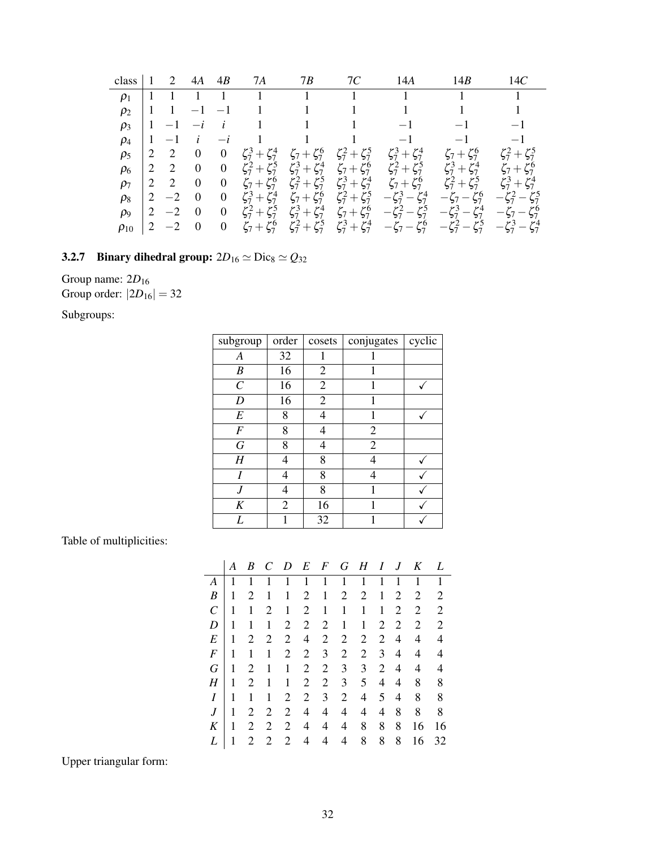| class       |   | 2      | 4A             | 4B               | 7Α                      | 7В                      | 7С                      | 14A                                                                                    | 14B                                                                | 14C                     |
|-------------|---|--------|----------------|------------------|-------------------------|-------------------------|-------------------------|----------------------------------------------------------------------------------------|--------------------------------------------------------------------|-------------------------|
| $\rho_1$    |   |        |                |                  |                         | $\Box$ 1                |                         |                                                                                        |                                                                    |                         |
| $\rho_2$    | 1 |        |                |                  |                         |                         |                         |                                                                                        |                                                                    |                         |
| $\rho_3$    | 1 |        |                | $\dot{i}$        |                         |                         |                         |                                                                                        |                                                                    | $-1$                    |
| $\rho_4$    | 1 | $-1$   | i              | $-i$             |                         |                         |                         | $-1$                                                                                   | $-1$                                                               | $-1$                    |
| $\rho_5$    |   | 2      | $\overline{0}$ | $\boldsymbol{0}$ | $\zeta_7^3 + \zeta_7^4$ | $\zeta_7 + \zeta_7^6$   | $\zeta_7^2 + \zeta_7^5$ | $\zeta_7^3 + \zeta_7^4$                                                                | $\zeta_7 + \zeta_7^6$                                              | $\zeta_7^2 + \zeta_7^5$ |
| $\rho_6$    | 2 | 2      | $\mathbf{0}$   | $\boldsymbol{0}$ | $\zeta_7^2 + \zeta_7^5$ | $\zeta_7^3 + \zeta_7^4$ | $\zeta_7 + \zeta_7^6$   | $\zeta_7^2 + \zeta_7^5$                                                                | $\zeta_7^3 + \zeta_7^4$                                            | $\zeta_7 + \zeta_7^6$   |
| $\rho_7$    | 2 | 2      | $\overline{0}$ | $\mathbf{0}$     | $\zeta_7 + \zeta_7^6$   | $\zeta_7^2 + \zeta_7^5$ | $\zeta_7^3 + \zeta_7^4$ | $\zeta_7 + \zeta_7^6$                                                                  | $\zeta_7^2 + \zeta_7^5$                                            | $\zeta_7^3 + \zeta_7^4$ |
| $\rho_8$    | 2 | $-2$   | $\overline{0}$ | $\boldsymbol{0}$ | $\zeta_7^3 + \zeta_7^4$ | $\zeta_7 + \zeta_7^6$   | $\zeta_7^2 + \zeta_7^5$ | $-\zeta_7^3 - \zeta_7^4$                                                               | $-\zeta_7-\zeta_7^6$                                               | $-\zeta_7^2-\zeta_7^5$  |
| $\rho_9$    | 2 | $-2$   | $\mathbf{0}$   | $\overline{0}$   | $\zeta_7^2 + \zeta_7^5$ | $\zeta_7^3 + \zeta_7^4$ |                         | $\zeta_7+\zeta_7^6$ $-\zeta_7^2-\zeta_7^5$ $-\zeta_7^3-\zeta_7^4$ $-\zeta_7-\zeta_7^6$ |                                                                    |                         |
| $\rho_{10}$ | 2 | $-2$ 0 |                | $\boldsymbol{0}$ | $\zeta_7 + \zeta_7^6$   | $\zeta_7^2 + \zeta_7^5$ | $\zeta_7^3 + \zeta_7^4$ |                                                                                        | $-\zeta_7-\zeta_7^6$ $-\zeta_7^2-\zeta_7^5$ $-\zeta_7^3-\zeta_7^4$ |                         |

## 3.2.7 Binary dihedral group:  $2D_{16} \simeq \text{Dic}_8 \simeq Q_{32}$

Group name:  $2D_{16}$ Group order:  $|2D_{16}| = 32$ 

Subgroups:

| subgroup         | order          | cosets         | conjugates     | cyclic |
|------------------|----------------|----------------|----------------|--------|
| А                | 32             |                |                |        |
| B                | 16             | $\overline{2}$ | 1              |        |
| $\mathcal{C}$    | 16             | $\overline{2}$ | 1              |        |
| D                | 16             | $\overline{2}$ | 1              |        |
| E                | 8              | 4              | 1              |        |
| F                | 8              | 4              | $\overline{2}$ |        |
| $\boldsymbol{G}$ | 8              | 4              | $\overline{2}$ |        |
| Η                | 4              | 8              | 4              |        |
| I                | 4              | 8              | 4              |        |
| J                | 4              | 8              | 1              |        |
| $\boldsymbol{K}$ | $\overline{2}$ | 16             |                |        |
| L                |                | 32             |                |        |

Table of multiplicities:

|                       | A | B | C | D              | E              | $\boldsymbol{F}$ | G              | H              | I | J | K  | L  |
|-----------------------|---|---|---|----------------|----------------|------------------|----------------|----------------|---|---|----|----|
| A                     | 1 | 1 | 1 | 1              | 1              | 1                | 1              | 1              | 1 | 1 | 1  | 1  |
| B                     | 1 | 2 | 1 | 1              | 2              | 1                | 2              | 2              | 1 | 2 | 2  | 2  |
| $\mathcal{C}_{0}^{0}$ | 1 | 1 | 2 | 1              | $\overline{2}$ | 1                | 1              | 1              | 1 | 2 | 2  | 2  |
| D                     | 1 | 1 | 1 | $\mathfrak{2}$ | 2              | 2                | 1              | 1              | 2 | 2 | 2  | 2  |
| E                     | 1 | 2 | 2 | $\mathfrak{2}$ | 4              | 2                | $\overline{2}$ | $\overline{2}$ | 2 | 4 | 4  | 4  |
| $\boldsymbol{F}$      | 1 | 1 | 1 | 2              | $\overline{2}$ | 3                | $\overline{2}$ | 2              | 3 | 4 | 4  | 4  |
| G                     | 1 | 2 | 1 | 1              | 2              | 2                | 3              | 3              | 2 | 4 | 4  | 4  |
| Η                     | 1 | 2 | 1 | 1              | 2              | $\overline{2}$   | 3              | 5              | 4 | 4 | 8  | 8  |
| I                     | 1 | 1 | 1 | 2              | $\overline{2}$ | 3                | $\overline{2}$ | 4              | 5 | 4 | 8  | 8  |
| $\boldsymbol{J}$      | 1 | 2 | 2 | 2              | 4              | 4                | 4              | 4              | 4 | 8 | 8  | 8  |
| K                     | 1 | 2 | 2 | 2              | 4              | 4                | 4              | 8              | 8 | 8 | 16 | 16 |
| L                     |   | 2 | 2 | 2              | 4              | 4                | 4              | 8              | 8 | 8 | 16 | 32 |

Upper triangular form: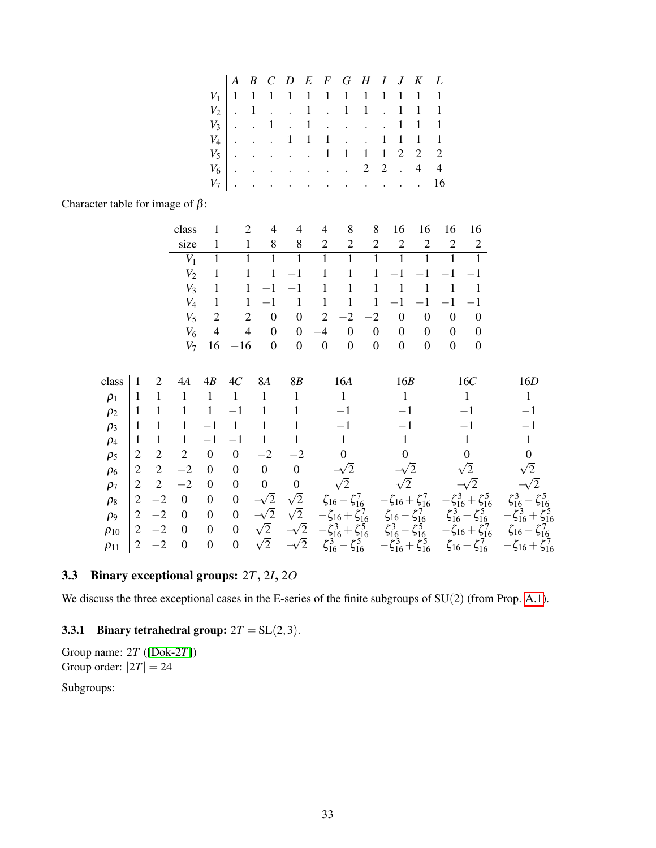| $V_1$ 1 1 1 1 1 1 1 1 1 1 1 1 1 |  |  |  |  |  |  |
|---------------------------------|--|--|--|--|--|--|
| $V_2$   . 1 1 . 1 1 . 1 1 1     |  |  |  |  |  |  |
| $V_3$ . 1 . 1 1 1 1             |  |  |  |  |  |  |
| $V_4$ 1 1 1 1 1 1 1             |  |  |  |  |  |  |
| $V_5$ 1 1 1 1 2 2 2             |  |  |  |  |  |  |
| $V_6$ 2 2 . 4 4                 |  |  |  |  |  |  |
| $V_7$ 16                        |  |  |  |  |  |  |

Character table for image of  $\beta$ :

|            |                | class $1 \t2 \t4 \t4 \t4 \t8 \t8 \t16 \t16 \t16 \t16$ |                                                                                  |  |  |                     |  |
|------------|----------------|-------------------------------------------------------|----------------------------------------------------------------------------------|--|--|---------------------|--|
| size       | $\overline{1}$ |                                                       | 1 8 8 2 2 2 2 2 2 2 2                                                            |  |  |                     |  |
| $V_1$      | 1              |                                                       |                                                                                  |  |  |                     |  |
|            | $V_2$   1      |                                                       | $1 \quad 1 \quad -1 \quad 1 \quad 1 \quad 1 \quad -1 \quad -1 \quad -1 \quad -1$ |  |  |                     |  |
|            | $V_3$   1      |                                                       | $1 -1 -1 1 1 1 1 1 1 1 1$                                                        |  |  |                     |  |
|            |                |                                                       |                                                                                  |  |  |                     |  |
|            |                |                                                       |                                                                                  |  |  |                     |  |
| $V_6$      | $\overline{4}$ |                                                       | $4 \t 0 \t 0 \t -4 \t 0 \t 0 \t 0 \t 0 \t 0 \t 0$                                |  |  |                     |  |
| $V_{\tau}$ |                | $16 - 16$ 0 0 0 0 0 0                                 |                                                                                  |  |  | $0 \quad 0 \quad 0$ |  |

| class       |                |                          | 4A             | 4B               | 4C               | <b>8A</b>      | <b>8B</b>      | 16A                                | 16B                                   | 16C                                                        | 16D                                 |
|-------------|----------------|--------------------------|----------------|------------------|------------------|----------------|----------------|------------------------------------|---------------------------------------|------------------------------------------------------------|-------------------------------------|
| $\rho_1$    |                |                          |                |                  |                  |                |                |                                    |                                       |                                                            |                                     |
| $\rho_2$    |                |                          |                |                  |                  |                |                |                                    |                                       |                                                            |                                     |
| $\rho_3$    |                |                          |                |                  |                  |                |                | $\qquad \qquad \longleftarrow$     |                                       |                                                            |                                     |
| $\rho_4$    |                |                          |                |                  |                  |                |                |                                    |                                       |                                                            |                                     |
| $\rho_5$    | 2              | $\overline{2}$           | 2              | 0                | $\theta$         | $-2$           | $-2$           |                                    |                                       |                                                            | 0                                   |
| $\rho_6$    | $\overline{2}$ | 2                        | $-2$           | $\boldsymbol{0}$ | $\theta$         | $\overline{0}$ | $\overline{0}$ |                                    | $^{\prime}2$                          | $\sqrt{2}$                                                 | $\sqrt{2}$                          |
| $\rho_7$    | 2              | 2                        | $-2$           | $\theta$         | $\theta$         | $\overline{0}$ | $\overline{0}$ | $\sqrt{2}$                         | $\sqrt{2}$                            |                                                            |                                     |
| $\rho_8$    | 2              | $-2$                     | $\theta$       | $\boldsymbol{0}$ | $\theta$         | $^{\prime}$ 2  | $\sqrt{2}$     | $\zeta_{16} - \zeta_{16}^7$        | $-\zeta_{16} + \zeta_{16}^7$          | $-\zeta_{16}^3 + \zeta_{16}^5$                             | $\zeta_{16}^3$                      |
| $\rho_9$    | 2              | $-2$                     | $\overline{0}$ | $\boldsymbol{0}$ | $\boldsymbol{0}$ | $^{\prime}$ 2  | $\sqrt{2}$     | $\zeta_{16} + \zeta_{16}^7$        | $\zeta_{16} - \zeta_{16}^7$           | $\zeta_{16}^3$<br>$\zeta_{16}^5$<br>-                      | $-\zeta_{16}^3$<br>$+ \zeta_{16}^5$ |
| $\rho_{10}$ | $\overline{2}$ | $-2$                     | $\theta$       | $\boldsymbol{0}$ | $\boldsymbol{0}$ | $\sqrt{2}$     | $\sqrt{2}$     | $-\zeta_{16}^3$<br>$+\zeta_{16}^5$ | $\zeta_{16}^3$<br>$\zeta_{16}^5$<br>— | $-\zeta_{16} + \zeta_{16}^7$                               | $\zeta_{16} - \zeta_{16}^7$         |
| $\rho_{11}$ | 2              | $\overline{\phantom{0}}$ | $\Omega$       | $\boldsymbol{0}$ | $\boldsymbol{0}$ | $\sqrt{2}$     |                | $\zeta_{16}^5$<br>$\zeta_{16}^3$   | $\zeta_{16}^3 + \zeta_{16}^5$         | $\zeta_{16}^7$<br>$\zeta_{16}$<br>$\overline{\phantom{0}}$ | $-\zeta_{16} + \zeta_{16}^7$        |

### <span id="page-32-0"></span>3.3 Binary exceptional groups: 2*T*, 2*I*, 2*O*

We discuss the three exceptional cases in the E-series of the finite subgroups of  $SU(2)$  (from Prop. [A.1\)](#page-41-2).

#### <span id="page-32-1"></span>3.3.1 Binary tetrahedral group:  $2T = SL(2,3)$ .

Group name: 2*T* ([\[Dok-2](#page-46-7)*T*]) Group order:  $|2T| = 24$ Subgroups: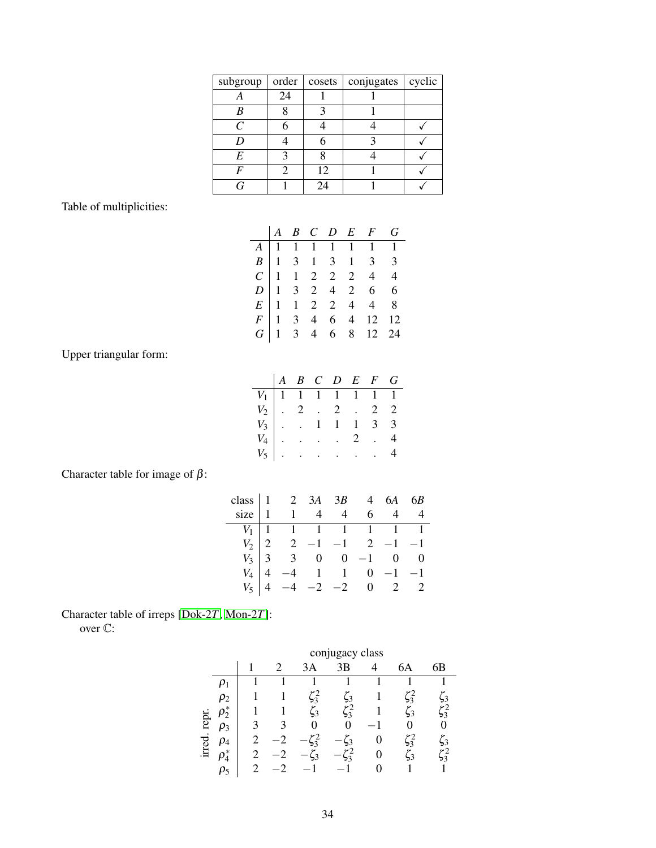| subgroup | order | cosets | conjugates | cyclic |
|----------|-------|--------|------------|--------|
|          | 24    |        |            |        |
|          |       |        |            |        |
| C        |       |        |            |        |
|          |       |        |            |        |
| E        |       |        |            |        |
|          |       | 12     |            |        |
|          |       | 24     |            |        |

Table of multiplicities:

|  |  |  | $\begin{array}{ccccccccc} & A & B & C & D & E & F & G \end{array}$                                                                       |  |
|--|--|--|------------------------------------------------------------------------------------------------------------------------------------------|--|
|  |  |  |                                                                                                                                          |  |
|  |  |  |                                                                                                                                          |  |
|  |  |  |                                                                                                                                          |  |
|  |  |  |                                                                                                                                          |  |
|  |  |  |                                                                                                                                          |  |
|  |  |  |                                                                                                                                          |  |
|  |  |  | A<br>1 1 1 1 1 1 1 1 1<br>B<br>1 3 1 3 1 3 3<br>C<br>1 3 2 4 2 6 6<br>E<br>1 1 2 2 4 4 8<br>F<br>1 3 4 6 4 12 12<br>G<br>1 3 4 6 8 12 24 |  |

Upper triangular form:

|                                                                                                                                                                                                                                                                 |  | $A$ $B$ $C$ $D$ $E$ $F$ $G$ |  |  |
|-----------------------------------------------------------------------------------------------------------------------------------------------------------------------------------------------------------------------------------------------------------------|--|-----------------------------|--|--|
|                                                                                                                                                                                                                                                                 |  |                             |  |  |
|                                                                                                                                                                                                                                                                 |  |                             |  |  |
|                                                                                                                                                                                                                                                                 |  |                             |  |  |
|                                                                                                                                                                                                                                                                 |  |                             |  |  |
| $\begin{tabular}{ c c c c c c } \hline $V_1$ & $1$ & $1$ & $1$ & $1$ & $1$ & $1$ \\ $V_2$ & $2$ & $2$ & $2$ & $2$ & $2$ \\ $V_3$ & $1$ & $1$ & $1$ & $3$ & $3$ \\ $V_4$ & $1$ & $1$ & $3$ & $3$ \\ $V_5$ & $1$ & $1$ & $1$ & $3$ & $3$ \\ \hline \end{tabular}$ |  |                             |  |  |

Character table for image of  $\beta$ :

|  |  |  | class $\begin{vmatrix} 1 & 2 & 3A & 3B & 4 & 6A & 6B \\ 1 & 1 & 4 & 4 & 6 & 4 & 4 \end{vmatrix}$<br>$\begin{tabular}{c cccccc} $V_1$ & $1$ & $1$ & $1$ & $1$ & $1$ & $1$ & $1$ \\ $V_2$ & $2$ & $2$ & $-1$ & $-1$ & $2$ & $-1$ & $-1$ \\ $V_3$ & $3$ & $3$ & $0$ & $0$ & $-1$ & $0$ & $0$ \\ $V_4$ & $4$ & $-4$ & $1$ & $1$ & $0$ & $-1$ & $-1$ \\ $V_5$ & $4$ & $-4$ & $-2$ & $-2$ & $0$ & $2$ & $2$ \\ \end{tabular}$ |
|--|--|--|-------------------------------------------------------------------------------------------------------------------------------------------------------------------------------------------------------------------------------------------------------------------------------------------------------------------------------------------------------------------------------------------------------------------------|

Character table of irreps [\[Dok-2](#page-46-7)*T*, [Mon-2](#page-46-8)*T*]:

over C:

|        |            |   | conjugacy class |                |                |   |                |                         |  |  |  |  |
|--------|------------|---|-----------------|----------------|----------------|---|----------------|-------------------------|--|--|--|--|
|        |            |   | 2               | 3Α             | 3Β             | 4 | 6А             | 6B                      |  |  |  |  |
|        |            |   |                 |                |                |   |                |                         |  |  |  |  |
|        | $\rho_2$   |   |                 | 2ء<br>33       | $\frac{1}{2}$  |   | $\frac{6}{3}$  | $\mathbf{3}$            |  |  |  |  |
|        | ρ,         |   |                 | $\zeta_3$      | 2ء<br>3ء       |   | $\overline{3}$ | 2ء<br>33                |  |  |  |  |
| repr   | $\rho_3$   | 2 |                 | 0              |                |   |                |                         |  |  |  |  |
| irred. | $\mu_4$    |   |                 | $\frac{6}{2}$  | $\overline{2}$ | 0 | $\xi_3^2$      | $\overline{\mathbf{3}}$ |  |  |  |  |
|        | $\rho_4^*$ |   |                 | $\overline{2}$ | $\frac{6}{3}$  | 0 | $\overline{3}$ | ر<br>33                 |  |  |  |  |
|        | ρ5         |   |                 |                |                |   |                |                         |  |  |  |  |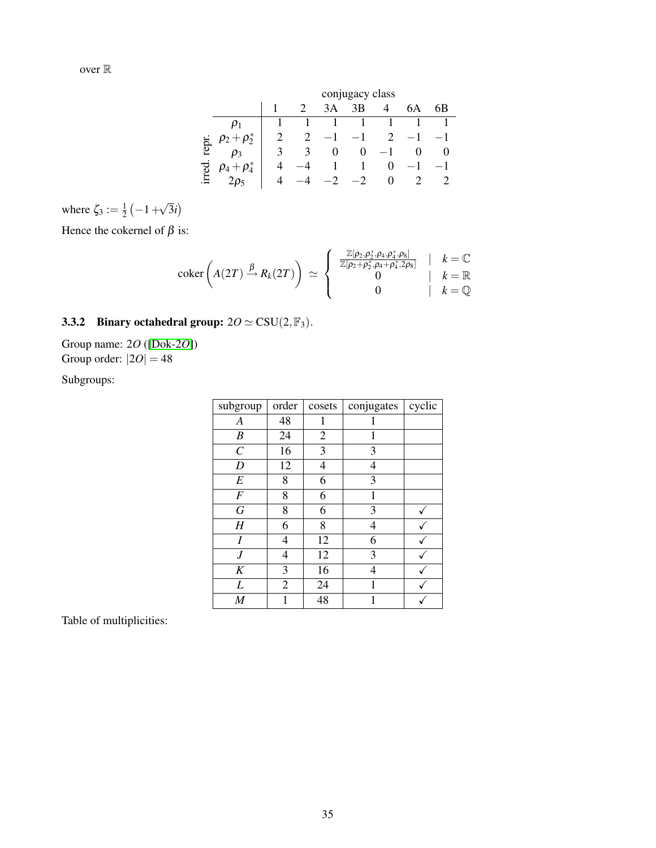|       |                       |   | conjugacy class |          |          |                   |              |              |  |  |  |
|-------|-----------------------|---|-----------------|----------|----------|-------------------|--------------|--------------|--|--|--|
|       |                       |   |                 | 3A       | 3B       |                   | 6A           | 6В           |  |  |  |
|       |                       |   |                 |          |          |                   |              |              |  |  |  |
|       | $+\rho_{2}^{*}$       |   | 2               |          |          | 2                 |              |              |  |  |  |
| ia.   |                       | κ | 3               | $\theta$ | $\theta$ |                   | $\mathbf{U}$ | $\mathbf{U}$ |  |  |  |
| irred | $+\rho_{4}^{*}$<br>μ4 |   |                 |          | ı        | $\mathbf{\Omega}$ |              |              |  |  |  |
|       |                       | Δ |                 |          |          | $\mathbf{\Omega}$ |              |              |  |  |  |

where  $\zeta_3 := \frac{1}{2}$  $rac{1}{2}(-1 +$ √ 3*i*

Hence the cokernel of  $\beta$  is:

$$
\operatorname{coker}\left(A(2T)\stackrel{\beta}{\to}R_k(2T)\right) \simeq \left\{\begin{array}{c} \frac{\mathbb{Z}[\rho_2,\rho_2^*,\rho_4,\rho_4^*,\rho_8]}{\mathbb{Z}[\rho_2+\rho_2^*,\rho_4+\rho_4^*,2\rho_8]} & | & k=\mathbb{C} \\ 0 & | & k=\mathbb{R} \\ 0 & | & k=\mathbb{Q} \end{array}\right.
$$

### <span id="page-34-0"></span>3.3.2 Binary octahedral group:  $20 \simeq \text{CSU}(2,\mathbb{F}_3)$ .

Group name: 2*O* ([\[Dok-2](#page-46-9)*O*]) Group order:  $|2O| = 48$ 

Subgroups:

| subgroup              | order          | cosets         | conjugates | cyclic |
|-----------------------|----------------|----------------|------------|--------|
| $\boldsymbol{A}$      | 48             | 1              |            |        |
| B                     | 24             | $\overline{c}$ | 1          |        |
| $\mathcal{C}_{0}^{0}$ | 16             | 3              | 3          |        |
| D                     | 12             | 4              | 4          |        |
| E                     | 8              | 6              | 3          |        |
| $\boldsymbol{F}$      | 8              | 6              | 1          |        |
| G                     | 8              | 6              | 3          |        |
| H                     | 6              | 8              | 4          |        |
| Ι                     | 4              | 12             | 6          |        |
| J                     | 4              | 12             | 3          |        |
| K                     | 3              | 16             | 4          |        |
| L                     | $\overline{c}$ | 24             | 1          |        |
| $\boldsymbol{M}$      | 1              | 48             | 1          |        |

Table of multiplicities: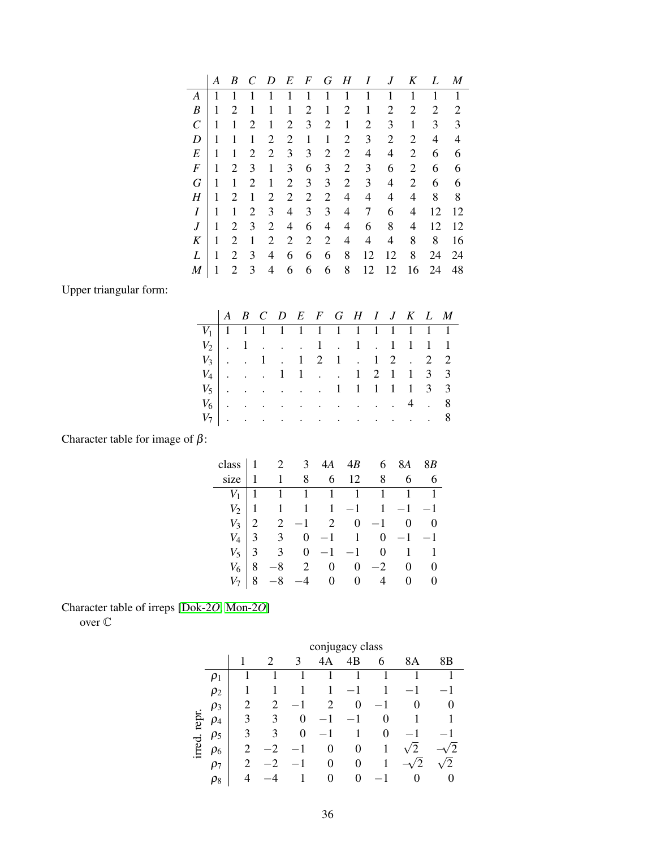|              | A | B              | C              | D | E              | $\boldsymbol{F}$ | G              | H              | I              | .1 | K              | L  | M  |
|--------------|---|----------------|----------------|---|----------------|------------------|----------------|----------------|----------------|----|----------------|----|----|
| A            | 1 | 1              |                | 1 | 1              | 1                | 1              | 1              | 1              | 1  | 1              | 1  | 1  |
| B            | 1 | $\overline{2}$ | 1              | 1 | 1              | $\overline{c}$   | 1              | $\overline{c}$ | 1              | 2  | $\overline{2}$ | 2  | 2  |
| $\mathcal C$ | 1 | 1              | $\overline{2}$ | 1 | 2              | 3                | $\overline{2}$ | 1              | $\overline{2}$ | 3  | 1              | 3  | 3  |
| D            | 1 | 1              | 1              | 2 | 2              | 1                | 1              | 2              | 3              | 2  | 2              | 4  | 4  |
| E            | 1 | 1              | 2              | 2 | 3              | 3                | 2              | 2              | 4              | 4  | 2              | 6  | 6  |
| F            | 1 | $\overline{2}$ | 3              | 1 | 3              | 6                | 3              | 2              | 3              | 6  | 2              | 6  | 6  |
| G            | 1 | 1              | 2              | 1 | $\overline{2}$ | 3                | 3              | 2              | 3              | 4  | 2              | 6  | 6  |
| Η            | 1 | $\overline{2}$ | 1              | 2 | 2              | 2                | 2              | 4              | 4              | 4  | 4              | 8  | 8  |
| I            | 1 | 1              | 2              | 3 | 4              | 3                | 3              | 4              | 7              | 6  | 4              | 12 | 12 |
| J            | 1 | $\overline{2}$ | 3              | 2 | 4              | 6                | 4              | 4              | 6              | 8  | 4              | 12 | 12 |
| K            | 1 | $\overline{2}$ | 1              | 2 | 2              | 2                | $\overline{2}$ | 4              | 4              | 4  | 8              | 8  | 16 |
| L            | 1 | 2              | 3              | 4 | 6              | 6                | 6              | 8              | 12             | 12 | 8              | 24 | 24 |
| M            |   | 2              | 3              | 4 | 6              | 6                | 6              | 8              | 12             | 12 | 16             | 24 | 48 |

Upper triangular form:

|  |  |  |  | $V_1$   1   1   1   1   1   1   1   1   1 |  |  |  |
|--|--|--|--|-------------------------------------------|--|--|--|
|  |  |  |  | $V_2$   . 1 1 . 1 . 1 1 1 1               |  |  |  |
|  |  |  |  | $V_3$ . 1 . 1 2 1 . 1 2 . 2 2             |  |  |  |
|  |  |  |  | $V_4$ 1 1 1 2 1 1 3 3                     |  |  |  |
|  |  |  |  | $V_5$ 1 1 1 1 1 3 3                       |  |  |  |
|  |  |  |  | $V_6$ 4 . 8                               |  |  |  |
|  |  |  |  | $V_7$ 8                                   |  |  |  |
|  |  |  |  |                                           |  |  |  |

Character table for image of  $\beta$ :

| class $\begin{vmatrix} 1 & 2 & 3 \end{vmatrix}$ |   |                                                    | 4A | 4B                                                     |          | 6 8A 8B |                            |
|-------------------------------------------------|---|----------------------------------------------------|----|--------------------------------------------------------|----------|---------|----------------------------|
| size                                            |   | $\begin{array}{cccc} \n1 & 1 & 8 & 6\n\end{array}$ |    |                                                        | 12 8 6 6 |         |                            |
| $V_1$                                           |   |                                                    |    | $1 \quad 1 \quad 1 \quad 1 \quad 1 \quad 1 \quad 1$    |          |         |                            |
| $V_2$   1                                       |   |                                                    |    | $1 \quad 1 \quad 1 \quad -1 \quad 1 \quad -1 \quad -1$ |          |         |                            |
| $V_3$                                           |   |                                                    |    | $2 -1 2 0 -1 0 0$                                      |          |         |                            |
|                                                 |   | $V_4$ 3 3 0 -1 1 0 -1 -1                           |    |                                                        |          |         |                            |
| $V_5$                                           | 3 |                                                    |    | $3 \t 0 \t -1 \t -1 \t 0 \t 1 \t 1$                    |          |         |                            |
| $V_6$                                           |   |                                                    |    | 8 2 0 0                                                | $-2$     |         | $0 \quad 0$                |
| $V_{7}$                                         |   | $-8$                                               |    | $-4$ 0 0 4                                             |          |         | $\overline{0}$<br>$\theta$ |

Character table of irreps [\[Dok-2](#page-46-9)*O*, [Mon-2](#page-46-10)*O*]

over C

|        |          | conjugacy class |                       |   |        |    |   |    |    |  |  |  |  |
|--------|----------|-----------------|-----------------------|---|--------|----|---|----|----|--|--|--|--|
|        |          |                 | $\mathcal{D}_{\cdot}$ | 3 | 4<br>А | 4B | 6 | 8Α | 8Β |  |  |  |  |
|        | $\rho_1$ |                 |                       |   |        |    |   |    |    |  |  |  |  |
|        | $\rho_2$ | 1               |                       |   | 1      |    |   |    |    |  |  |  |  |
|        | $\rho_3$ | 2               | 2                     |   | 2      | 0  |   |    |    |  |  |  |  |
| repr   | $\rho_4$ | 3               | 3                     | 0 |        |    | 0 |    |    |  |  |  |  |
|        | $\rho_5$ | 3               | 3                     | 0 |        |    | 0 |    |    |  |  |  |  |
| irred. | $\rho_6$ | 2               |                       |   | 0      | 0  | 1 | 2  |    |  |  |  |  |
|        | $\rho_7$ | 2               |                       |   | 0      | 0  |   | 2  | 2  |  |  |  |  |
|        | $\rho_8$ |                 |                       |   | 0      | 0  |   |    |    |  |  |  |  |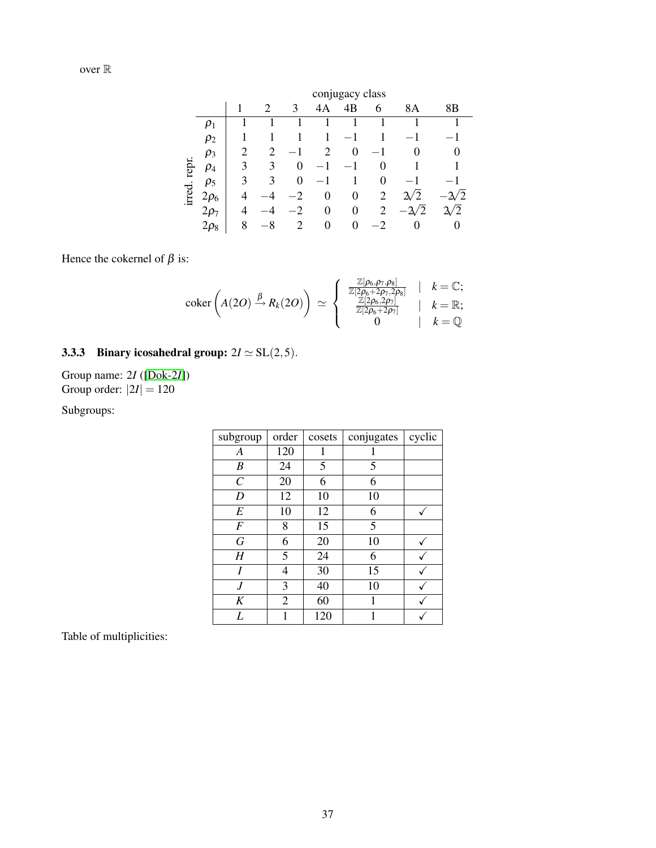|        |           |   | conjugacy class |    |    |          |                |               |    |  |  |  |  |
|--------|-----------|---|-----------------|----|----|----------|----------------|---------------|----|--|--|--|--|
|        |           |   | 2               | 3  | 4A | 4B       | 6              | 8Α            | 8Β |  |  |  |  |
|        | $\rho_1$  |   |                 |    |    |          |                |               |    |  |  |  |  |
|        | $\rho_2$  |   |                 |    | 1  |          |                |               |    |  |  |  |  |
|        | $\rho_3$  | 2 | 2               |    | 2  | $\theta$ |                |               |    |  |  |  |  |
| repr.  | $\rho_4$  | 3 | 3               | 0  |    |          | 0              |               |    |  |  |  |  |
|        | $\rho_5$  | 3 | 3               | 0  |    |          | 0              |               |    |  |  |  |  |
| irred. | $2\rho_6$ | 4 |                 | -2 | 0  | 0        | 2              | $^{\prime}$ 2 |    |  |  |  |  |
|        | $2\rho_7$ | 4 |                 | -2 | 0  | 0        | $\overline{2}$ |               | /2 |  |  |  |  |
|        | $2\rho_8$ | 8 |                 | 2  | 0  | 0        | . 2            |               |    |  |  |  |  |

Hence the cokernel of  $\beta$  is:

$$
\operatorname{coker}\left(A(2O) \xrightarrow{\beta} R_k(2O)\right) \simeq \left\{\begin{array}{ccc} \frac{\mathbb{Z}[\rho_6, \rho_7, \rho_8]}{\mathbb{Z}[2\rho_6 + 2\rho_7, 2\rho_8]} & | & k = \mathbb{C};\\ \frac{\mathbb{Z}[2\rho_6 + 2\rho_7]}{\mathbb{Z}[2\rho_6 + 2\rho_7]} & | & k = \mathbb{R};\\ 0 & | & k = \mathbb{Q} \end{array}\right.
$$

### <span id="page-36-0"></span>3.3.3 Binary icosahedral group:  $2I \simeq SL(2,5)$ .

Group name: 2*I* ([\[Dok-2](#page-46-11)*I*]) Group order:  $|2I| = 120$ 

Subgroups:

| subgroup          | order | cosets | conjugates | cyclic |
|-------------------|-------|--------|------------|--------|
| А                 | 120   |        |            |        |
| B                 | 24    | 5      | 5          |        |
| $\mathcal{C}_{0}$ | 20    | 6      | 6          |        |
| D                 | 12    | 10     | 10         |        |
| E                 | 10    | 12     | 6          |        |
| F                 | 8     | 15     | 5          |        |
| G                 | 6     | 20     | 10         |        |
| Η                 | 5     | 24     | 6          |        |
| I                 | 4     | 30     | 15         |        |
| .J                | 3     | 40     | 10         |        |
| K                 | 2     | 60     | 1          |        |
| L                 |       | 120    |            |        |

Table of multiplicities: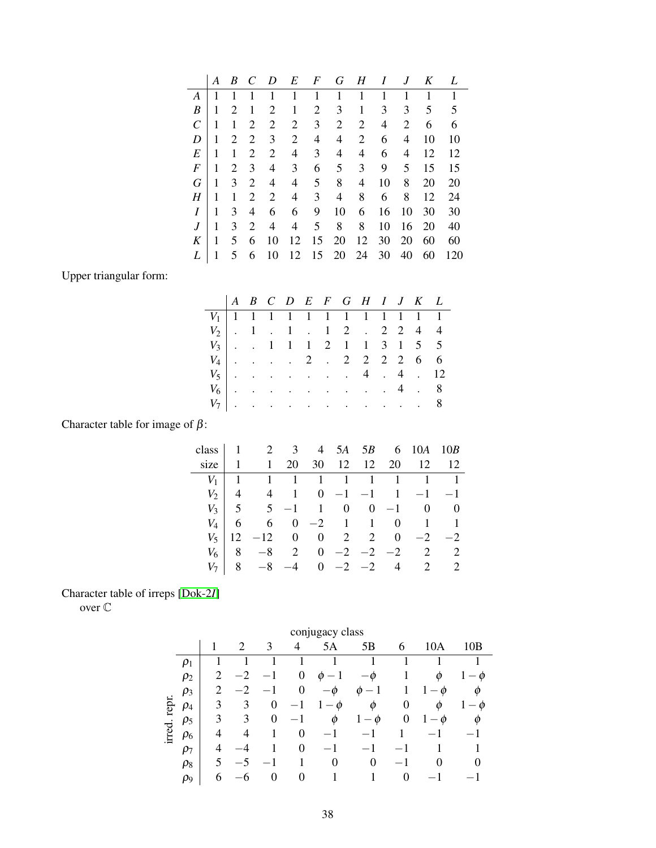|              | А | B              | $\mathcal{C}$ | D              | E  | $\boldsymbol{F}$ | G  | H  | I  |    | K  | L   |
|--------------|---|----------------|---------------|----------------|----|------------------|----|----|----|----|----|-----|
| A            | 1 | 1              |               | 1              | 1  | 1                | 1  | 1  | 1  | 1  | 1  | 1   |
| B            | 1 | $\overline{2}$ | 1             | 2              | 1  | 2                | 3  | 1  | 3  | 3  | 5  | 5   |
| $\mathcal C$ | 1 | 1              | 2             | $\overline{2}$ | 2  | 3                | 2  | 2  | 4  | 2  | 6  | 6   |
| D            | 1 | 2              | 2             | 3              | 2  | 4                | 4  | 2  | 6  | 4  | 10 | 10  |
| E            | 1 | 1              | 2             | $\overline{2}$ | 4  | 3                | 4  | 4  | 6  | 4  | 12 | 12  |
| F            | 1 | 2              | 3             | 4              | 3  | 6                | 5  | 3  | 9  | 5  | 15 | 15  |
| G            | 1 | 3              | 2             | 4              | 4  | 5                | 8  | 4  | 10 | 8  | 20 | 20  |
| H            | 1 | 1              | 2             | $\overline{2}$ | 4  | 3                | 4  | 8  | 6  | 8  | 12 | 24  |
| I            | 1 | 3              | 4             | 6              | 6  | 9                | 10 | 6  | 16 | 10 | 30 | 30  |
| J            | 1 | 3              | 2             | 4              | 4  | 5 <sup>5</sup>   | 8  | 8  | 10 | 16 | 20 | 40  |
| K            | 1 | 5              | 6             | 10             | 12 | 15               | 20 | 12 | 30 | 20 | 60 | 60  |
| L            |   | 5              | 6             | 10             | 12 | 15               | 20 | 24 | 30 | 40 | 60 | 120 |

Upper triangular form:

|  |  |  |  |                                 |  | $V_1$   1   1   1   1   1   1   1   1 |
|--|--|--|--|---------------------------------|--|---------------------------------------|
|  |  |  |  | $V_2$   . 1 . 1 . 1 2 . 2 2 4 4 |  |                                       |
|  |  |  |  | $V_3$ . 1 1 1 2 1 1 3 1 5 5     |  |                                       |
|  |  |  |  | $V_4$ 2 . 2 2 2 2 6 6           |  |                                       |
|  |  |  |  | $V_5$ 4 . 4 . 12                |  |                                       |
|  |  |  |  | $V_6$ 4 . 8                     |  |                                       |
|  |  |  |  | $V_7$ 8                         |  |                                       |
|  |  |  |  |                                 |  |                                       |

Character table for image of  $\beta$ :

|         |                 | class 1 2 3 4 5A 5B 6 10A 10B |      |  |           |                                                                     |           |
|---------|-----------------|-------------------------------|------|--|-----------|---------------------------------------------------------------------|-----------|
| size    |                 | 1                             | 20   |  |           | 30   12   12   20   12   12                                         |           |
| $V_1$   |                 |                               |      |  |           | $1 \quad 1 \quad 1 \quad 1 \quad 1 \quad 1 \quad 1 \quad 1 \quad 1$ |           |
|         | $V_2$   4       |                               |      |  |           | 4 1 0 -1 -1 1 -1 -1                                                 |           |
|         |                 |                               |      |  |           |                                                                     |           |
| $V_A$   | $6\overline{6}$ |                               |      |  |           | $6 \t 0 \t -2 \t 1 \t 1 \t 0 \t 1 \t 1$                             |           |
| $V_{5}$ | 12              | $-12$ 0 0 2 2 0               |      |  |           |                                                                     | $-2$ $-2$ |
| $V_6$   | 8               |                               |      |  |           | $-8$ 2 0 $-2$ $-2$ $-2$ 2 2                                         |           |
|         |                 |                               | $-4$ |  | $0 -2 -2$ | $4 \t2 \t2$                                                         |           |
|         |                 |                               |      |  |           |                                                                     |           |

### Character table of irreps [\[Dok-2](#page-46-11)*I*]

over C

|        | conjugacy class |                |      |                |      |                |                               |          |         |                |  |  |
|--------|-----------------|----------------|------|----------------|------|----------------|-------------------------------|----------|---------|----------------|--|--|
|        |                 |                | 2    | 3              | 4    | 5Α             | 5B                            | 6        | 10A     | 10B            |  |  |
|        | $\rho_1$        |                |      |                |      |                |                               |          |         |                |  |  |
|        | $\rho_2$        | $\overline{2}$ |      |                | 0    | Ø              | $-\phi$                       |          | Ø       | $-\varnothing$ |  |  |
|        | $\rho_3$        | 2              | $-2$ | -1             | 0    | $-\varnothing$ | Ø<br>— 1                      |          | $\phi$  | ⋒              |  |  |
| repr.  | $\rho_4$        | 3              | 3    | 0              |      | $-\phi$        | Φ                             | 0        | Ø       | 0              |  |  |
|        | $\rho_5$        | 3              | 3    | $\overline{0}$ | $-1$ | Ø              | Ø<br>$\overline{\phantom{m}}$ | $\theta$ | $-\phi$ |                |  |  |
| irred. | $\rho_6$        | 4              | 4    |                | 0    |                |                               |          |         |                |  |  |
|        | $\rho_7$        | 4              |      |                | 0    | $-1$           | $-1$                          |          |         |                |  |  |
|        | $\rho_8$        | 5              |      |                | 1    | 0              | $\theta$                      |          | 0       |                |  |  |
|        | $\rho_9$        | 6              |      | 0              | 0    |                |                               | 0        |         |                |  |  |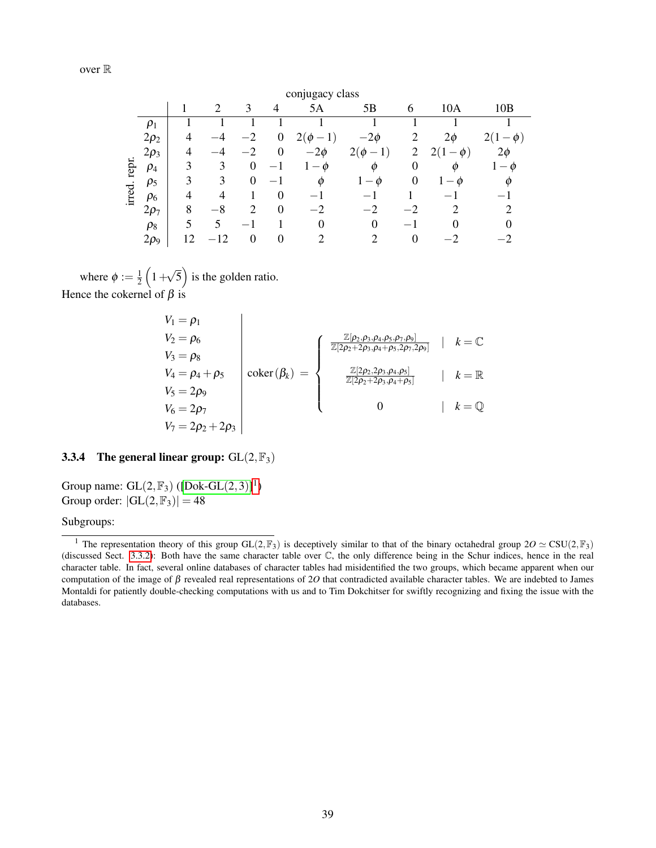|        | conjugacy class |    |                             |                |                                  |                       |                                     |                          |                     |                        |  |  |
|--------|-----------------|----|-----------------------------|----------------|----------------------------------|-----------------------|-------------------------------------|--------------------------|---------------------|------------------------|--|--|
|        |                 |    | $\mathcal{D}_{\mathcal{A}}$ | 3              | $\overline{4}$                   | 5A                    | 5B                                  | 6                        | 10A                 | 10B                    |  |  |
|        | $\rho_1$        |    |                             |                |                                  |                       |                                     |                          |                     |                        |  |  |
|        | $2\rho_2$       | 4  |                             | $-2$           | $\boldsymbol{0}$                 | $-1)$<br>2(<br>$\phi$ | $-2\phi$                            | 2                        | $2\phi$             | 2(1)<br>$-\varnothing$ |  |  |
|        | $2\rho_3$       | 4  |                             | $-2$           | $\theta$                         | $-2\phi$              | $2(\phi)$<br>$-1)$                  | 2                        | $\phi$              | $2\phi$                |  |  |
| repr.  | $\rho_4$        | 3  | 3                           | 0              | $\overbrace{\phantom{12322111}}$ | $\emptyset$           | Ø                                   | 0                        | Ø                   | $\emptyset$            |  |  |
|        | $\rho_5$        | 3  | 3                           | 0              |                                  | Ø                     | $\phi$<br>$\mathbf{I}$ $\mathbf{-}$ | 0                        | $\boldsymbol{\phi}$ |                        |  |  |
| irred. | $\rho_6$        | 4  | 4                           |                | $\theta$                         |                       |                                     |                          |                     |                        |  |  |
|        | $2\rho_7$       | 8  | $-8$                        | $\overline{2}$ | $\boldsymbol{0}$                 | $-2$                  | $-2$                                |                          |                     |                        |  |  |
|        | $\rho_8$        | 5  | 5                           |                |                                  | $\theta$              | $\theta$                            | $\overline{\phantom{0}}$ |                     |                        |  |  |
|        | $2\rho_9$       | 12 | $\overline{2}$              | 0              | $\boldsymbol{0}$                 | ↑                     | ↑                                   | $\theta$                 |                     |                        |  |  |

where  $\phi := \frac{1}{2}$  $rac{1}{2}(1 +$ √  $\overline{5}$ ) is the golden ratio. Hence the cokernel of  $\beta$  is

$$
V_1 = \rho_1
$$
  
\n
$$
V_2 = \rho_6
$$
  
\n
$$
V_3 = \rho_8
$$
  
\n
$$
V_4 = \rho_4 + \rho_5
$$
  
\n
$$
V_5 = 2\rho_9
$$
  
\n
$$
V_6 = 2\rho_7
$$
  
\n
$$
V_7 = 2\rho_2 + 2\rho_3
$$
\n
$$
V_8 = \rho_8
$$
\n
$$
V_9 = \rho_9
$$
\n
$$
V_1 = 2\rho_2 + 2\rho_3
$$
\n
$$
V_2 = \rho_9
$$
\n
$$
V_3 = \rho_9
$$
\n
$$
V_4 = \rho_9
$$
\n
$$
V_5 = \rho_9
$$
\n
$$
V_6 = \rho_9
$$
\n
$$
V_7 = \rho_9
$$
\n
$$
V_8 = \rho_9
$$
\n
$$
V_9 = \rho_9
$$
\n
$$
V_9 = \rho_9
$$
\n
$$
V_9 = \rho_9
$$
\n
$$
V_9 = \rho_9
$$
\n
$$
V_9 = \rho_9
$$
\n
$$
V_9 = \rho_9
$$
\n
$$
V_9 = \rho_9
$$
\n
$$
V_9 = \rho_9
$$
\n
$$
V_9 = \rho_9
$$
\n
$$
V_9 = \rho_9
$$
\n
$$
V_9 = \rho_9
$$
\n
$$
V_9 = \rho_9
$$
\n
$$
V_9 = \rho_9
$$
\n
$$
V_9 = \rho_9
$$
\n
$$
V_9 = \rho_9
$$
\n
$$
V_9 = \rho_9
$$
\n
$$
V_9 = \rho_9
$$
\n
$$
V_9 = \rho_9
$$
\n
$$
V_9 = \rho_9
$$
\n
$$
V_9 = \rho_9
$$
\n
$$
V_9 = \rho_9
$$
\n
$$
V_9 = \rho_9
$$
\n
$$
V_9 = \rho_9
$$
\n

#### <span id="page-38-0"></span>3.3.4 The general linear group:  $GL(2, \mathbb{F}_3)$

Group name:  $GL(2, \mathbb{F}_3)$  ([\[Dok-GL](#page-46-12) $(2, 3)$ ]<sup>[1](#page-38-1)</sup>) Group order:  $|GL(2,\mathbb{F}_3)| = 48$ 

Subgroups:

<span id="page-38-1"></span><sup>&</sup>lt;sup>1</sup> The representation theory of this group GL(2,  $\mathbb{F}_3$ ) is deceptively similar to that of the binary octahedral group  $20 \simeq \text{CSU}(2, \mathbb{F}_3)$ (discussed Sect. [3.3.2\)](#page-34-0): Both have the same character table over C, the only difference being in the Schur indices, hence in the real character table. In fact, several online databases of character tables had misidentified the two groups, which became apparent when our computation of the image of β revealed real representations of 2*O* that contradicted available character tables. We are indebted to James Montaldi for patiently double-checking computations with us and to Tim Dokchitser for swiftly recognizing and fixing the issue with the databases.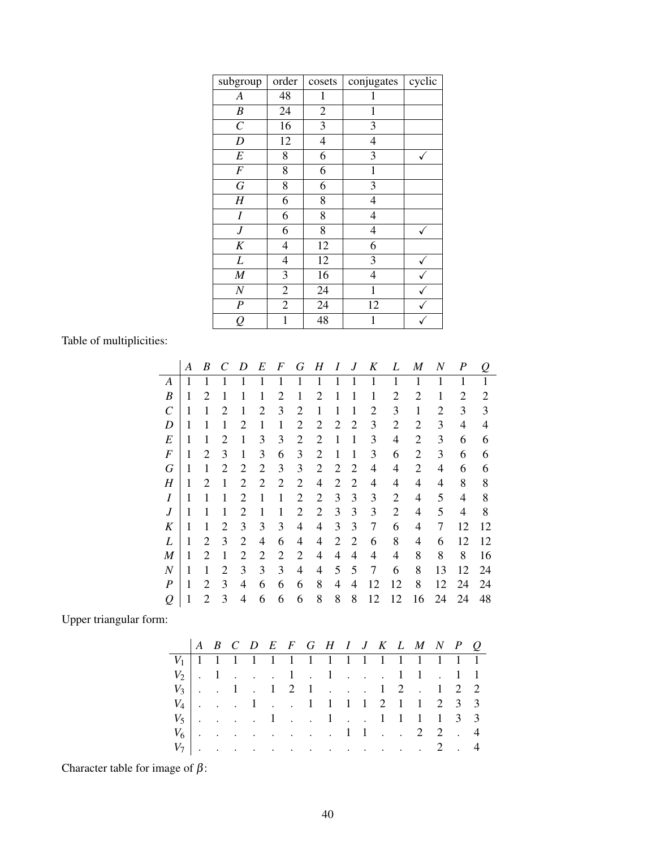| subgroup         | order                    | cosets         | conjugates               | cyclic       |
|------------------|--------------------------|----------------|--------------------------|--------------|
| A                | 48                       | 1              |                          |              |
| $\boldsymbol{B}$ | 24                       | $\overline{c}$ | 1                        |              |
| $\overline{C}$   | 16                       | 3              | 3                        |              |
| $\boldsymbol{D}$ | 12                       | $\overline{4}$ | $\overline{4}$           |              |
| $\cal E$         | 8                        | 6              | 3                        | ✓            |
| $\cal F$         | 8                        | 6              | 1                        |              |
| G                | 8                        | 6              | 3                        |              |
| $H_{\rm}$        | 6                        | 8              | 4                        |              |
| I                | 6                        | 8              | $\overline{\mathcal{L}}$ |              |
| $\boldsymbol{J}$ | 6                        | 8              | $\overline{\mathcal{L}}$ | $\checkmark$ |
| $K_{\rm}$        | 4                        | 12             | 6                        |              |
| L                | $\overline{\mathcal{L}}$ | 12             | 3                        |              |
| $\boldsymbol{M}$ | 3                        | 16             | $\overline{4}$           |              |
| $\cal N$         | $\sqrt{2}$               | 24             | $\mathbf 1$              |              |
| $\boldsymbol{P}$ | $\overline{2}$           | 24             | 12                       |              |
| $\varrho$        | $\mathbf{1}$             | 48             | 1                        |              |

Table of multiplicities:

|                  | A | B              | C              | D              | E              | F              | G              | Н              | I              | J              | Κ              | L              | M              | N  | P  | Q              |
|------------------|---|----------------|----------------|----------------|----------------|----------------|----------------|----------------|----------------|----------------|----------------|----------------|----------------|----|----|----------------|
| A                | 1 | 1              |                |                | 1              | 1              |                |                |                |                | 1              |                |                |    | 1  |                |
| B                | 1 | $\overline{c}$ |                |                | 1              | $\overline{2}$ | 1              | 2              |                |                | 1              | 2              | $\overline{c}$ | 1  | 2  | $\overline{2}$ |
| C                | 1 | 1              | 2              | 1              | $\overline{2}$ | 3              | $\overline{2}$ | 1              | 1              | 1              | $\overline{2}$ | 3              | 1              | 2  | 3  | 3              |
| D                | 1 | 1              | 1              | 2              | 1              | $\mathbf{1}$   | 2              | 2              | $\overline{2}$ | $\overline{2}$ | 3              | $\overline{2}$ | 2              | 3  | 4  | 4              |
| E                | 1 | 1              | 2              | 1              | 3              | 3              | $\overline{2}$ | 2              | 1              | 1              | 3              | $\overline{4}$ | 2              | 3  | 6  | 6              |
| $\boldsymbol{F}$ | 1 | $\overline{2}$ | 3              | 1              | 3              | 6              | 3              | $\overline{2}$ | 1              | 1              | 3              | 6              | $\overline{2}$ | 3  | 6  | 6              |
| G                | 1 | $\mathbf{1}$   | $\overline{2}$ | $\overline{2}$ | $\overline{2}$ | 3              | 3              | $\overline{2}$ | $\overline{2}$ | $\overline{2}$ | 4              | 4              | $\overline{2}$ | 4  | 6  | 6              |
| Н                | 1 | 2              | 1              | 2              | $\overline{2}$ | $\overline{2}$ | 2              | 4              | $\overline{2}$ | 2              | 4              | 4              | 4              | 4  | 8  | 8              |
| Ι                | 1 | 1              | 1              | $\overline{2}$ | $\mathbf{1}$   | $\mathbf{1}$   | $\overline{2}$ | $\overline{2}$ | 3              | 3              | 3              | $\overline{2}$ | 4              | 5  | 4  | 8              |
| J                | 1 | 1              | 1              | 2              | 1              | 1              | $\overline{2}$ | $\overline{2}$ | 3              | 3              | 3              | $\overline{2}$ | 4              | 5  | 4  | 8              |
| K                | 1 | 1              | $\overline{c}$ | 3              | 3              | 3              | 4              | 4              | 3              | 3              | 7              | 6              | 4              | 7  | 12 | 12             |
| L                | 1 | $\overline{2}$ | 3              | $\overline{2}$ | 4              | 6              | 4              | 4              | $\overline{2}$ | $\overline{2}$ | 6              | 8              | 4              | 6  | 12 | 12             |
| M                | 1 | $\overline{2}$ | 1              | $\overline{2}$ | 2              | $\overline{2}$ | $\overline{2}$ | 4              | 4              | 4              | 4              | 4              | 8              | 8  | 8  | 16             |
| N                | 1 | 1              | $\overline{2}$ | 3              | 3              | 3              | 4              | 4              | 5              | 5              | 7              | 6              | 8              | 13 | 12 | 24             |
| $\boldsymbol{P}$ | 1 | $\overline{2}$ | 3              | $\overline{4}$ | 6              | 6              | 6              | 8              | 4              | 4              | 12             | 12             | 8              | 12 | 24 | 24             |
| $\varrho$        | 1 | $\overline{2}$ | 3              | 4              | 6              | 6              | 6              | 8              | 8              | 8              | 12             | 12             | 16             | 24 | 24 | 48             |

Upper triangular form:

| $V_1$ 1 1 1 1 1 1 1 1 1 1 1 1 1 1 1 1 1 |  |  |  |  |  |  |  |  |
|-----------------------------------------|--|--|--|--|--|--|--|--|
| $V_2$   . 1 1 . 1 1 1 . 1 1             |  |  |  |  |  |  |  |  |
| $V_3$ . 1 . 1 2 1 1 2 . 1 2 2           |  |  |  |  |  |  |  |  |
| $V_4$ 1 1 1 1 1 2 1 1 2 3 3             |  |  |  |  |  |  |  |  |
| $V_5$ 1 1 1 1 1 1 3 3                   |  |  |  |  |  |  |  |  |
| $V_6$ 1 1 2 2 . 4                       |  |  |  |  |  |  |  |  |
| $V_7$   2 . 4                           |  |  |  |  |  |  |  |  |

Character table for image of  $\beta$ :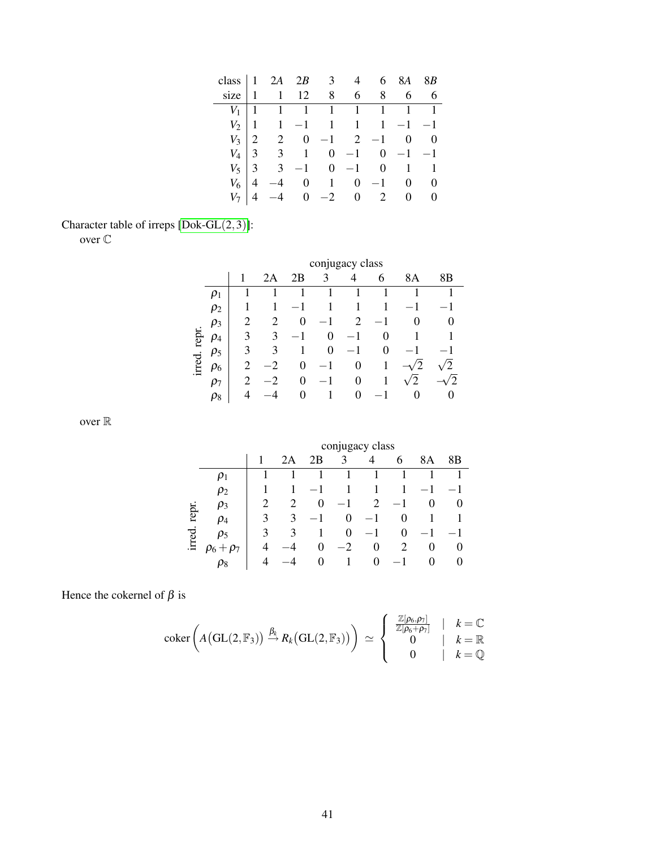|       | class $\begin{vmatrix} 1 & 2A & 2B & 3 & 4 & 6 & 8 \\ 1 & 1 & 12 & 8 & 6 & 8 \end{vmatrix}$ |  |  | 8A                                                                                                                                 | 8B  |
|-------|---------------------------------------------------------------------------------------------|--|--|------------------------------------------------------------------------------------------------------------------------------------|-----|
|       |                                                                                             |  |  |                                                                                                                                    | 6 6 |
| $V_1$ | $\begin{array}{cccccccccccccc} 1 & 1 & 1 & 1 & 1 & 1 & 1 & 1 & 1 \end{array}$               |  |  |                                                                                                                                    |     |
|       | $V_2$ 1 1 -1 1 1 1 -1 -1                                                                    |  |  |                                                                                                                                    |     |
| $V_3$ | $2 \t 2 \t 0 \t -1 \t 2 \t -1 \t 0 \t 0$                                                    |  |  |                                                                                                                                    |     |
|       | $V_4$ 3 3 1 0 -1 0 -1 -1                                                                    |  |  |                                                                                                                                    |     |
| $V_5$ |                                                                                             |  |  | $\begin{array}{ccccccccc}\n3 & -1 & 0 & -1 & 0 & 1 & 1 \\ -4 & 0 & 1 & 0 & -1 & 0 & 0 \\ -4 & 0 & -2 & 0 & 2 & 0 & 0\n\end{array}$ |     |
| $V_6$ |                                                                                             |  |  |                                                                                                                                    |     |
|       |                                                                                             |  |  |                                                                                                                                    |     |

## Character table of irreps [\[Dok-GL](#page-46-12)(2,3)]:

over C

|        |          |                             |    |    |          | conjugacy class |        |    |    |
|--------|----------|-----------------------------|----|----|----------|-----------------|--------|----|----|
|        |          |                             | 2Α | 2Β | 3        | 4               | 6      | 8Α | 8Β |
|        | $\rho_1$ |                             |    |    |          | 1               |        |    |    |
|        | $\rho_2$ |                             | 1  |    |          |                 | 1      |    |    |
|        | $\rho_3$ | 2                           |    | 0  |          | 2               |        |    |    |
| repr.  | $\rho_4$ | 3                           | 3  |    | $\theta$ |                 | $_{0}$ |    |    |
|        | $\rho_5$ | 3                           | 3  |    | 0        |                 | 0      |    |    |
| irred. | $\rho_6$ | 2                           |    | 0  | 1        | 0               | 1      |    |    |
|        | $\rho_7$ | $\mathcal{D}_{\mathcal{A}}$ |    | 0  |          | 0               | 1      | 2  |    |
|        | $\rho_8$ |                             |    | 0  |          | 0               |        |    |    |

over  $\mathbb R$ 

|       |           |   |    |          |         | conjugacy class |          |          |                   |
|-------|-----------|---|----|----------|---------|-----------------|----------|----------|-------------------|
|       |           |   | 2Α | 2В       | 3       | 4               | 6        | 8Α       | 8B                |
|       | $\mu_1$   |   |    |          |         |                 |          |          |                   |
|       | $\rho_2$  |   |    |          |         |                 |          |          |                   |
|       | $\rho_3$  | 2 | 2  | $\theta$ |         | 2               |          | 0        |                   |
| repr. | $\rho_4$  | 3 | 3  |          | 0       | $-1$            | 0        |          |                   |
| ್ಪಾ   | $\rho_5$  | 3 | 3  |          | 0       |                 | $\theta$ |          |                   |
|       | $+\rho_7$ | 4 |    | 0        | $^{-2}$ | $\Omega$        | 2        | 0        | $\mathbf{\Omega}$ |
|       | $\rho_8$  | Δ |    | ∩        |         | ∩               |          | $\theta$ | $\mathbf{\Omega}$ |

Hence the cokernel of  $\beta$  is

$$
\operatorname{coker}\left(A\big(\operatorname{GL}(2,\mathbb{F}_3)\big)\stackrel{\beta_k}{\to} R_k\big(\operatorname{GL}(2,\mathbb{F}_3)\big)\right)\,\simeq\,\left\{\begin{array}{c}\frac{\mathbb{Z}[\rho_6,\rho_7]}{\mathbb{Z}[\rho_6+\rho_7]}&|&k=\mathbb{C}\\0&|&k=\mathbb{Q}\\0&|&k=\mathbb{Q}\end{array}\right.
$$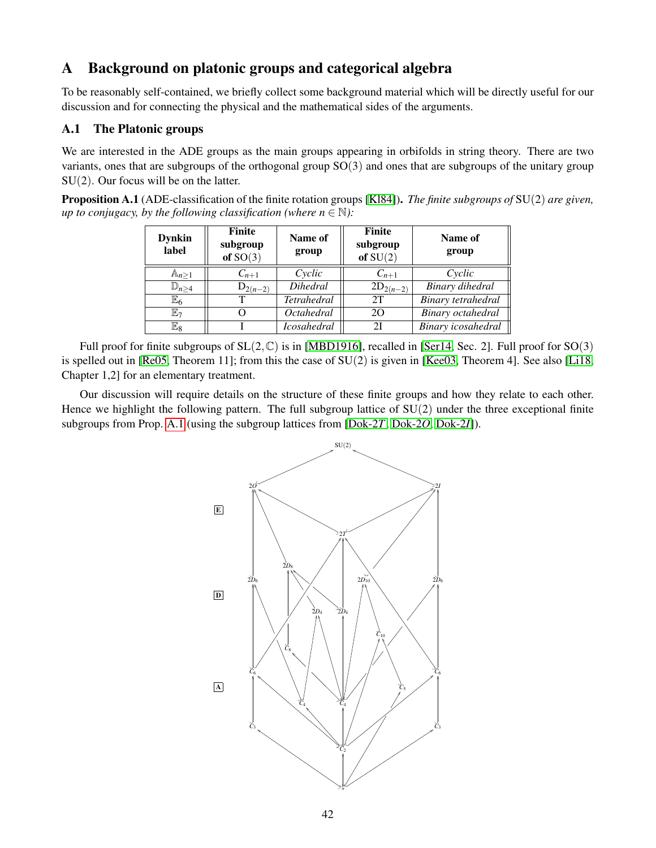### <span id="page-41-0"></span>A Background on platonic groups and categorical algebra

To be reasonably self-contained, we briefly collect some background material which will be directly useful for our discussion and for connecting the physical and the mathematical sides of the arguments.

#### <span id="page-41-1"></span>A.1 The Platonic groups

We are interested in the ADE groups as the main groups appearing in orbifolds in string theory. There are two variants, ones that are subgroups of the orthogonal group SO(3) and ones that are subgroups of the unitary group SU(2). Our focus will be on the latter.

<span id="page-41-2"></span>Proposition A.1 (ADE-classification of the finite rotation groups [\[Kl84\]](#page-44-20)). *The finite subgroups of* SU(2) *are given, up to conjugacy, by the following classification (where*  $n \in \mathbb{N}$ *):* 

| <b>Dynkin</b><br>label | <b>Finite</b><br>subgroup<br>of $SO(3)$ | Name of<br>group   | Finite<br>subgroup<br>of $SU(2)$ | Name of<br>group         |
|------------------------|-----------------------------------------|--------------------|----------------------------------|--------------------------|
| $A_{n\geq 1}$          | $C_{n+1}$                               | Cyclic             | $C_{n+1}$                        | Cyclic                   |
| $\mathbb{D}_{n\geq 4}$ | $D_{2(n-2)}$                            | <i>Dihedral</i>    | $2D_{2(n-2)}$                    | Binary dihedral          |
| $\mathbb{E}_6$         |                                         | <b>Tetrahedral</b> | 2T                               | Binary tetrahedral       |
| $\mathbb{E}_7$         |                                         | <i>Octahedral</i>  | 20                               | <b>Binary</b> octahedral |
| $\mathbb{E}_8$         |                                         | <b>Icosahedral</b> | 21                               | Binary icosahedral       |

Full proof for finite subgroups of  $SL(2,\mathbb{C})$  is in [\[MBD1916\]](#page-44-21), recalled in [\[Ser14,](#page-45-22) Sec. 2]. Full proof for  $SO(3)$ is spelled out in [\[Re05,](#page-45-23) Theorem 11]; from this the case of  $SU(2)$  is given in [\[Kee03,](#page-44-22) Theorem 4]. See also [\[Li18,](#page-44-19) Chapter 1,2] for an elementary treatment.

Our discussion will require details on the structure of these finite groups and how they relate to each other. Hence we highlight the following pattern. The full subgroup lattice of  $SU(2)$  under the three exceptional finite subgroups from Prop. [A.1](#page-41-2) (using the subgroup lattices from [\[Dok-2](#page-46-7)*T*, [Dok-2](#page-46-9)*O*, [Dok-2](#page-46-11)*I*]).

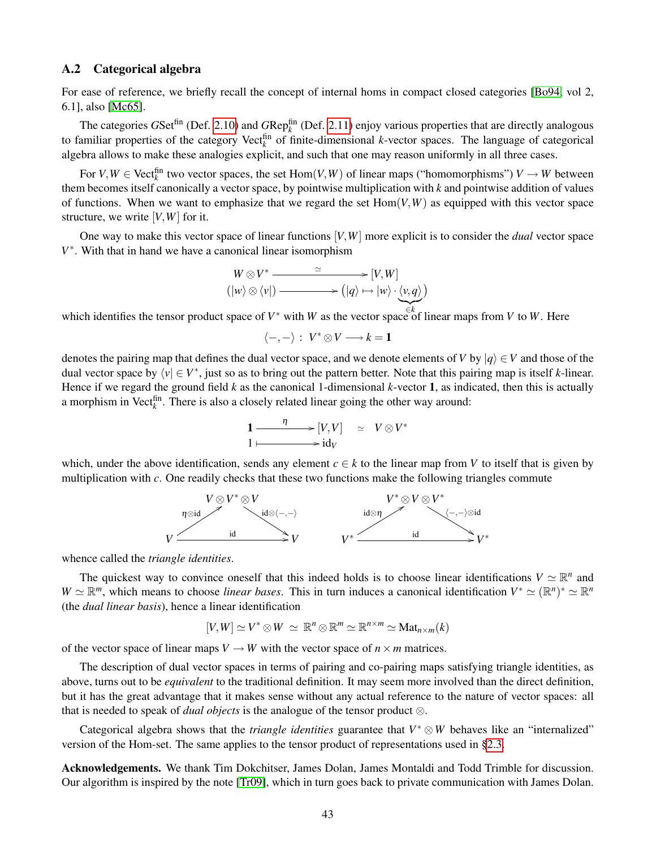#### <span id="page-42-0"></span>A.2 Categorical algebra

For ease of reference, we briefly recall the concept of internal homs in compact closed categories [\[Bo94,](#page-43-23) vol 2, 6.1], also [\[Mc65\]](#page-44-14).

The categories  $GSet^{fin}$  (Def. [2.10\)](#page-7-5) and  $GRep_k^{fin}$  (Def. [2.11\)](#page-7-6) enjoy various properties that are directly analogous to familiar properties of the category Vect<sup>fin</sup> of finite-dimensional *k*-vector spaces. The language of categorical algebra allows to make these analogies explicit, and such that one may reason uniformly in all three cases.

For  $V, W \in \text{Vect}_{k}^{\text{fin}}$  two vector spaces, the set  $\text{Hom}(V, W)$  of linear maps ("homomorphisms")  $V \to W$  between them becomes itself canonically a vector space, by pointwise multiplication with *k* and pointwise addition of values of functions. When we want to emphasize that we regard the set  $Hom(V, W)$  as equipped with this vector space structure, we write [*V*,*W*] for it.

One way to make this vector space of linear functions [*V*,*W*] more explicit is to consider the *dual* vector space *V* ∗ . With that in hand we have a canonical linear isomorphism

$$
W \otimes V^* \xrightarrow{\simeq} [V, W] (|w\rangle \otimes \langle v|) \xrightarrow{\simeq} (|q\rangle \mapsto |w\rangle \cdot \langle v, q\rangle)
$$

which identifies the tensor product space of *V*<sup>\*</sup> with *W* as the vector space of linear maps from *V* to *W*. Here

$$
\langle -, - \rangle : V^* \otimes V \longrightarrow k = 1
$$

denotes the pairing map that defines the dual vector space, and we denote elements of *V* by  $|q\rangle \in V$  and those of the dual vector space by  $\langle v | \in V^*$ , just so as to bring out the pattern better. Note that this pairing map is itself *k*-linear. Hence if we regard the ground field  $k$  as the canonical 1-dimensional  $k$ -vector 1, as indicated, then this is actually a morphism in Vect<sup> $\hat{f}_k$ </sup>. There is also a closely related linear going the other way around:

$$
1 \xrightarrow{\eta} [V, V] \simeq V \otimes V^* 1 \longmapsto id_V
$$

which, under the above identification, sends any element  $c \in k$  to the linear map from *V* to itself that is given by multiplication with *c*. One readily checks that these two functions make the following triangles commute



whence called the *triangle identities*.

The quickest way to convince oneself that this indeed holds is to choose linear identifications  $V \simeq \mathbb{R}^n$  and  $W \simeq \mathbb{R}^m$ , which means to choose *linear bases*. This in turn induces a canonical identification  $V^* \simeq (\mathbb{R}^n)^* \simeq \mathbb{R}^n$ (the *dual linear basis*), hence a linear identification

$$
[V,W] \simeq V^* \otimes W \simeq \mathbb{R}^n \otimes \mathbb{R}^m \simeq \mathbb{R}^{n \times m} \simeq \mathrm{Mat}_{n \times m}(k)
$$

of the vector space of linear maps  $V \to W$  with the vector space of  $n \times m$  matrices.

The description of dual vector spaces in terms of pairing and co-pairing maps satisfying triangle identities, as above, turns out to be *equivalent* to the traditional definition. It may seem more involved than the direct definition, but it has the great advantage that it makes sense without any actual reference to the nature of vector spaces: all that is needed to speak of *dual objects* is the analogue of the tensor product ⊗.

Categorical algebra shows that the *triangle identities* guarantee that  $V^* \otimes W$  behaves like an "internalized" version of the Hom-set. The same applies to the tensor product of representations used in [§2.3.](#page-7-0)

Acknowledgements. We thank Tim Dokchitser, James Dolan, James Montaldi and Todd Trimble for discussion. Our algorithm is inspired by the note [\[Tr09\]](#page-45-24), which in turn goes back to private communication with James Dolan.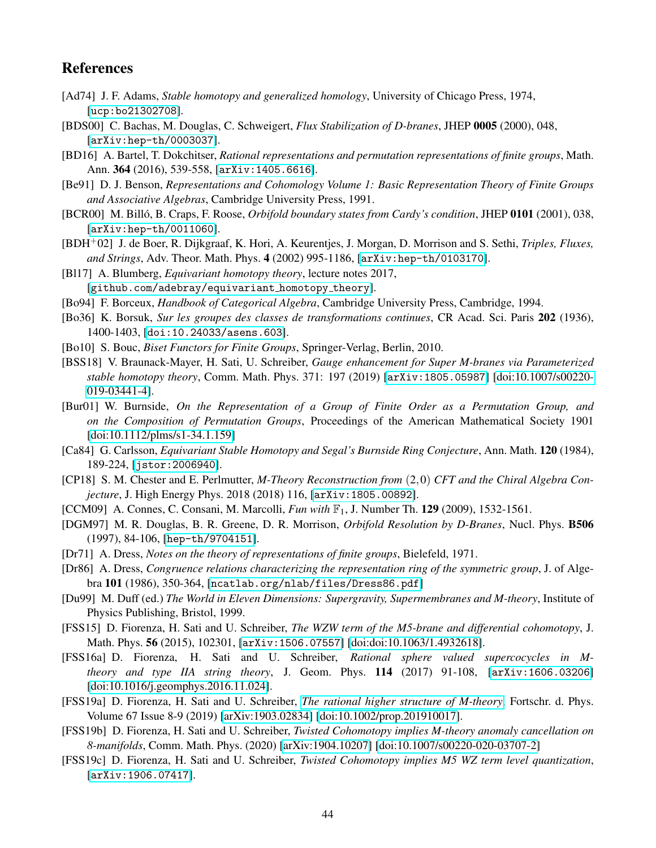### References

- <span id="page-43-14"></span>[Ad74] J. F. Adams, *Stable homotopy and generalized homology*, University of Chicago Press, 1974, [[ucp:bo21302708](https://www.press.uchicago.edu/ucp/books/book/chicago/S/bo21302708.html)].
- <span id="page-43-2"></span>[BDS00] C. Bachas, M. Douglas, C. Schweigert, *Flux Stabilization of D-branes*, JHEP 0005 (2000), 048, [[arXiv:hep-th/0003037](https://arxiv.org/abs/hep-th/0003037)].
- <span id="page-43-22"></span>[BD16] A. Bartel, T. Dokchitser, *Rational representations and permutation representations of finite groups*, Math. Ann. 364 (2016), 539-558, [[arXiv:1405.6616](https://arxiv.org/abs/1405.6616)].
- <span id="page-43-17"></span>[Be91] D. J. Benson, *Representations and Cohomology Volume 1: Basic Representation Theory of Finite Groups and Associative Algebras*, Cambridge University Press, 1991.
- <span id="page-43-3"></span>[BCR00] M. Billó, B. Craps, F. Roose, *Orbifold boundary states from Cardy's condition*, JHEP 0101 (2001), 038, [[arXiv:hep-th/0011060](https://arxiv.org/abs/hep-th/0011060)].
- <span id="page-43-1"></span>[BDH+02] J. de Boer, R. Dijkgraaf, K. Hori, A. Keurentjes, J. Morgan, D. Morrison and S. Sethi, *Triples, Fluxes, and Strings*, Adv. Theor. Math. Phys. 4 (2002) 995-1186, [[arXiv:hep-th/0103170](https://arxiv.org/abs/hep-th/0103170)].
- <span id="page-43-15"></span>[Bl17] A. Blumberg, *Equivariant homotopy theory*, lecture notes 2017, [[github.com/adebray/equivariant](https://github.com/adebray/equivariant_homotopy_theory) homotopy theory].
- <span id="page-43-23"></span>[Bo94] F. Borceux, *Handbook of Categorical Algebra*, Cambridge University Press, Cambridge, 1994.
- <span id="page-43-12"></span>[Bo36] K. Borsuk, *Sur les groupes des classes de transformations continues*, CR Acad. Sci. Paris 202 (1936), 1400-1403, [[doi:10.24033/asens.603](https://doi.org/10.24033/asens.603)].
- <span id="page-43-18"></span>[Bo10] S. Bouc, *Biset Functors for Finite Groups*, Springer-Verlag, Berlin, 2010.
- <span id="page-43-8"></span>[BSS18] V. Braunack-Mayer, H. Sati, U. Schreiber, *Gauge enhancement for Super M-branes via Parameterized stable homotopy theory*, Comm. Math. Phys. 371: 197 (2019) [[arXiv:1805.05987](https://arxiv.org/abs/1805.05987)] [\[doi:10.1007/s00220-](https://doi.org/10.1007/s00220-019-03441-4) [019-03441-4\]](https://doi.org/10.1007/s00220-019-03441-4).
- <span id="page-43-20"></span>[Bur01] W. Burnside, *On the Representation of a Group of Finite Order as a Permutation Group, and on the Composition of Permutation Groups*, Proceedings of the American Mathematical Society 1901 [\[doi:10.1112/plms/s1-34.1.159\]](https://doi.org/10.1112/plms/s1-34.1.159)
- <span id="page-43-13"></span>[Ca84] G. Carlsson, *Equivariant Stable Homotopy and Segal's Burnside Ring Conjecture*, Ann. Math. 120 (1984), 189-224, [[jstor:2006940](https://www.jstor.org/stable/2006940)].
- <span id="page-43-5"></span>[CP18] S. M. Chester and E. Perlmutter, *M-Theory Reconstruction from* (2,0) *CFT and the Chiral Algebra Conjecture*, J. High Energy Phys. 2018 (2018) 116, [[arXiv:1805.00892](https://arxiv.org/abs/1805.00892)].
- <span id="page-43-19"></span>[CCM09] A. Connes, C. Consani, M. Marcolli, *Fun with* F1, J. Number Th. 129 (2009), 1532-1561.
- <span id="page-43-0"></span>[DGM97] M. R. Douglas, B. R. Greene, D. R. Morrison, *Orbifold Resolution by D-Branes*, Nucl. Phys. B506 (1997), 84-106, [[hep-th/9704151](https://arxiv.org/abs/hep-th/9704151)].
- <span id="page-43-16"></span>[Dr71] A. Dress, *Notes on the theory of representations of finite groups*, Bielefeld, 1971.
- <span id="page-43-21"></span>[Dr86] A. Dress, *Congruence relations characterizing the representation ring of the symmetric group*, J. of Algebra 101 (1986), 350-364, [[ncatlab.org/nlab/files/Dress86.pdf](https://ncatlab.org/nlab/files/Dress86.pdf)]
- <span id="page-43-4"></span>[Du99] M. Duff (ed.) *The World in Eleven Dimensions: Supergravity, Supermembranes and M-theory*, Institute of Physics Publishing, Bristol, 1999.
- <span id="page-43-7"></span>[FSS15] D. Fiorenza, H. Sati and U. Schreiber, *The WZW term of the M5-brane and differential cohomotopy*, J. Math. Phys. 56 (2015), 102301, [[arXiv:1506.07557](https://arxiv.org/abs/1506.07557)] [\[doi:doi:10.1063/1.4932618\]](http://scitation.aip.org/content/aip/journal/jmp/56/10/10.1063/1.4932618).
- <span id="page-43-6"></span>[FSS16a] D. Fiorenza, H. Sati and U. Schreiber, *Rational sphere valued supercocycles in Mtheory and type IIA string theory*, J. Geom. Phys. 114 (2017) 91-108, [[arXiv:1606.03206](https://arxiv.org/abs/1606.03206)] [\[doi:10.1016/j.geomphys.2016.11.024\]](http://dx.doi.org/10.1016/j.geomphys.2016.11.024).
- <span id="page-43-9"></span>[FSS19a] D. Fiorenza, H. Sati and U. Schreiber, *[The rational higher structure of M-theory](https://ncatlab.org/schreiber/show/The+rational+higher+structure+of+M-theory)*, Fortschr. d. Phys. Volume 67 Issue 8-9 (2019) [\[arXiv:1903.02834\]](https://arxiv.org/abs/1903.02834) [\[doi:10.1002/prop.201910017\]](https://doi.org/10.1002/prop.201910017).
- <span id="page-43-10"></span>[FSS19b] D. Fiorenza, H. Sati and U. Schreiber, *Twisted Cohomotopy implies M-theory anomaly cancellation on 8-manifolds*, Comm. Math. Phys. (2020) [\[arXiv:1904.10207\]](https://arxiv.org/abs/1904.10207) [\[doi:10.1007/s00220-020-03707-2\]](https://doi.org/10.1007/s00220-020-03707-2)
- <span id="page-43-11"></span>[FSS19c] D. Fiorenza, H. Sati and U. Schreiber, *Twisted Cohomotopy implies M5 WZ term level quantization*, [[arXiv:1906.07417](https://arxiv.org/abs/1906.07417)].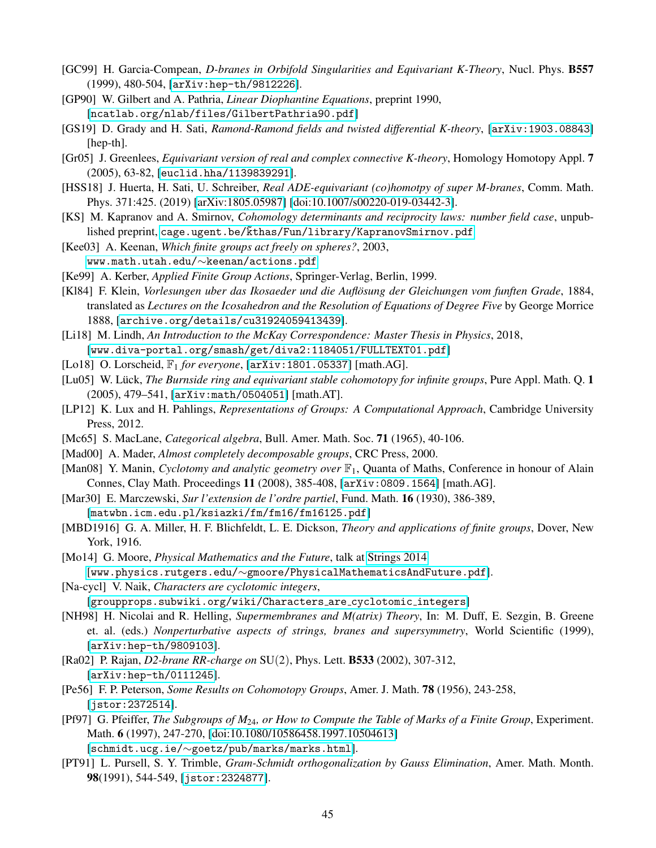- [GC99] H. Garcia-Compean, *D-branes in Orbifold Singularities and Equivariant K-Theory*, Nucl. Phys. B557 (1999), 480-504, [[arXiv:hep-th/9812226](https://arxiv.org/abs/hep-th/9812226)].
- <span id="page-44-17"></span>[GP90] W. Gilbert and A. Pathria, *Linear Diophantine Equations*, preprint 1990, [[ncatlab.org/nlab/files/GilbertPathria90.pdf](https://ncatlab.org/nlab/files/GilbertPathria90.pdf)]
- <span id="page-44-5"></span>[GS19] D. Grady and H. Sati, *Ramond-Ramond fields and twisted differential K-theory*, [[arXiv:1903.08843](https://arxiv.org/abs/1903.08843)] [hep-th].
- <span id="page-44-0"></span>[Gr05] J. Greenlees, *Equivariant version of real and complex connective K-theory*, Homology Homotopy Appl. 7 (2005), 63-82, [[euclid.hha/1139839291](http://projecteuclid.org/euclid.hha/1139839291)].
- <span id="page-44-2"></span>[HSS18] J. Huerta, H. Sati, U. Schreiber, *Real ADE-equivariant (co)homotpy of super M-branes*, Comm. Math. Phys. 371:425. (2019) [\[arXiv:1805.05987\]](https://arxiv.org/abs/1805.05987) [\[doi:10.1007/s00220-019-03442-3\]](https://doi.org/10.1007/s00220-019-03442-3).
- <span id="page-44-10"></span>[KS] M. Kapranov and A. Smirnov, *Cohomology determinants and reciprocity laws: number field case*, unpublished preprint, cage.ugent.be/kthas/Fun/library/KapranovSmirnov.pdf
- <span id="page-44-22"></span>[Kee03] A. Keenan, *Which finite groups act freely on spheres?*, 2003, [www.math.utah.edu/](http://www.math.utah.edu/~keenan/actions.pdf)∼keenan/actions.pdf
- <span id="page-44-8"></span>[Ke99] A. Kerber, *Applied Finite Group Actions*, Springer-Verlag, Berlin, 1999.
- <span id="page-44-20"></span>[Kl84] F. Klein, *Vorlesungen uber das Ikosaeder und die Auflosung der Gleichungen vom funften Grade ¨* , 1884, translated as *Lectures on the Icosahedron and the Resolution of Equations of Degree Five* by George Morrice 1888, [[archive.org/details/cu31924059413439](https://archive.org/details/cu31924059413439)].
- <span id="page-44-19"></span>[Li18] M. Lindh, *An Introduction to the McKay Correspondence: Master Thesis in Physics*, 2018, [[www.diva-portal.org/smash/get/diva2:1184051/FULLTEXT01.pdf](http://www.diva-portal.org/smash/get/diva2:1184051/FULLTEXT01.pdf)]
- <span id="page-44-12"></span>[Lo18] O. Lorscheid, F<sup>1</sup> *for everyone*, [[arXiv:1801.05337](https://arxiv.org/abs/1801.05337)] [math.AG].
- <span id="page-44-7"></span>[Lu05] W. Lück, *The Burnside ring and equivariant stable cohomotopy for infinite groups*, Pure Appl. Math. Q. 1 (2005), 479–541, [[arXiv:math/0504051](https://arxiv.org/abs/math/0504051)] [math.AT].
- <span id="page-44-9"></span>[LP12] K. Lux and H. Pahlings, *Representations of Groups: A Computational Approach*, Cambridge University Press, 2012.
- <span id="page-44-14"></span>[Mc65] S. MacLane, *Categorical algebra*, Bull. Amer. Math. Soc. 71 (1965), 40-106.
- [Mad00] A. Mader, *Almost completely decomposable groups*, CRC Press, 2000.
- <span id="page-44-11"></span>[Man08] Y. Manin, *Cyclotomy and analytic geometry over*  $\mathbb{F}_1$ , Quanta of Maths, Conference in honour of Alain Connes, Clay Math. Proceedings 11 (2008), 385-408, [[arXiv:0809.1564](https://arxiv.org/abs/0809.1564)] [math.AG].
- <span id="page-44-16"></span>[Mar30] E. Marczewski, *Sur l'extension de l'ordre partiel*, Fund. Math. 16 (1930), 386-389, [[matwbn.icm.edu.pl/ksiazki/fm/fm16/fm16125.pdf](http://matwbn.icm.edu.pl/ksiazki/fm/fm16/fm16125.pdf)]
- <span id="page-44-21"></span>[MBD1916] G. A. Miller, H. F. Blichfeldt, L. E. Dickson, *Theory and applications of finite groups*, Dover, New York, 1916.
- <span id="page-44-4"></span>[Mo14] G. Moore, *Physical Mathematics and the Future*, talk at [Strings 2014](http://physics.princeton.edu/strings2014/) [www.physics.rutgers.edu/∼[gmoore/PhysicalMathematicsAndFuture.pdf](http://www.physics.rutgers.edu/~gmoore/PhysicalMathematicsAndFuture.pdf)].
- <span id="page-44-13"></span>[Na-cycl] V. Naik, *Characters are cyclotomic integers*,
	- [[groupprops.subwiki.org/wiki/Characters](https://groupprops.subwiki.org/wiki/Characters_are_cyclotomic_integers) are cyclotomic integers]
- <span id="page-44-3"></span>[NH98] H. Nicolai and R. Helling, *Supermembranes and M(atrix) Theory*, In: M. Duff, E. Sezgin, B. Greene et. al. (eds.) *Nonperturbative aspects of strings, branes and supersymmetry*, World Scientific (1999), [[arXiv:hep-th/9809103](https://arxiv.org/abs/hep-th/9809103)].
- <span id="page-44-1"></span>[Ra02] P. Rajan, *D2-brane RR-charge on* SU(2), Phys. Lett. B533 (2002), 307-312, [[arXiv:hep-th/0111245](https://arxiv.org/abs/hep-th/0111245)].
- <span id="page-44-6"></span>[Pe56] F. P. Peterson, *Some Results on Cohomotopy Groups*, Amer. J. Math. 78 (1956), 243-258, [[jstor:2372514](https://www.jstor.org/stable/2372514)].
- <span id="page-44-15"></span>[Pf97] G. Pfeiffer, *The Subgroups of M*24*, or How to Compute the Table of Marks of a Finite Group*, Experiment. Math. 6 (1997), 247-270, [\[doi:10.1080/10586458.1997.10504613\]](https://doi.org/10.1080/10586458.1997.10504613) [schmidt.ucg.ie/∼[goetz/pub/marks/marks.html](http://schmidt.ucg.ie/~goetz/pub/marks/marks.html)].
- <span id="page-44-18"></span>[PT91] L. Pursell, S. Y. Trimble, *Gram-Schmidt orthogonalization by Gauss Elimination*, Amer. Math. Month. 98(1991), 544-549, [[jstor:2324877](https://www.jstor.org/stable/2324877)].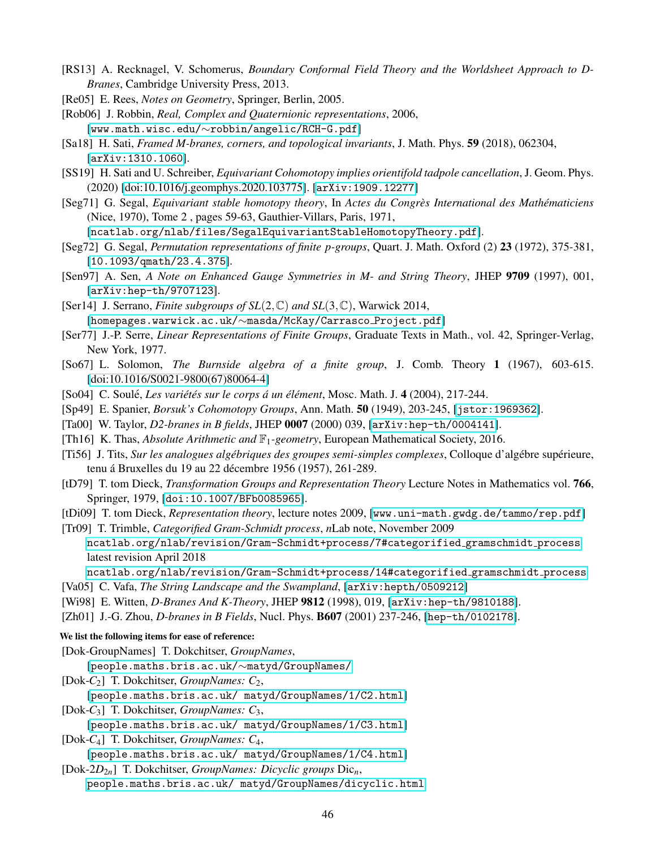- <span id="page-45-2"></span>[RS13] A. Recknagel, V. Schomerus, *Boundary Conformal Field Theory and the Worldsheet Approach to D-Branes*, Cambridge University Press, 2013.
- <span id="page-45-23"></span>[Re05] E. Rees, *Notes on Geometry*, Springer, Berlin, 2005.
- <span id="page-45-16"></span>[Rob06] J. Robbin, *Real, Complex and Quaternionic representations*, 2006, [www.math.wisc.edu/∼[robbin/angelic/RCH-G.pdf](http://www.math.wisc.edu/~robbin/angelic/RCH-G.pdf)]
- <span id="page-45-6"></span>[Sa18] H. Sati, *Framed M-branes, corners, and topological invariants*, J. Math. Phys. 59 (2018), 062304, [[arXiv:1310.1060](https://arxiv.org/abs/ arXiv:1310.1060)].
- <span id="page-45-0"></span>[SS19] H. Sati and U. Schreiber, *Equivariant Cohomotopy implies orientifold tadpole cancellation*, J. Geom. Phys. (2020) [\[doi:10.1016/j.geomphys.2020.103775\]](https://doi.org/10.1016/j.geomphys.2020.103775). [[arXiv:1909.12277](https://arxiv.org/abs/1909.12277)]
- <span id="page-45-8"></span>[Seg71] G. Segal, *Equivariant stable homotopy theory*, In *Actes du Congres International des Math ` ematiciens ´* (Nice, 1970), Tome 2 , pages 59-63, Gauthier-Villars, Paris, 1971,

[[ncatlab.org/nlab/files/SegalEquivariantStableHomotopyTheory.pdf](https://ncatlab.org/nlab/files/SegalEquivariantStableHomotopyTheory.pdf)].

- <span id="page-45-14"></span>[Seg72] G. Segal, *Permutation representations of finite p-groups*, Quart. J. Math. Oxford (2) 23 (1972), 375-381, [[10.1093/qmath/23.4.375](https://doi.org/10.1093/qmath/23.4.375)].
- [Sen97] A. Sen, *A Note on Enhanced Gauge Symmetries in M- and String Theory*, JHEP 9709 (1997), 001, [[arXiv:hep-th/9707123](https://arxiv.org/abs/hep-th/9707123)].
- <span id="page-45-22"></span>[Ser14] J. Serrano, *Finite subgroups of SL*(2,C) *and SL*(3,C), Warwick 2014, [[homepages.warwick.ac.uk/](https://homepages.warwick.ac.uk/~masda/McKay/Carrasco_Project.pdf)∼masda/McKay/Carrasco Project.pdf]
- [Ser77] J.-P. Serre, *Linear Representations of Finite Groups*, Graduate Texts in Math., vol. 42, Springer-Verlag, New York, 1977.
- <span id="page-45-13"></span>[So67] L. Solomon, *The Burnside algebra of a finite group*, J. Comb. Theory 1 (1967), 603-615. [\[doi:10.1016/S0021-9800\(67\)80064-4\]](https://doi.org/10.1016/S0021-9800(67)80064-4)
- <span id="page-45-11"></span>[So04] C. Soule,´ *Les variet´ es sur le corps ´ a un ´ el´ ement ´* , Mosc. Math. J. 4 (2004), 217-244.
- <span id="page-45-7"></span>[Sp49] E. Spanier, *Borsuk's Cohomotopy Groups*, Ann. Math. 50 (1949), 203-245, [[jstor:1969362](http://www.jstor.org/stable/1969362)].
- <span id="page-45-3"></span>[Ta00] W. Taylor, *D2-branes in B fields*, JHEP 0007 (2000) 039, [[arXiv:hep-th/0004141](https://arxiv.org/abs/hep-th/0004141)].
- <span id="page-45-12"></span>[Th16] K. Thas, *Absolute Arithmetic and* F1*-geometry*, European Mathematical Society, 2016.
- <span id="page-45-10"></span>[Ti56] J. Tits, *Sur les analogues algébriques des groupes semi-simples complexes*, Colloque d'algébre supérieure, tenu á Bruxelles du 19 au 22 décembre 1956 (1957), 261-289.
- <span id="page-45-9"></span>[tD79] T. tom Dieck, *Transformation Groups and Representation Theory* Lecture Notes in Mathematics vol. 766, Springer, 1979, [[doi:10.1007/BFb0085965](https://link.springer.com/book/10.1007/BFb0085965)].
- <span id="page-45-15"></span>[tDi09] T. tom Dieck, *Representation theory*, lecture notes 2009, [[www.uni-math.gwdg.de/tammo/rep.pdf](http://www.uni-math.gwdg.de/tammo/rep.pdf)]
- <span id="page-45-24"></span>[Tr09] T. Trimble, *Categorified Gram-Schmidt process*, *n*Lab note, November 2009 [ncatlab.org/nlab/revision/Gram-Schmidt+process/7#categorified](https://ncatlab.org/nlab/revision/Gram-Schmidt+process/7#categorified_gramschmidt_process) gramschmidt process latest revision April 2018

[ncatlab.org/nlab/revision/Gram-Schmidt+process/14#categorified](https://ncatlab.org/nlab/revision/Gram-Schmidt+process/14#categorified_gramschmidt_process) gramschmidt process

- <span id="page-45-5"></span>[Va05] C. Vafa, *The String Landscape and the Swampland*, [[arXiv:hepth/0509212](http://arxiv.org/abs/hepth/0509212)]
- <span id="page-45-1"></span>[Wi98] E. Witten, *D-Branes And K-Theory*, JHEP 9812 (1998), 019, [[arXiv:hep-th/9810188](https://arxiv.org/abs/hep-th/9810188)].
- <span id="page-45-4"></span>[Zh01] J.-G. Zhou, *D-branes in B Fields*, Nucl. Phys. B607 (2001) 237-246, [[hep-th/0102178](https://arxiv.org/abs/hep-th/0102178)].

#### We list the following items for ease of reference:

<span id="page-45-17"></span>[Dok-GroupNames] T. Dokchitser, *GroupNames*,

[[people.maths.bris.ac.uk/](https://people.maths.bris.ac.uk/~matyd/GroupNames/1/Q8.html)∼matyd/GroupNames/

- <span id="page-45-18"></span>[Dok-*C*2] T. Dokchitser, *GroupNames: C*2,
	- [[people.maths.bris.ac.uk/ matyd/GroupNames/1/C2.html](people.maths.bris.ac.uk/~matyd/GroupNames/1/C2.html)]
- <span id="page-45-19"></span>[Dok-*C*3] T. Dokchitser, *GroupNames: C*3,
	- [[people.maths.bris.ac.uk/ matyd/GroupNames/1/C3.html](people.maths.bris.ac.uk/~matyd/GroupNames/1/C3.html)]
- <span id="page-45-20"></span>[Dok-*C*4] T. Dokchitser, *GroupNames: C*4,
- [[people.maths.bris.ac.uk/ matyd/GroupNames/1/C4.html](people.maths.bris.ac.uk/~matyd/GroupNames/1/C4.html)]
- <span id="page-45-21"></span>[Dok-2*D*2*n*] T. Dokchitser, *GroupNames: Dicyclic groups* Dic*n*,
	- [people.maths.bris.ac.uk/ matyd/GroupNames/dicyclic.html](https://people.maths.bris.ac.uk/~matyd/GroupNames/dicyclic.html)